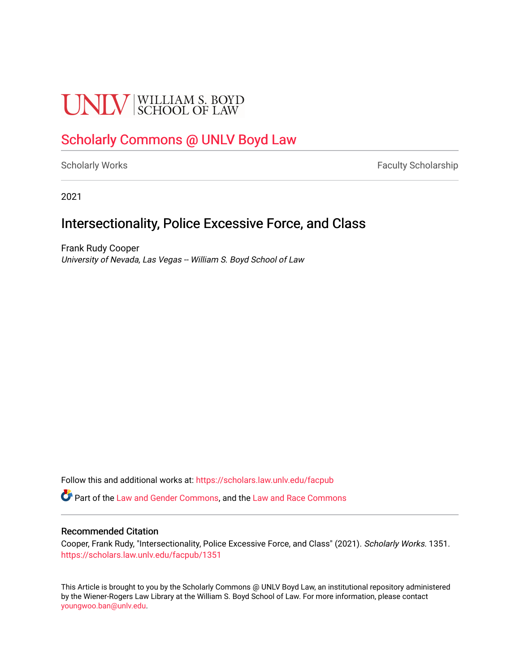# **UNLV** SCHOOL OF LAW

# [Scholarly Commons @ UNLV Boyd Law](https://scholars.law.unlv.edu/)

[Scholarly Works](https://scholars.law.unlv.edu/facpub) **Faculty Scholarship** Faculty Scholarship

2021

# Intersectionality, Police Excessive Force, and Class

Frank Rudy Cooper University of Nevada, Las Vegas -- William S. Boyd School of Law

Follow this and additional works at: [https://scholars.law.unlv.edu/facpub](https://scholars.law.unlv.edu/facpub?utm_source=scholars.law.unlv.edu%2Ffacpub%2F1351&utm_medium=PDF&utm_campaign=PDFCoverPages)

**C** Part of the [Law and Gender Commons,](http://network.bepress.com/hgg/discipline/1298?utm_source=scholars.law.unlv.edu%2Ffacpub%2F1351&utm_medium=PDF&utm_campaign=PDFCoverPages) and the [Law and Race Commons](http://network.bepress.com/hgg/discipline/1300?utm_source=scholars.law.unlv.edu%2Ffacpub%2F1351&utm_medium=PDF&utm_campaign=PDFCoverPages)

# Recommended Citation

Cooper, Frank Rudy, "Intersectionality, Police Excessive Force, and Class" (2021). Scholarly Works. 1351. [https://scholars.law.unlv.edu/facpub/1351](https://scholars.law.unlv.edu/facpub/1351?utm_source=scholars.law.unlv.edu%2Ffacpub%2F1351&utm_medium=PDF&utm_campaign=PDFCoverPages) 

This Article is brought to you by the Scholarly Commons @ UNLV Boyd Law, an institutional repository administered by the Wiener-Rogers Law Library at the William S. Boyd School of Law. For more information, please contact [youngwoo.ban@unlv.edu.](mailto:youngwoo.ban@unlv.edu)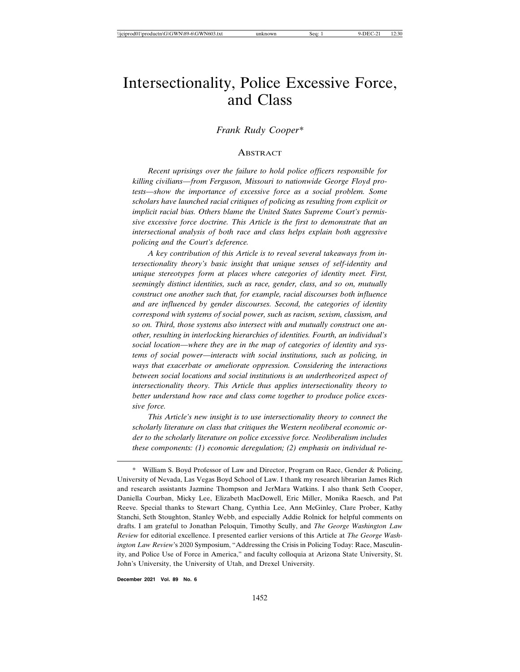# Intersectionality, Police Excessive Force, and Class

# *Frank Rudy Cooper\**

#### ABSTRACT

*Recent uprisings over the failure to hold police officers responsible for killing civilians—from Ferguson, Missouri to nationwide George Floyd protests—show the importance of excessive force as a social problem. Some scholars have launched racial critiques of policing as resulting from explicit or implicit racial bias. Others blame the United States Supreme Court's permissive excessive force doctrine. This Article is the first to demonstrate that an intersectional analysis of both race and class helps explain both aggressive policing and the Court's deference.*

*A key contribution of this Article is to reveal several takeaways from intersectionality theory's basic insight that unique senses of self-identity and unique stereotypes form at places where categories of identity meet. First, seemingly distinct identities, such as race, gender, class, and so on, mutually construct one another such that, for example, racial discourses both influence and are influenced by gender discourses. Second, the categories of identity correspond with systems of social power, such as racism, sexism, classism, and so on. Third, those systems also intersect with and mutually construct one another, resulting in interlocking hierarchies of identities. Fourth, an individual's social location—where they are in the map of categories of identity and systems of social power—interacts with social institutions, such as policing, in ways that exacerbate or ameliorate oppression. Considering the interactions between social locations and social institutions is an undertheorized aspect of intersectionality theory. This Article thus applies intersectionality theory to better understand how race and class come together to produce police excessive force.*

*This Article's new insight is to use intersectionality theory to connect the scholarly literature on class that critiques the Western neoliberal economic order to the scholarly literature on police excessive force. Neoliberalism includes these components: (1) economic deregulation; (2) emphasis on individual re-*

**December 2021 Vol. 89 No. 6**

William S. Boyd Professor of Law and Director, Program on Race, Gender & Policing, University of Nevada, Las Vegas Boyd School of Law. I thank my research librarian James Rich and research assistants Jazmine Thompson and JerMara Watkins. I also thank Seth Cooper, Daniella Courban, Micky Lee, Elizabeth MacDowell, Eric Miller, Monika Raesch, and Pat Reeve. Special thanks to Stewart Chang, Cynthia Lee, Ann McGinley, Clare Prober, Kathy Stanchi, Seth Stoughton, Stanley Webb, and especially Addie Rolnick for helpful comments on drafts. I am grateful to Jonathan Peloquin, Timothy Scully, and *The George Washington Law Review* for editorial excellence. I presented earlier versions of this Article at *The George Washington Law Review*'s 2020 Symposium, "Addressing the Crisis in Policing Today: Race, Masculinity, and Police Use of Force in America," and faculty colloquia at Arizona State University, St. John's University, the University of Utah, and Drexel University.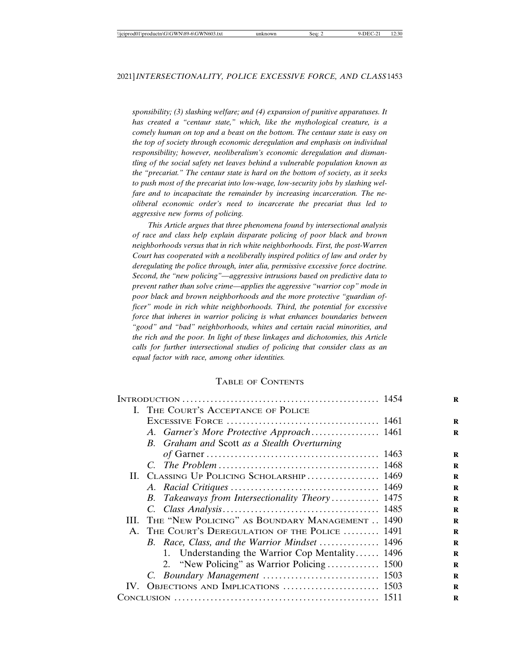*sponsibility; (3) slashing welfare; and (4) expansion of punitive apparatuses. It has created a "centaur state," which, like the mythological creature, is a comely human on top and a beast on the bottom. The centaur state is easy on the top of society through economic deregulation and emphasis on individual responsibility; however, neoliberalism's economic deregulation and dismantling of the social safety net leaves behind a vulnerable population known as the "precariat." The centaur state is hard on the bottom of society, as it seeks to push most of the precariat into low-wage, low-security jobs by slashing welfare and to incapacitate the remainder by increasing incarceration. The neoliberal economic order's need to incarcerate the precariat thus led to aggressive new forms of policing.*

*This Article argues that three phenomena found by intersectional analysis of race and class help explain disparate policing of poor black and brown neighborhoods versus that in rich white neighborhoods. First, the post-Warren Court has cooperated with a neoliberally inspired politics of law and order by deregulating the police through, inter alia, permissive excessive force doctrine. Second, the "new policing"—aggressive intrusions based on predictive data to prevent rather than solve crime—applies the aggressive "warrior cop" mode in poor black and brown neighborhoods and the more protective "guardian officer" mode in rich white neighborhoods. Third, the potential for excessive force that inheres in warrior policing is what enhances boundaries between "good" and "bad" neighborhoods, whites and certain racial minorities, and the rich and the poor. In light of these linkages and dichotomies, this Article calls for further intersectional studies of policing that consider class as an equal factor with race, among other identities.*

# TABLE OF CONTENTS

|    | I. THE COURT'S ACCEPTANCE OF POLICE             |  |
|----|-------------------------------------------------|--|
|    |                                                 |  |
|    | A. Garner's More Protective Approach 1461       |  |
|    | B. Graham and Scott as a Stealth Overturning    |  |
|    |                                                 |  |
|    |                                                 |  |
|    | II. CLASSING UP POLICING SCHOLARSHIP 1469       |  |
|    |                                                 |  |
|    | B. Takeaways from Intersectionality Theory 1475 |  |
|    |                                                 |  |
| Ш. | THE "NEW POLICING" AS BOUNDARY MANAGEMENT  1490 |  |
|    | A. THE COURT'S DEREGULATION OF THE POLICE  1491 |  |
|    | B. Race, Class, and the Warrior Mindset  1496   |  |
|    | 1. Understanding the Warrior Cop Mentality 1496 |  |
|    |                                                 |  |
|    |                                                 |  |
|    |                                                 |  |
|    |                                                 |  |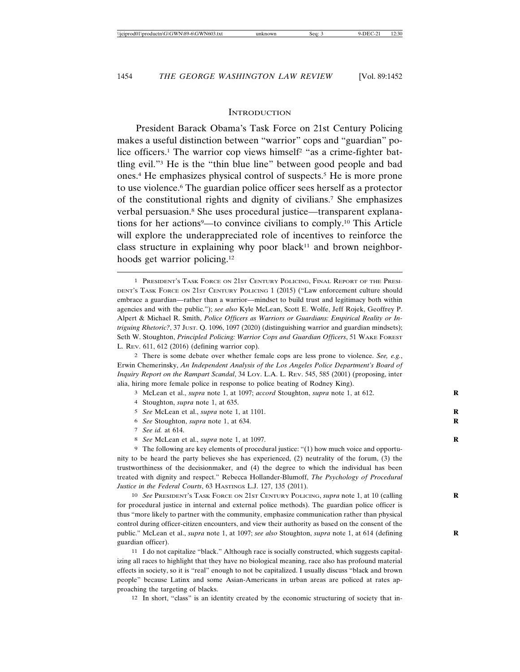#### **INTRODUCTION**

President Barack Obama's Task Force on 21st Century Policing makes a useful distinction between "warrior" cops and "guardian" police officers.<sup>1</sup> The warrior cop views himself<sup>2</sup> "as a crime-fighter battling evil."3 He is the "thin blue line" between good people and bad ones.4 He emphasizes physical control of suspects.5 He is more prone to use violence.6 The guardian police officer sees herself as a protector of the constitutional rights and dignity of civilians.7 She emphasizes verbal persuasion.<sup>8</sup> She uses procedural justice—transparent explanations for her actions<sup>9</sup>—to convince civilians to comply.<sup>10</sup> This Article will explore the underappreciated role of incentives to reinforce the class structure in explaining why poor black<sup>11</sup> and brown neighborhoods get warrior policing.12

- 3 McLean et al., *supra* note 1, at 1097; *accord* Stoughton, *supra* note 1, at 612. **R**
- 4 Stoughton, *supra* note 1, at 635.
- 5 *See* McLean et al., *supra* note 1, at 1101.
- 6 *See* Stoughton, *supra* note 1, at 634. **R**
- 7 *See id.* at 614.
- 8 *See* McLean et al., *supra* note 1, at 1097. **R**

9 The following are key elements of procedural justice: "(1) how much voice and opportunity to be heard the party believes she has experienced, (2) neutrality of the forum, (3) the trustworthiness of the decisionmaker, and (4) the degree to which the individual has been treated with dignity and respect." Rebecca Hollander-Blumoff, *The Psychology of Procedural Justice in the Federal Courts*, 63 HASTINGS L.J. 127, 135 (2011).

10 *See* PRESIDENT'S TASK FORCE ON 21ST CENTURY POLICING, *supra* note 1, at 10 (calling **R** for procedural justice in internal and external police methods). The guardian police officer is thus "more likely to partner with the community, emphasize communication rather than physical control during officer-citizen encounters, and view their authority as based on the consent of the public." McLean et al., *supra* note 1, at 1097; *see also* Stoughton, *supra* note 1, at 614 (defining guardian officer).

11 I do not capitalize "black." Although race is socially constructed, which suggests capitalizing all races to highlight that they have no biological meaning, race also has profound material effects in society, so it is "real" enough to not be capitalized. I usually discuss "black and brown people" because Latinx and some Asian-Americans in urban areas are policed at rates approaching the targeting of blacks.

12 In short, "class" is an identity created by the economic structuring of society that in-

<sup>1</sup> PRESIDENT'S TASK FORCE ON 21ST CENTURY POLICING, FINAL REPORT OF THE PRESI-DENT'S TASK FORCE ON 21ST CENTURY POLICING 1 (2015) ("Law enforcement culture should embrace a guardian—rather than a warrior—mindset to build trust and legitimacy both within agencies and with the public."); *see also* Kyle McLean, Scott E. Wolfe, Jeff Rojek, Geoffrey P. Alpert & Michael R. Smith, *Police Officers as Warriors or Guardians: Empirical Reality or Intriguing Rhetoric?*, 37 JUST. Q. 1096, 1097 (2020) (distinguishing warrior and guardian mindsets); Seth W. Stoughton, *Principled Policing: Warrior Cops and Guardian Officers*, 51 WAKE FOREST L. REV. 611, 612 (2016) (defining warrior cop).

<sup>2</sup> There is some debate over whether female cops are less prone to violence. *See, e.g.*, Erwin Chemerinsky, *An Independent Analysis of the Los Angeles Police Department's Board of Inquiry Report on the Rampart Scandal*, 34 LOY. L.A. L. REV. 545, 585 (2001) (proposing, inter alia, hiring more female police in response to police beating of Rodney King).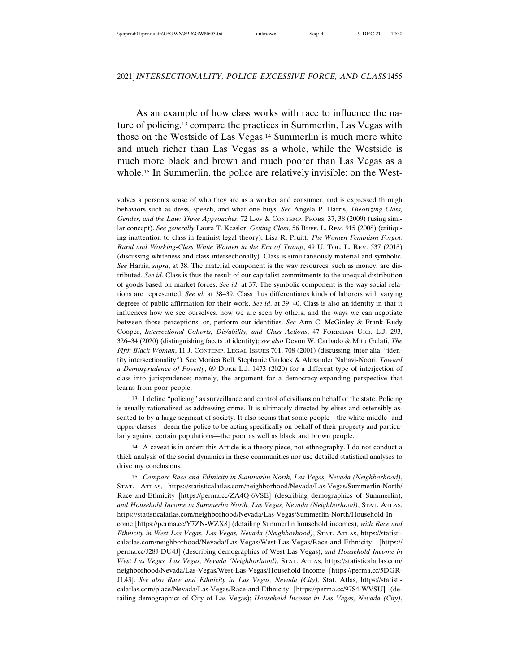As an example of how class works with race to influence the nature of policing,13 compare the practices in Summerlin, Las Vegas with those on the Westside of Las Vegas.14 Summerlin is much more white and much richer than Las Vegas as a whole, while the Westside is much more black and brown and much poorer than Las Vegas as a whole.15 In Summerlin, the police are relatively invisible; on the West-

volves a person's sense of who they are as a worker and consumer, and is expressed through behaviors such as dress, speech, and what one buys. *See* Angela P. Harris, *Theorizing Class, Gender, and the Law: Three Approaches*, 72 LAW & CONTEMP. PROBS. 37, 38 (2009) (using similar concept). *See generally* Laura T. Kessler, *Getting Class*, 56 BUFF. L. REV. 915 (2008) (critiquing inattention to class in feminist legal theory); Lisa R. Pruitt, *The Women Feminism Forgot: Rural and Working-Class White Women in the Era of Trump*, 49 U. TOL. L. REV. 537 (2018) (discussing whiteness and class intersectionally). Class is simultaneously material and symbolic. *See* Harris, *supra*, at 38. The material component is the way resources, such as money, are distributed. *See id.* Class is thus the result of our capitalist commitments to the unequal distribution of goods based on market forces. *See id*. at 37. The symbolic component is the way social relations are represented. *See id.* at 38–39. Class thus differentiates kinds of laborers with varying degrees of public affirmation for their work. *See id*. at 39–40. Class is also an identity in that it influences how we see ourselves, how we are seen by others, and the ways we can negotiate between those perceptions, or, perform our identities. *See* Ann C. McGinley & Frank Rudy Cooper, *Intersectional Cohorts, Dis/ability, and Class Actions*, 47 FORDHAM URB. L.J. 293, 326–34 (2020) (distinguishing facets of identity); *see also* Devon W. Carbado & Mitu Gulati, *The Fifth Black Woman*, 11 J. CONTEMP. LEGAL ISSUES 701, 708 (2001) (discussing, inter alia, "identity intersectionality"). See Monica Bell, Stephanie Garlock & Alexander Nabavi-Noori, *Toward a Demosprudence of Poverty*, 69 DUKE L.J. 1473 (2020) for a different type of interjection of class into jurisprudence; namely, the argument for a democracy-expanding perspective that learns from poor people.

13 I define "policing" as surveillance and control of civilians on behalf of the state. Policing is usually rationalized as addressing crime. It is ultimately directed by elites and ostensibly assented to by a large segment of society. It also seems that some people—the white middle- and upper-classes—deem the police to be acting specifically on behalf of their property and particularly against certain populations—the poor as well as black and brown people.

14 A caveat is in order: this Article is a theory piece, not ethnography. I do not conduct a thick analysis of the social dynamics in these communities nor use detailed statistical analyses to drive my conclusions.

15 *Compare Race and Ethnicity in Summerlin North, Las Vegas, Nevada (Neighborhood)*, STAT. ATLAS, https://statisticalatlas.com/neighborhood/Nevada/Las-Vegas/Summerlin-North/ Race-and-Ethnicity [https://perma.cc/ZA4Q-6VSE] (describing demographics of Summerlin), *and Household Income in Summerlin North, Las Vegas, Nevada (Neighborhood)*, STAT. ATLAS, https://statisticalatlas.com/neighborhood/Nevada/Las-Vegas/Summerlin-North/Household-Income [https://perma.cc/Y7ZN-WZX8] (detailing Summerlin household incomes), *with Race and Ethnicity in West Las Vegas, Las Vegas, Nevada (Neighborhood)*, STAT. ATLAS, https://statisticalatlas.com/neighborhood/Nevada/Las-Vegas/West-Las-Vegas/Race-and-Ethnicity [https:// perma.cc/J28J-DU4J] (describing demographics of West Las Vegas), *and Household Income in West Las Vegas, Las Vegas, Nevada (Neighborhood)*, STAT. ATLAS, https://statisticalatlas.com/ neighborhood/Nevada/Las-Vegas/West-Las-Vegas/Household-Income [https://perma.cc/5DGR-JL43]. *See also Race and Ethnicity in Las Vegas, Nevada (City)*, Stat. Atlas, https://statisticalatlas.com/place/Nevada/Las-Vegas/Race-and-Ethnicity [https://perma.cc/97S4-WVSU] (detailing demographics of City of Las Vegas); *Household Income in Las Vegas, Nevada (City)*,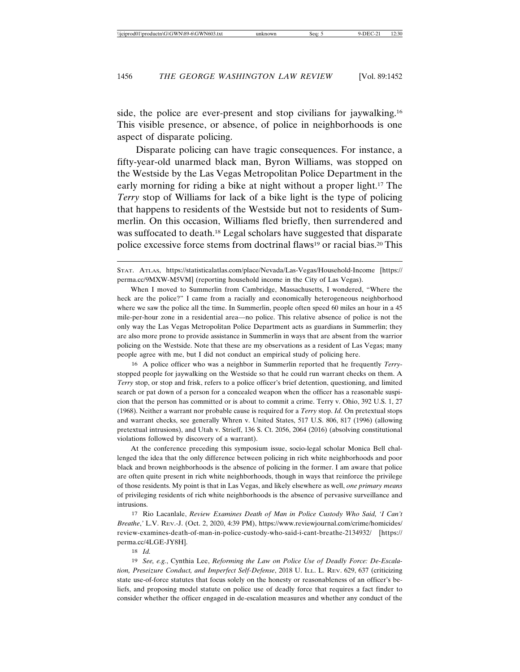side, the police are ever-present and stop civilians for jaywalking.16 This visible presence, or absence, of police in neighborhoods is one aspect of disparate policing.

Disparate policing can have tragic consequences. For instance, a fifty-year-old unarmed black man, Byron Williams, was stopped on the Westside by the Las Vegas Metropolitan Police Department in the early morning for riding a bike at night without a proper light.17 The *Terry* stop of Williams for lack of a bike light is the type of policing that happens to residents of the Westside but not to residents of Summerlin. On this occasion, Williams fled briefly, then surrendered and was suffocated to death.18 Legal scholars have suggested that disparate police excessive force stems from doctrinal flaws19 or racial bias.20 This

16 A police officer who was a neighbor in Summerlin reported that he frequently *Terry*stopped people for jaywalking on the Westside so that he could run warrant checks on them. A *Terry* stop, or stop and frisk, refers to a police officer's brief detention, questioning, and limited search or pat down of a person for a concealed weapon when the officer has a reasonable suspicion that the person has committed or is about to commit a crime. Terry v. Ohio, 392 U.S. 1, 27 (1968). Neither a warrant nor probable cause is required for a *Terry* stop. *Id.* On pretextual stops and warrant checks, see generally Whren v. United States, 517 U.S. 806, 817 (1996) (allowing pretextual intrusions), and Utah v. Strieff, 136 S. Ct. 2056, 2064 (2016) (absolving constitutional violations followed by discovery of a warrant).

At the conference preceding this symposium issue, socio-legal scholar Monica Bell challenged the idea that the only difference between policing in rich white neighborhoods and poor black and brown neighborhoods is the absence of policing in the former. I am aware that police are often quite present in rich white neighborhoods, though in ways that reinforce the privilege of those residents. My point is that in Las Vegas, and likely elsewhere as well, *one primary means* of privileging residents of rich white neighborhoods is the absence of pervasive surveillance and intrusions.

17 Rio Lacanlale, *Review Examines Death of Man in Police Custody Who Said, 'I Can't Breathe*,*'* L.V. REV.-J. (Oct. 2, 2020, 4:39 PM), https://www.reviewjournal.com/crime/homicides/ review-examines-death-of-man-in-police-custody-who-said-i-cant-breathe-2134932/ [https:// perma.cc/4LGE-JY8H].

18 *Id.*

19 *See, e.g.*, Cynthia Lee, *Reforming the Law on Police Use of Deadly Force: De-Escalation, Preseizure Conduct, and Imperfect Self-Defense*, 2018 U. ILL. L. REV. 629, 637 (criticizing state use-of-force statutes that focus solely on the honesty or reasonableness of an officer's beliefs, and proposing model statute on police use of deadly force that requires a fact finder to consider whether the officer engaged in de-escalation measures and whether any conduct of the

STAT. ATLAS, https://statisticalatlas.com/place/Nevada/Las-Vegas/Household-Income [https:// perma.cc/9MXW-M5VM] (reporting household income in the City of Las Vegas).

When I moved to Summerlin from Cambridge, Massachusetts, I wondered, "Where the heck are the police?" I came from a racially and economically heterogeneous neighborhood where we saw the police all the time. In Summerlin, people often speed 60 miles an hour in a 45 mile-per-hour zone in a residential area—no police. This relative absence of police is not the only way the Las Vegas Metropolitan Police Department acts as guardians in Summerlin; they are also more prone to provide assistance in Summerlin in ways that are absent from the warrior policing on the Westside. Note that these are my observations as a resident of Las Vegas; many people agree with me, but I did not conduct an empirical study of policing here.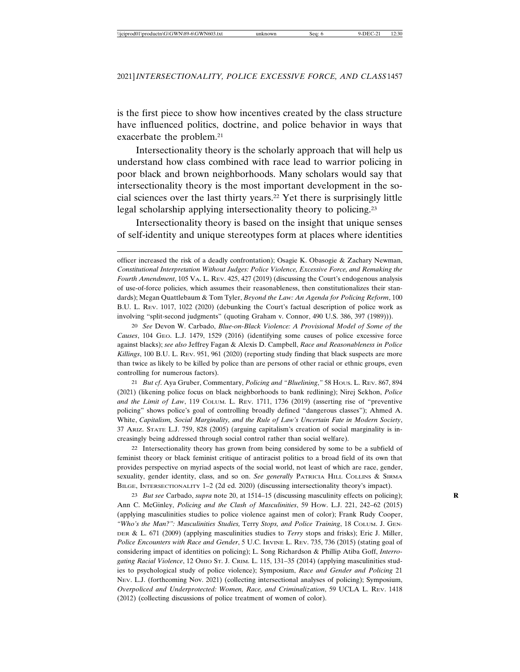is the first piece to show how incentives created by the class structure have influenced politics, doctrine, and police behavior in ways that exacerbate the problem.21

Intersectionality theory is the scholarly approach that will help us understand how class combined with race lead to warrior policing in poor black and brown neighborhoods. Many scholars would say that intersectionality theory is the most important development in the social sciences over the last thirty years.22 Yet there is surprisingly little legal scholarship applying intersectionality theory to policing.23

Intersectionality theory is based on the insight that unique senses of self-identity and unique stereotypes form at places where identities

20 *See* Devon W. Carbado, *Blue-on-Black Violence: A Provisional Model of Some of the Causes*, 104 GEO. L.J. 1479, 1529 (2016) (identifying some causes of police excessive force against blacks); *see also* Jeffrey Fagan & Alexis D. Campbell, *Race and Reasonableness in Police Killings*, 100 B.U. L. REV. 951, 961 (2020) (reporting study finding that black suspects are more than twice as likely to be killed by police than are persons of other racial or ethnic groups, even controlling for numerous factors).

21 *But cf*. Aya Gruber, Commentary, *Policing and "Bluelining*,*"* 58 HOUS. L. REV. 867, 894 (2021) (likening police focus on black neighborhoods to bank redlining); Nirej Sekhon, *Police and the Limit of Law*, 119 COLUM. L. REV. 1711, 1736 (2019) (asserting rise of "preventive policing" shows police's goal of controlling broadly defined "dangerous classes"); Ahmed A. White, *Capitalism, Social Marginality, and the Rule of Law's Uncertain Fate in Modern Society*, 37 ARIZ. STATE L.J. 759, 828 (2005) (arguing capitalism's creation of social marginality is increasingly being addressed through social control rather than social welfare).

22 Intersectionality theory has grown from being considered by some to be a subfield of feminist theory or black feminist critique of antiracist politics to a broad field of its own that provides perspective on myriad aspects of the social world, not least of which are race, gender, sexuality, gender identity, class, and so on. *See generally* PATRICIA HILL COLLINS & SIRMA BILGE, INTERSECTIONALITY 1–2 (2d ed. 2020) (discussing intersectionality theory's impact).

23 *But see* Carbado, *supra* note 20, at 1514–15 (discussing masculinity effects on policing); **R** Ann C. McGinley, *Policing and the Clash of Masculinities*, 59 HOW. L.J. 221, 242–62 (2015) (applying masculinities studies to police violence against men of color); Frank Rudy Cooper, *"Who's the Man?": Masculinities Studies,* Terry *Stops, and Police Training*, 18 COLUM. J. GEN-DER & L. 671 (2009) (applying masculinities studies to *Terry* stops and frisks); Eric J. Miller, *Police Encounters with Race and Gender*, 5 U.C. IRVINE L. REV. 735, 736 (2015) (stating goal of considering impact of identities on policing); L. Song Richardson & Phillip Atiba Goff, *Interro*gating Racial Violence, 12 OHIO ST. J. CRIM. L. 115, 131-35 (2014) (applying masculinities studies to psychological study of police violence); Symposium, *Race and Gender and Policing* 21 NEV. L.J. (forthcoming Nov. 2021) (collecting intersectional analyses of policing); Symposium, *Overpoliced and Underprotected: Women, Race, and Criminalization*, 59 UCLA L. REV. 1418 (2012) (collecting discussions of police treatment of women of color).

officer increased the risk of a deadly confrontation); Osagie K. Obasogie & Zachary Newman, *Constitutional Interpretation Without Judges: Police Violence, Excessive Force, and Remaking the Fourth Amendment*, 105 VA. L. REV. 425, 427 (2019) (discussing the Court's endogenous analysis of use-of-force policies, which assumes their reasonableness, then constitutionalizes their standards); Megan Quattlebaum & Tom Tyler, *Beyond the Law: An Agenda for Policing Reform*, 100 B.U. L. REV. 1017, 1022 (2020) (debunking the Court's factual description of police work as involving "split-second judgments" (quoting Graham v. Connor, 490 U.S. 386, 397 (1989))).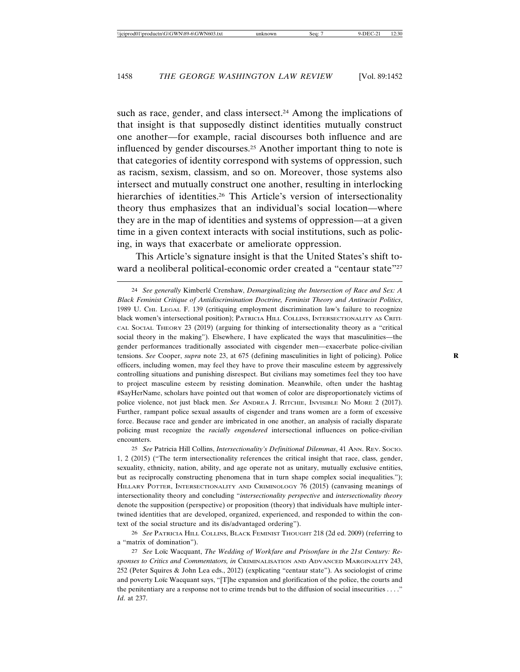such as race, gender, and class intersect.<sup>24</sup> Among the implications of that insight is that supposedly distinct identities mutually construct one another—for example, racial discourses both influence and are influenced by gender discourses.25 Another important thing to note is that categories of identity correspond with systems of oppression, such as racism, sexism, classism, and so on. Moreover, those systems also intersect and mutually construct one another, resulting in interlocking hierarchies of identities.<sup>26</sup> This Article's version of intersectionality theory thus emphasizes that an individual's social location—where they are in the map of identities and systems of oppression—at a given time in a given context interacts with social institutions, such as policing, in ways that exacerbate or ameliorate oppression.

This Article's signature insight is that the United States's shift toward a neoliberal political-economic order created a "centaur state"<sup>27</sup>

25 *See* Patricia Hill Collins, *Intersectionality's Definitional Dilemmas*, 41 ANN. REV. SOCIO. 1, 2 (2015) ("The term intersectionality references the critical insight that race, class, gender, sexuality, ethnicity, nation, ability, and age operate not as unitary, mutually exclusive entities, but as reciprocally constructing phenomena that in turn shape complex social inequalities."); HILLARY POTTER, INTERSECTIONALITY AND CRIMINOLOGY 76 (2015) (canvasing meanings of intersectionality theory and concluding "*intersectionality perspective* and *intersectionality theory* denote the supposition (perspective) or proposition (theory) that individuals have multiple intertwined identities that are developed, organized, experienced, and responded to within the context of the social structure and its dis/advantaged ordering").

26 *See* PATRICIA HILL COLLINS, BLACK FEMINIST THOUGHT 218 (2d ed. 2009) (referring to a "matrix of domination").

27 See Loïc Wacquant, The Wedding of Workfare and Prisonfare in the 21st Century: Re*sponses to Critics and Commentators, in* CRIMINALISATION AND ADVANCED MARGINALITY 243, 252 (Peter Squires & John Lea eds., 2012) (explicating "centaur state"). As sociologist of crime and poverty Loïc Wacquant says, "[T]he expansion and glorification of the police, the courts and the penitentiary are a response not to crime trends but to the diffusion of social insecurities . . . ." *Id*. at 237.

<sup>&</sup>lt;sup>24</sup> See generally Kimberlé Crenshaw, *Demarginalizing the Intersection of Race and Sex: A Black Feminist Critique of Antidiscrimination Doctrine, Feminist Theory and Antiracist Politics*, 1989 U. CHI. LEGAL F. 139 (critiquing employment discrimination law's failure to recognize black women's intersectional position); PATRICIA HILL COLLINS, INTERSECTIONALITY AS CRITI-CAL SOCIAL THEORY 23 (2019) (arguing for thinking of intersectionality theory as a "critical social theory in the making"). Elsewhere, I have explicated the ways that masculinities—the gender performances traditionally associated with cisgender men—exacerbate police-civilian tensions. *See* Cooper, *supra* note 23, at 675 (defining masculinities in light of policing). Police **R** officers, including women, may feel they have to prove their masculine esteem by aggressively controlling situations and punishing disrespect. But civilians may sometimes feel they too have to project masculine esteem by resisting domination. Meanwhile, often under the hashtag #SayHerName, scholars have pointed out that women of color are disproportionately victims of police violence, not just black men. *See* ANDREA J. RITCHIE, INVISIBLE NO MORE 2 (2017). Further, rampant police sexual assaults of cisgender and trans women are a form of excessive force. Because race and gender are imbricated in one another, an analysis of racially disparate policing must recognize the *racially engendered* intersectional influences on police-civilian encounters.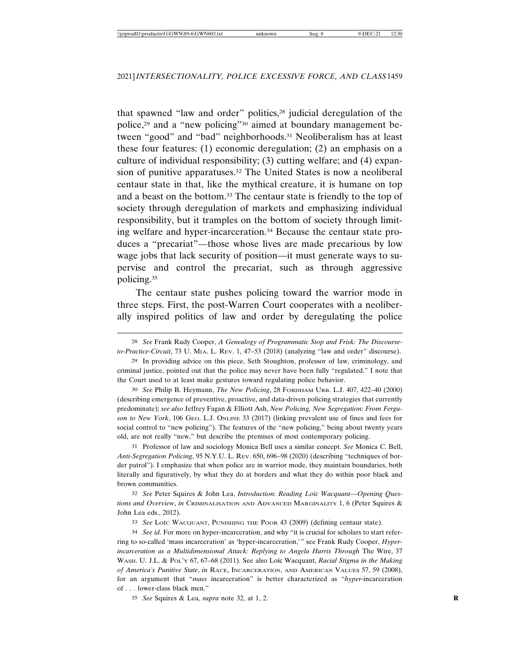that spawned "law and order" politics,28 judicial deregulation of the police,29 and a "new policing"30 aimed at boundary management between "good" and "bad" neighborhoods.<sup>31</sup> Neoliberalism has at least these four features: (1) economic deregulation; (2) an emphasis on a culture of individual responsibility; (3) cutting welfare; and (4) expansion of punitive apparatuses.<sup>32</sup> The United States is now a neoliberal centaur state in that, like the mythical creature, it is humane on top and a beast on the bottom.33 The centaur state is friendly to the top of society through deregulation of markets and emphasizing individual responsibility, but it tramples on the bottom of society through limiting welfare and hyper-incarceration.34 Because the centaur state produces a "precariat"—those whose lives are made precarious by low wage jobs that lack security of position—it must generate ways to supervise and control the precariat, such as through aggressive policing.35

The centaur state pushes policing toward the warrior mode in three steps. First, the post-Warren Court cooperates with a neoliberally inspired politics of law and order by deregulating the police

30 *See* Philip B. Heymann, *The New Policing*, 28 FORDHAM URB. L.J. 407, 422–40 (2000) (describing emergence of preventive, proactive, and data-driven policing strategies that currently predominate); *see also* Jeffrey Fagan & Elliott Ash, *New Policing, New Segregation: From Ferguson to New York*, 106 GEO. L.J. ONLINE 33 (2017) (linking prevalent use of fines and fees for social control to "new policing"). The features of the "new policing," being about twenty years old, are not really "new," but describe the premises of most contemporary policing.

31 Professor of law and sociology Monica Bell uses a similar concept. *See* Monica C. Bell, *Anti-Segregation Policing*, 95 N.Y.U. L. REV. 650, 696–98 (2020) (describing "techniques of border patrol"). I emphasize that when police are in warrior mode, they maintain boundaries, both literally and figuratively, by what they do at borders and what they do within poor black and brown communities.

32 *See* Peter Squires & John Lea, *Introduction*: *Reading Lo¨ıc Wacquant—Opening Questions and Overview*, *in* CRIMINALISATION AND ADVANCED MARGINALITY 1, 6 (Peter Squires & John Lea eds., 2012).

33 See Loïc WACQUANT, PUNISHING THE POOR 43 (2009) (defining centaur state).

34 *See id*. For more on hyper-incarceration, and why "it is crucial for scholars to start referring to so-called 'mass incarceration' as 'hyper-incarceration,'" see Frank Rudy Cooper, *Hyperincarceration as a Multidimensional Attack: Replying to Angela Harris Through The Wire, 37* WASH. U. J.L. & POL'Y 67, 67–68 (2011). See also Loïc Wacquant, *Racial Stigma in the Making of America's Punitive State*, *in* RACE, INCARCERATION, AND AMERICAN VALUES 57, 59 (2008), for an argument that "*mass* incarceration" is better characterized as "*hyper*-incarceration of . . . lower-class black men."

35 *See* Squires & Lea, *supra* note 32, at 1, 2. **R**

<sup>28</sup> *See* Frank Rudy Cooper, *A Genealogy of Programmatic Stop and Frisk: The Discourseto-Practice-Circuit*, 73 U. MIA. L. REV. 1, 47–53 (2018) (analyzing "law and order" discourse).

<sup>29</sup> In providing advice on this piece, Seth Stoughton, professor of law, criminology, and criminal justice, pointed out that the police may never have been fully "regulated." I note that the Court used to at least make gestures toward regulating police behavior.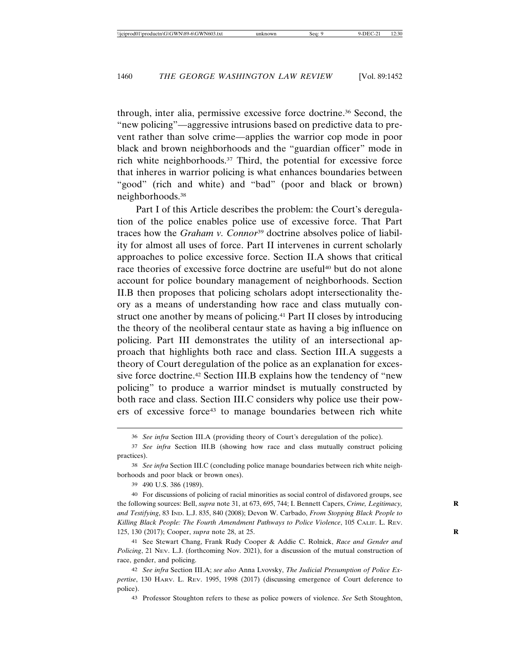through, inter alia, permissive excessive force doctrine.36 Second, the "new policing"—aggressive intrusions based on predictive data to prevent rather than solve crime—applies the warrior cop mode in poor black and brown neighborhoods and the "guardian officer" mode in rich white neighborhoods.37 Third, the potential for excessive force that inheres in warrior policing is what enhances boundaries between "good" (rich and white) and "bad" (poor and black or brown) neighborhoods.38

Part I of this Article describes the problem: the Court's deregulation of the police enables police use of excessive force. That Part traces how the *Graham v. Connor*39 doctrine absolves police of liability for almost all uses of force. Part II intervenes in current scholarly approaches to police excessive force. Section II.A shows that critical race theories of excessive force doctrine are useful<sup>40</sup> but do not alone account for police boundary management of neighborhoods. Section II.B then proposes that policing scholars adopt intersectionality theory as a means of understanding how race and class mutually construct one another by means of policing.<sup>41</sup> Part II closes by introducing the theory of the neoliberal centaur state as having a big influence on policing. Part III demonstrates the utility of an intersectional approach that highlights both race and class. Section III.A suggests a theory of Court deregulation of the police as an explanation for excessive force doctrine.42 Section III.B explains how the tendency of "new policing" to produce a warrior mindset is mutually constructed by both race and class. Section III.C considers why police use their powers of excessive force43 to manage boundaries between rich white

38 *See infra* Section III.C (concluding police manage boundaries between rich white neighborhoods and poor black or brown ones).

39 490 U.S. 386 (1989).

40 For discussions of policing of racial minorities as social control of disfavored groups, see the following sources: Bell, *supra* note 31, at 673, 695, 744; I. Bennett Capers, *Crime, Legitimacy,* **R** *and Testifying*, 83 IND. L.J. 835, 840 (2008); Devon W. Carbado, *From Stopping Black People to Killing Black People: The Fourth Amendment Pathways to Police Violence*, 105 CALIF. L. REV. 125, 130 (2017); Cooper, *supra* note 28, at 25. **R**

41 See Stewart Chang, Frank Rudy Cooper & Addie C. Rolnick, *Race and Gender and Policing*, 21 NEV. L.J. (forthcoming Nov. 2021), for a discussion of the mutual construction of race, gender, and policing.

42 *See infra* Section III.A; *see also* Anna Lvovsky, *The Judicial Presumption of Police Expertise*, 130 HARV. L. REV. 1995, 1998 (2017) (discussing emergence of Court deference to police).

43 Professor Stoughton refers to these as police powers of violence. *See* Seth Stoughton,

<sup>36</sup> *See infra* Section III.A (providing theory of Court's deregulation of the police).

<sup>37</sup> *See infra* Section III.B (showing how race and class mutually construct policing practices).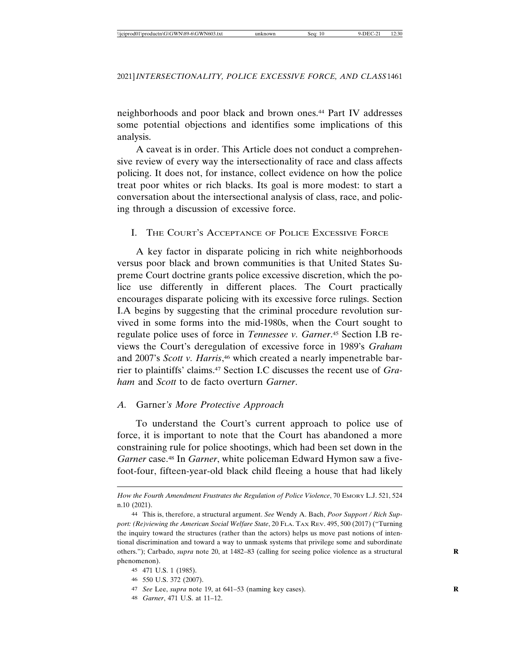neighborhoods and poor black and brown ones.44 Part IV addresses some potential objections and identifies some implications of this analysis.

A caveat is in order. This Article does not conduct a comprehensive review of every way the intersectionality of race and class affects policing. It does not, for instance, collect evidence on how the police treat poor whites or rich blacks. Its goal is more modest: to start a conversation about the intersectional analysis of class, race, and policing through a discussion of excessive force.

# I. THE COURT'S ACCEPTANCE OF POLICE EXCESSIVE FORCE

A key factor in disparate policing in rich white neighborhoods versus poor black and brown communities is that United States Supreme Court doctrine grants police excessive discretion, which the police use differently in different places. The Court practically encourages disparate policing with its excessive force rulings. Section I.A begins by suggesting that the criminal procedure revolution survived in some forms into the mid-1980s, when the Court sought to regulate police uses of force in *Tennessee v. Garner*. 45 Section I.B reviews the Court's deregulation of excessive force in 1989's *Graham* and 2007's *Scott v. Harris*, 46 which created a nearly impenetrable barrier to plaintiffs' claims.47 Section I.C discusses the recent use of *Graham* and *Scott* to de facto overturn *Garner*.

# *A.* Garner*'s More Protective Approach*

To understand the Court's current approach to police use of force, it is important to note that the Court has abandoned a more constraining rule for police shootings, which had been set down in the *Garner* case.48 In *Garner*, white policeman Edward Hymon saw a fivefoot-four, fifteen-year-old black child fleeing a house that had likely

- 46 550 U.S. 372 (2007).
- 47 *See* Lee, *supra* note 19, at 641–53 (naming key cases). **R**
- 48 *Garner*, 471 U.S. at 11–12.

How the Fourth Amendment Frustrates the Regulation of Police Violence, 70 EMORY L.J. 521, 524 n.10 (2021).

<sup>44</sup> This is, therefore, a structural argument. *See* Wendy A. Bach, *Poor Support / Rich Support: (Re)viewing the American Social Welfare State*, 20 FLA. TAX REV. 495, 500 (2017) ("Turning the inquiry toward the structures (rather than the actors) helps us move past notions of intentional discrimination and toward a way to unmask systems that privilege some and subordinate others."); Carbado, *supra* note 20, at 1482–83 (calling for seeing police violence as a structural **R** phenomenon).

<sup>45</sup> 471 U.S. 1 (1985).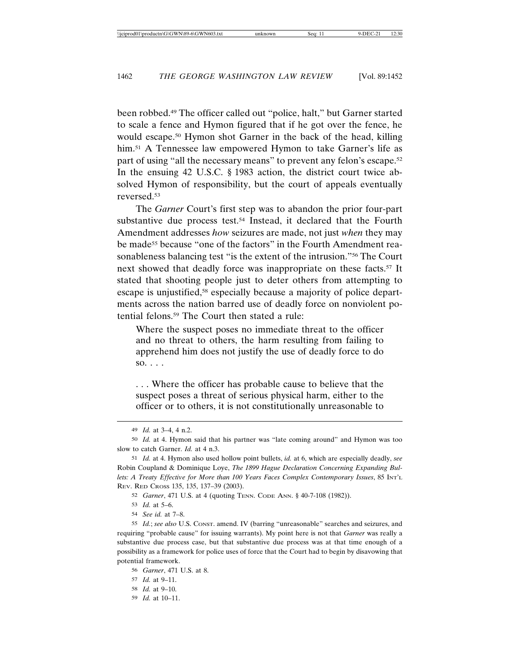been robbed.49 The officer called out "police, halt," but Garner started to scale a fence and Hymon figured that if he got over the fence, he would escape.50 Hymon shot Garner in the back of the head, killing him.<sup>51</sup> A Tennessee law empowered Hymon to take Garner's life as part of using "all the necessary means" to prevent any felon's escape.52 In the ensuing 42 U.S.C. § 1983 action, the district court twice absolved Hymon of responsibility, but the court of appeals eventually reversed.53

The *Garner* Court's first step was to abandon the prior four-part substantive due process test.<sup>54</sup> Instead, it declared that the Fourth Amendment addresses *how* seizures are made, not just *when* they may be made<sup>55</sup> because "one of the factors" in the Fourth Amendment reasonableness balancing test "is the extent of the intrusion."56 The Court next showed that deadly force was inappropriate on these facts.<sup>57</sup> It stated that shooting people just to deter others from attempting to escape is unjustified,<sup>58</sup> especially because a majority of police departments across the nation barred use of deadly force on nonviolent potential felons.59 The Court then stated a rule:

Where the suspect poses no immediate threat to the officer and no threat to others, the harm resulting from failing to apprehend him does not justify the use of deadly force to do so. . . .

. . . Where the officer has probable cause to believe that the suspect poses a threat of serious physical harm, either to the officer or to others, it is not constitutionally unreasonable to

54 *See id.* at 7–8.

55 *Id.*; *see also* U.S. CONST. amend. IV (barring "unreasonable" searches and seizures, and requiring "probable cause" for issuing warrants). My point here is not that *Garner* was really a substantive due process case, but that substantive due process was at that time enough of a possibility as a framework for police uses of force that the Court had to begin by disavowing that potential framework.

59 *Id.* at 10–11.

<sup>49</sup> *Id.* at 3–4, 4 n.2.

<sup>50</sup> *Id.* at 4. Hymon said that his partner was "late coming around" and Hymon was too slow to catch Garner. *Id.* at 4 n.3.

<sup>51</sup> *Id.* at 4. Hymon also used hollow point bullets, *id.* at 6, which are especially deadly, *see* Robin Coupland & Dominique Loye, *The 1899 Hague Declaration Concerning Expanding Bullets: A Treaty Effective for More than 100 Years Faces Complex Contemporary Issues*, 85 INT'L REV. RED CROSS 135, 135, 137–39 (2003).

<sup>52</sup> *Garner*, 471 U.S. at 4 (quoting TENN. CODE ANN. § 40-7-108 (1982)).

<sup>53</sup> *Id.* at 5–6.

<sup>56</sup> *Garner*, 471 U.S. at 8.

<sup>57</sup> *Id.* at 9–11.

<sup>58</sup> *Id.* at 9–10.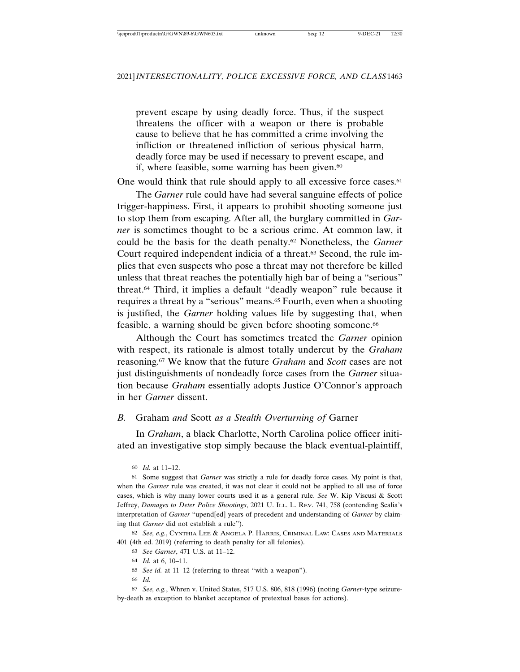prevent escape by using deadly force. Thus, if the suspect threatens the officer with a weapon or there is probable cause to believe that he has committed a crime involving the infliction or threatened infliction of serious physical harm, deadly force may be used if necessary to prevent escape, and if, where feasible, some warning has been given.<sup>60</sup>

One would think that rule should apply to all excessive force cases.<sup>61</sup>

The *Garner* rule could have had several sanguine effects of police trigger-happiness. First, it appears to prohibit shooting someone just to stop them from escaping. After all, the burglary committed in *Garner* is sometimes thought to be a serious crime. At common law, it could be the basis for the death penalty.62 Nonetheless, the *Garner* Court required independent indicia of a threat.63 Second, the rule implies that even suspects who pose a threat may not therefore be killed unless that threat reaches the potentially high bar of being a "serious" threat.64 Third, it implies a default "deadly weapon" rule because it requires a threat by a "serious" means.65 Fourth, even when a shooting is justified, the *Garner* holding values life by suggesting that, when feasible, a warning should be given before shooting someone.<sup>66</sup>

Although the Court has sometimes treated the *Garner* opinion with respect, its rationale is almost totally undercut by the *Graham* reasoning.67 We know that the future *Graham* and *Scott* cases are not just distinguishments of nondeadly force cases from the *Garner* situation because *Graham* essentially adopts Justice O'Connor's approach in her *Garner* dissent.

# *B.* Graham *and* Scott *as a Stealth Overturning of* Garner

In *Graham*, a black Charlotte, North Carolina police officer initiated an investigative stop simply because the black eventual-plaintiff,

63 *See Garner*, 471 U.S. at 11–12.

65 *See id.* at 11–12 (referring to threat "with a weapon").

66 *Id.*

<sup>60</sup> *Id.* at 11–12.

<sup>61</sup> Some suggest that *Garner* was strictly a rule for deadly force cases. My point is that, when the *Garner* rule was created, it was not clear it could not be applied to all use of force cases, which is why many lower courts used it as a general rule. *See* W. Kip Viscusi & Scott Jeffrey, *Damages to Deter Police Shootings*, 2021 U. ILL. L. REV. 741, 758 (contending Scalia's interpretation of *Garner* "upend[ed] years of precedent and understanding of *Garner* by claiming that *Garner* did not establish a rule").

<sup>62</sup> *See, e.g.*, CYNTHIA LEE & ANGELA P. HARRIS, CRIMINAL LAW: CASES AND MATERIALS 401 (4th ed. 2019) (referring to death penalty for all felonies).

<sup>64</sup> *Id.* at 6, 10–11.

<sup>67</sup> *See, e.g.*, Whren v. United States, 517 U.S. 806, 818 (1996) (noting *Garner*-type seizureby-death as exception to blanket acceptance of pretextual bases for actions).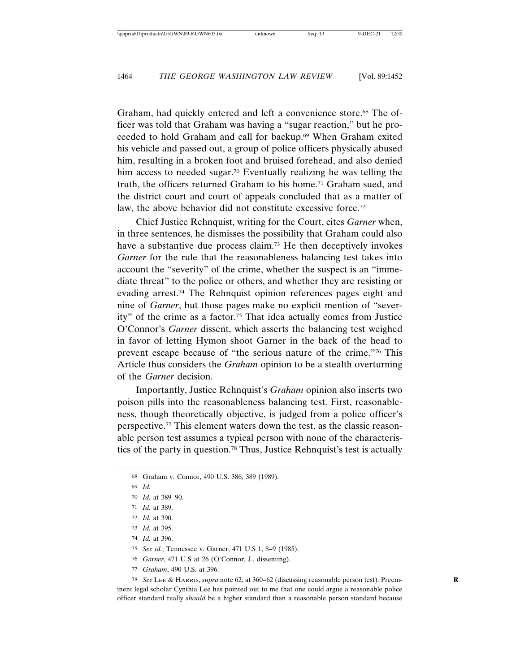Graham, had quickly entered and left a convenience store.<sup>68</sup> The officer was told that Graham was having a "sugar reaction," but he proceeded to hold Graham and call for backup.69 When Graham exited his vehicle and passed out, a group of police officers physically abused him, resulting in a broken foot and bruised forehead, and also denied him access to needed sugar.<sup>70</sup> Eventually realizing he was telling the truth, the officers returned Graham to his home.71 Graham sued, and the district court and court of appeals concluded that as a matter of law, the above behavior did not constitute excessive force.<sup>72</sup>

Chief Justice Rehnquist, writing for the Court, cites *Garner* when, in three sentences, he dismisses the possibility that Graham could also have a substantive due process claim.<sup>73</sup> He then deceptively invokes *Garner* for the rule that the reasonableness balancing test takes into account the "severity" of the crime, whether the suspect is an "immediate threat" to the police or others, and whether they are resisting or evading arrest.74 The Rehnquist opinion references pages eight and nine of *Garner*, but those pages make no explicit mention of "severity" of the crime as a factor.75 That idea actually comes from Justice O'Connor's *Garner* dissent, which asserts the balancing test weighed in favor of letting Hymon shoot Garner in the back of the head to prevent escape because of "the serious nature of the crime."76 This Article thus considers the *Graham* opinion to be a stealth overturning of the *Garner* decision.

Importantly, Justice Rehnquist's *Graham* opinion also inserts two poison pills into the reasonableness balancing test. First, reasonableness, though theoretically objective, is judged from a police officer's perspective.77 This element waters down the test, as the classic reasonable person test assumes a typical person with none of the characteristics of the party in question.78 Thus, Justice Rehnquist's test is actually

74 *Id.* at 396.

75 *See id.*; Tennessee v. Garner, 471 U.S 1, 8–9 (1985).

- 76 *Garner*, 471 U.S at 26 (O'Connor, J., dissenting).
- 77 *Graham*, 490 U.S. at 396.

78 *See* LEE & HARRIS, *supra* note 62, at 360–62 (discussing reasonable person test). Preem- **R** inent legal scholar Cynthia Lee has pointed out to me that one could argue a reasonable police officer standard really *should* be a higher standard than a reasonable person standard because

<sup>68</sup> Graham v. Connor, 490 U.S. 386, 389 (1989).

<sup>69</sup> *Id.*

<sup>70</sup> *Id.* at 389–90.

<sup>71</sup> *Id.* at 389.

<sup>72</sup> *Id.* at 390.

<sup>73</sup> *Id.* at 395.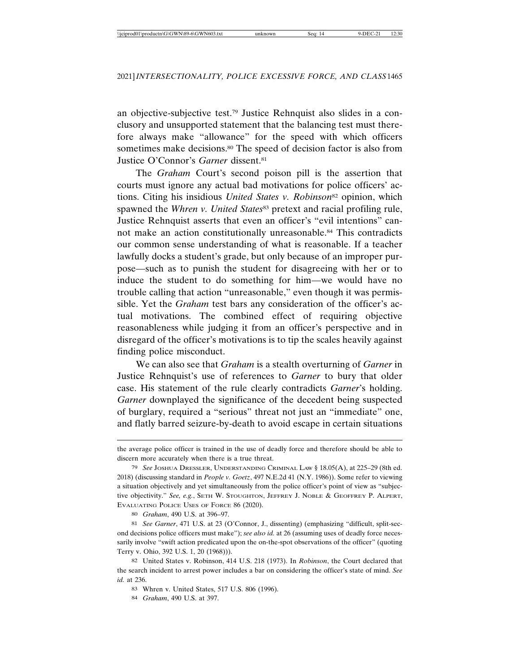an objective-subjective test.79 Justice Rehnquist also slides in a conclusory and unsupported statement that the balancing test must therefore always make "allowance" for the speed with which officers sometimes make decisions.<sup>80</sup> The speed of decision factor is also from Justice O'Connor's *Garner* dissent.<sup>81</sup>

The *Graham* Court's second poison pill is the assertion that courts must ignore any actual bad motivations for police officers' actions. Citing his insidious *United States v. Robinson*<sup>82</sup> opinion, which spawned the *Whren v. United States*<sup>83</sup> pretext and racial profiling rule, Justice Rehnquist asserts that even an officer's "evil intentions" cannot make an action constitutionally unreasonable.84 This contradicts our common sense understanding of what is reasonable. If a teacher lawfully docks a student's grade, but only because of an improper purpose—such as to punish the student for disagreeing with her or to induce the student to do something for him—we would have no trouble calling that action "unreasonable," even though it was permissible. Yet the *Graham* test bars any consideration of the officer's actual motivations. The combined effect of requiring objective reasonableness while judging it from an officer's perspective and in disregard of the officer's motivations is to tip the scales heavily against finding police misconduct.

We can also see that *Graham* is a stealth overturning of *Garner* in Justice Rehnquist's use of references to *Garner* to bury that older case. His statement of the rule clearly contradicts *Garner*'s holding. *Garner* downplayed the significance of the decedent being suspected of burglary, required a "serious" threat not just an "immediate" one, and flatly barred seizure-by-death to avoid escape in certain situations

80 *Graham*, 490 U.S. at 396–97.

81 *See Garner*, 471 U.S. at 23 (O'Connor, J., dissenting) (emphasizing "difficult, split-second decisions police officers must make"); *see also id.* at 26 (assuming uses of deadly force necessarily involve "swift action predicated upon the on-the-spot observations of the officer" (quoting Terry v. Ohio, 392 U.S. 1, 20 (1968))).

the average police officer is trained in the use of deadly force and therefore should be able to discern more accurately when there is a true threat.

<sup>79</sup> *See* JOSHUA DRESSLER, UNDERSTANDING CRIMINAL LAW § 18.05(A), at 225–29 (8th ed. 2018) (discussing standard in *People v. Goetz*, 497 N.E.2d 41 (N.Y. 1986)). Some refer to viewing a situation objectively and yet simultaneously from the police officer's point of view as "subjective objectivity." *See, e.g.*, SETH W. STOUGHTON, JEFFREY J. NOBLE & GEOFFREY P. ALPERT, EVALUATING POLICE USES OF FORCE 86 (2020).

<sup>82</sup> United States v. Robinson, 414 U.S. 218 (1973). In *Robinson*, the Court declared that the search incident to arrest power includes a bar on considering the officer's state of mind. *See id.* at 236.

<sup>83</sup> Whren v. United States, 517 U.S. 806 (1996).

<sup>84</sup> *Graham*, 490 U.S. at 397.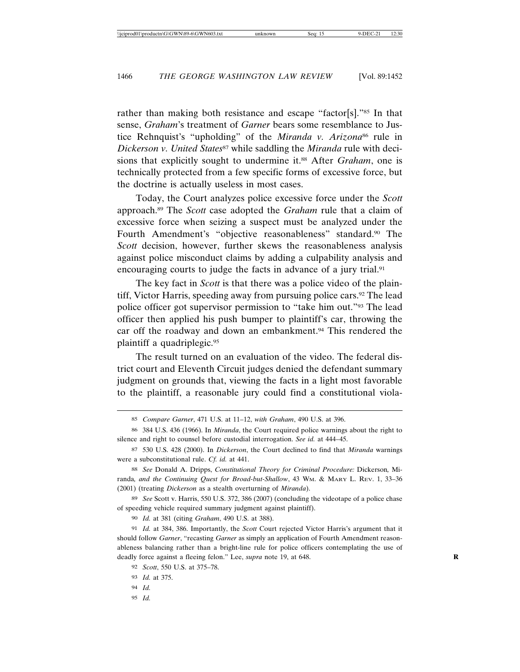rather than making both resistance and escape "factor[s]."85 In that sense, *Graham*'s treatment of *Garner* bears some resemblance to Justice Rehnquist's "upholding" of the *Miranda v. Arizona*<sup>86</sup> rule in *Dickerson v. United States<sup>87</sup>* while saddling the *Miranda* rule with decisions that explicitly sought to undermine it.<sup>88</sup> After *Graham*, one is technically protected from a few specific forms of excessive force, but the doctrine is actually useless in most cases.

Today, the Court analyzes police excessive force under the *Scott* approach.89 The *Scott* case adopted the *Graham* rule that a claim of excessive force when seizing a suspect must be analyzed under the Fourth Amendment's "objective reasonableness" standard.<sup>90</sup> The *Scott* decision, however, further skews the reasonableness analysis against police misconduct claims by adding a culpability analysis and encouraging courts to judge the facts in advance of a jury trial.<sup>91</sup>

The key fact in *Scott* is that there was a police video of the plaintiff, Victor Harris, speeding away from pursuing police cars.<sup>92</sup> The lead police officer got supervisor permission to "take him out."93 The lead officer then applied his push bumper to plaintiff's car, throwing the car off the roadway and down an embankment.<sup>94</sup> This rendered the plaintiff a quadriplegic.95

The result turned on an evaluation of the video. The federal district court and Eleventh Circuit judges denied the defendant summary judgment on grounds that, viewing the facts in a light most favorable to the plaintiff, a reasonable jury could find a constitutional viola-

88 *See* Donald A. Dripps, *Constitutional Theory for Criminal Procedure:* Dickerson*,* Miranda*, and the Continuing Quest for Broad-but-Shallow*, 43 WM. & MARY L. REV. 1, 33–36 (2001) (treating *Dickerson* as a stealth overturning of *Miranda*).

89 *See* Scott v. Harris, 550 U.S. 372, 386 (2007) (concluding the videotape of a police chase of speeding vehicle required summary judgment against plaintiff).

90 *Id.* at 381 (citing *Graham*, 490 U.S. at 388).

91 *Id.* at 384, 386. Importantly, the *Scott* Court rejected Victor Harris's argument that it should follow *Garner*, "recasting *Garner* as simply an application of Fourth Amendment reasonableness balancing rather than a bright-line rule for police officers contemplating the use of deadly force against a fleeing felon." Lee, *supra* note 19, at 648.

95 *Id.*

<sup>85</sup> *Compare Garner*, 471 U.S. at 11–12, *with Graham*, 490 U.S. at 396.

<sup>86</sup> 384 U.S. 436 (1966). In *Miranda*, the Court required police warnings about the right to silence and right to counsel before custodial interrogation. *See id.* at 444–45.

<sup>87</sup> 530 U.S. 428 (2000). In *Dickerson*, the Court declined to find that *Miranda* warnings were a subconstitutional rule. *Cf. id.* at 441.

<sup>92</sup> *Scott*, 550 U.S. at 375–78.

<sup>93</sup> *Id.* at 375.

<sup>94</sup> *Id.*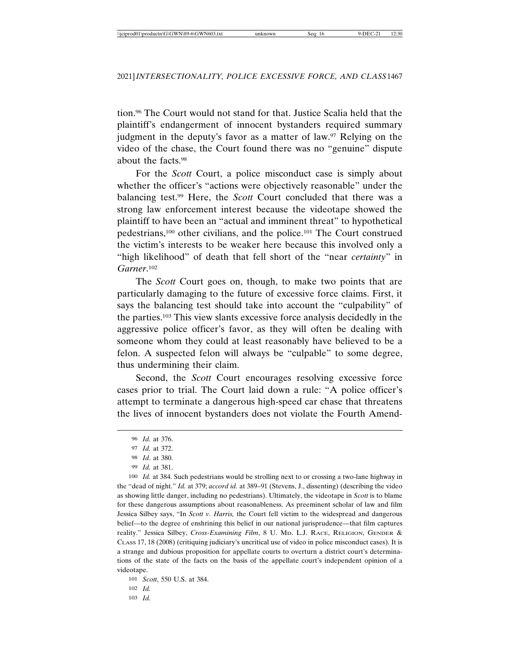tion.96 The Court would not stand for that. Justice Scalia held that the plaintiff's endangerment of innocent bystanders required summary judgment in the deputy's favor as a matter of law.97 Relying on the video of the chase, the Court found there was no "genuine" dispute about the facts.98

For the *Scott* Court, a police misconduct case is simply about whether the officer's "actions were objectively reasonable" under the balancing test.99 Here, the *Scott* Court concluded that there was a strong law enforcement interest because the videotape showed the plaintiff to have been an "actual and imminent threat" to hypothetical pedestrians,100 other civilians, and the police.101 The Court construed the victim's interests to be weaker here because this involved only a "high likelihood" of death that fell short of the "near *certainty*" in *Garner*. 102

The *Scott* Court goes on, though, to make two points that are particularly damaging to the future of excessive force claims. First, it says the balancing test should take into account the "culpability" of the parties.103 This view slants excessive force analysis decidedly in the aggressive police officer's favor, as they will often be dealing with someone whom they could at least reasonably have believed to be a felon. A suspected felon will always be "culpable" to some degree, thus undermining their claim.

Second, the *Scott* Court encourages resolving excessive force cases prior to trial. The Court laid down a rule: "A police officer's attempt to terminate a dangerous high-speed car chase that threatens the lives of innocent bystanders does not violate the Fourth Amend-

101 *Scott*, 550 U.S. at 384. 102 *Id.* 103 *Id.*

<sup>96</sup> *Id.* at 376.

<sup>97</sup> *Id.* at 372.

<sup>98</sup> *Id*. at 380.

<sup>99</sup> *Id.* at 381.

<sup>100</sup> *Id.* at 384. Such pedestrians would be strolling next to or crossing a two-lane highway in the "dead of night." *Id.* at 379; *accord id.* at 389–91 (Stevens, J., dissenting) (describing the video as showing little danger, including no pedestrians). Ultimately, the videotape in *Scott* is to blame for these dangerous assumptions about reasonableness. As preeminent scholar of law and film Jessica Silbey says, "In *Scott v. Harris,* the Court fell victim to the widespread and dangerous belief—to the degree of enshrining this belief in our national jurisprudence—that film captures reality." Jessica Silbey, *Cross-Examining Film*, 8 U. MD. L.J. RACE, RELIGION, GENDER & CLASS 17, 18 (2008) (critiquing judiciary's uncritical use of video in police misconduct cases). It is a strange and dubious proposition for appellate courts to overturn a district court's determinations of the state of the facts on the basis of the appellate court's independent opinion of a videotape.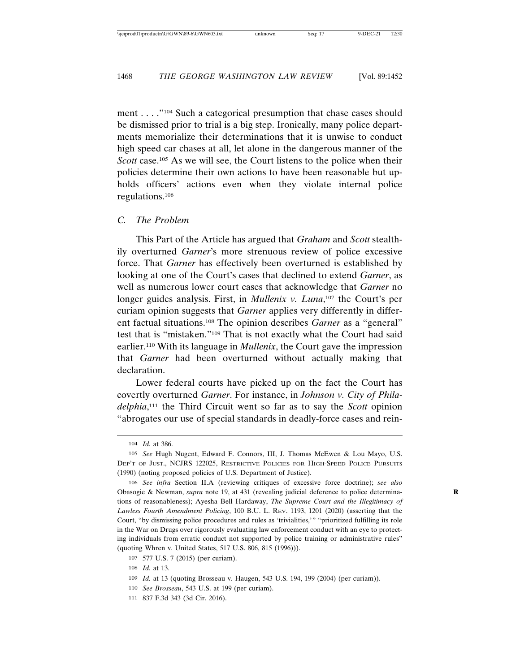ment . . . ."104 Such a categorical presumption that chase cases should be dismissed prior to trial is a big step. Ironically, many police departments memorialize their determinations that it is unwise to conduct high speed car chases at all, let alone in the dangerous manner of the *Scott* case.<sup>105</sup> As we will see, the Court listens to the police when their policies determine their own actions to have been reasonable but upholds officers' actions even when they violate internal police regulations.106

#### *C. The Problem*

This Part of the Article has argued that *Graham* and *Scott* stealthily overturned *Garner*'s more strenuous review of police excessive force. That *Garner* has effectively been overturned is established by looking at one of the Court's cases that declined to extend *Garner*, as well as numerous lower court cases that acknowledge that *Garner* no longer guides analysis. First, in *Mullenix v. Luna*, 107 the Court's per curiam opinion suggests that *Garner* applies very differently in different factual situations.108 The opinion describes *Garner* as a "general" test that is "mistaken."109 That is not exactly what the Court had said earlier.110 With its language in *Mullenix*, the Court gave the impression that *Garner* had been overturned without actually making that declaration.

Lower federal courts have picked up on the fact the Court has covertly overturned *Garner*. For instance, in *Johnson v. City of Philadelphia*, 111 the Third Circuit went so far as to say the *Scott* opinion "abrogates our use of special standards in deadly-force cases and rein-

111 837 F.3d 343 (3d Cir. 2016).

<sup>104</sup> *Id.* at 386.

<sup>105</sup> *See* Hugh Nugent, Edward F. Connors, III, J. Thomas McEwen & Lou Mayo, U.S. DEP'T OF JUST., NCJRS 122025, RESTRICTIVE POLICIES FOR HIGH-SPEED POLICE PURSUITS (1990) (noting proposed policies of U.S. Department of Justice).

<sup>106</sup> *See infra* Section II.A (reviewing critiques of excessive force doctrine); *see also* Obasogie & Newman, *supra* note 19, at 431 (revealing judicial deference to police determina- **R** tions of reasonableness); Ayesha Bell Hardaway, *The Supreme Court and the Illegitimacy of Lawless Fourth Amendment Policing*, 100 B.U. L. REV. 1193, 1201 (2020) (asserting that the Court, "by dismissing police procedures and rules as 'trivialities,'" "prioritized fulfilling its role in the War on Drugs over rigorously evaluating law enforcement conduct with an eye to protecting individuals from erratic conduct not supported by police training or administrative rules" (quoting Whren v. United States, 517 U.S. 806, 815 (1996))).

<sup>107</sup> 577 U.S. 7 (2015) (per curiam).

<sup>108</sup> *Id.* at 13.

<sup>109</sup> *Id.* at 13 (quoting Brosseau v. Haugen, 543 U.S. 194, 199 (2004) (per curiam)).

<sup>110</sup> *See Brosseau*, 543 U.S. at 199 (per curiam).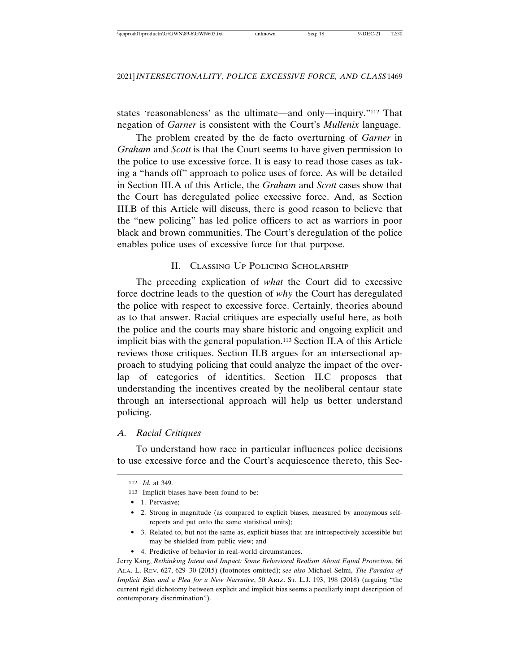states 'reasonableness' as the ultimate—and only—inquiry."112 That negation of *Garner* is consistent with the Court's *Mullenix* language.

The problem created by the de facto overturning of *Garner* in *Graham* and *Scott* is that the Court seems to have given permission to the police to use excessive force. It is easy to read those cases as taking a "hands off" approach to police uses of force. As will be detailed in Section III.A of this Article, the *Graham* and *Scott* cases show that the Court has deregulated police excessive force. And, as Section III.B of this Article will discuss, there is good reason to believe that the "new policing" has led police officers to act as warriors in poor black and brown communities. The Court's deregulation of the police enables police uses of excessive force for that purpose.

# II. CLASSING UP POLICING SCHOLARSHIP

The preceding explication of *what* the Court did to excessive force doctrine leads to the question of *why* the Court has deregulated the police with respect to excessive force. Certainly, theories abound as to that answer. Racial critiques are especially useful here, as both the police and the courts may share historic and ongoing explicit and implicit bias with the general population.113 Section II.A of this Article reviews those critiques. Section II.B argues for an intersectional approach to studying policing that could analyze the impact of the overlap of categories of identities. Section II.C proposes that understanding the incentives created by the neoliberal centaur state through an intersectional approach will help us better understand policing.

# *A. Racial Critiques*

To understand how race in particular influences police decisions to use excessive force and the Court's acquiescence thereto, this Sec-

- 3. Related to, but not the same as, explicit biases that are introspectively accessible but may be shielded from public view; and
- 4. Predictive of behavior in real-world circumstances.

Jerry Kang, *Rethinking Intent and Impact: Some Behavioral Realism About Equal Protection*, 66 ALA. L. REV. 627, 629–30 (2015) (footnotes omitted); *see also* Michael Selmi, *The Paradox of Implicit Bias and a Plea for a New Narrative*, 50 ARIZ. ST. L.J. 193, 198 (2018) (arguing "the current rigid dichotomy between explicit and implicit bias seems a peculiarly inapt description of contemporary discrimination").

<sup>112</sup> *Id.* at 349.

<sup>113</sup> Implicit biases have been found to be:

<sup>• 1.</sup> Pervasive:

<sup>• 2.</sup> Strong in magnitude (as compared to explicit biases, measured by anonymous selfreports and put onto the same statistical units);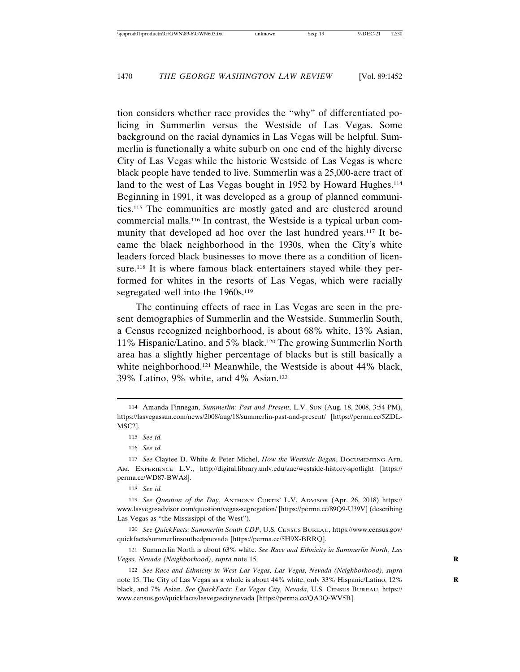tion considers whether race provides the "why" of differentiated policing in Summerlin versus the Westside of Las Vegas. Some background on the racial dynamics in Las Vegas will be helpful. Summerlin is functionally a white suburb on one end of the highly diverse City of Las Vegas while the historic Westside of Las Vegas is where black people have tended to live. Summerlin was a 25,000-acre tract of land to the west of Las Vegas bought in 1952 by Howard Hughes.<sup>114</sup> Beginning in 1991, it was developed as a group of planned communities.115 The communities are mostly gated and are clustered around commercial malls.116 In contrast, the Westside is a typical urban community that developed ad hoc over the last hundred years.<sup>117</sup> It became the black neighborhood in the 1930s, when the City's white leaders forced black businesses to move there as a condition of licensure.<sup>118</sup> It is where famous black entertainers stayed while they performed for whites in the resorts of Las Vegas, which were racially segregated well into the 1960s.<sup>119</sup>

The continuing effects of race in Las Vegas are seen in the present demographics of Summerlin and the Westside. Summerlin South, a Census recognized neighborhood, is about 68% white, 13% Asian, 11% Hispanic/Latino, and 5% black.120 The growing Summerlin North area has a slightly higher percentage of blacks but is still basically a white neighborhood.121 Meanwhile, the Westside is about 44% black, 39% Latino, 9% white, and 4% Asian.122

118 *See id.*

120 *See QuickFacts: Summerlin South CDP*, U.S. CENSUS BUREAU, https://www.census.gov/ quickfacts/summerlinsouthcdpnevada [https://perma.cc/5H9X-BRRQ].

121 Summerlin North is about 63% white. *See Race and Ethnicity in Summerlin North, Las Vegas, Nevada (Neighborhood)*, *supra* note 15. **R**

122 *See Race and Ethnicity in West Las Vegas, Las Vegas, Nevada (Neighborhood)*, *supra* note 15. The City of Las Vegas as a whole is about 44% white, only 33% Hispanic/Latino, 12% black, and 7% Asian. *See QuickFacts: Las Vegas City, Nevada*, U.S. CENSUS BUREAU, https:// www.census.gov/quickfacts/lasvegascitynevada [https://perma.cc/QA3Q-WV5B].

<sup>114</sup> Amanda Finnegan, *Summerlin: Past and Present*, L.V. SUN (Aug. 18, 2008, 3:54 PM), https://lasvegassun.com/news/2008/aug/18/summerlin-past-and-present/ [https://perma.cc/5ZDL-MSC2].

<sup>115</sup> *See id.*

<sup>116</sup> *See id.*

<sup>117</sup> *See* Claytee D. White & Peter Michel, *How the Westside Began*, DOCUMENTING AFR. AM. EXPERIENCE L.V., http://digital.library.unlv.edu/aae/westside-history-spotlight [https:// perma.cc/WD87-BWA8].

<sup>119</sup> *See Question of the Day*, ANTHONY CURTIS' L.V. ADVISOR (Apr. 26, 2018) https:// www.lasvegasadvisor.com/question/vegas-segregation/ [https://perma.cc/89Q9-U39V] (describing Las Vegas as "the Mississippi of the West").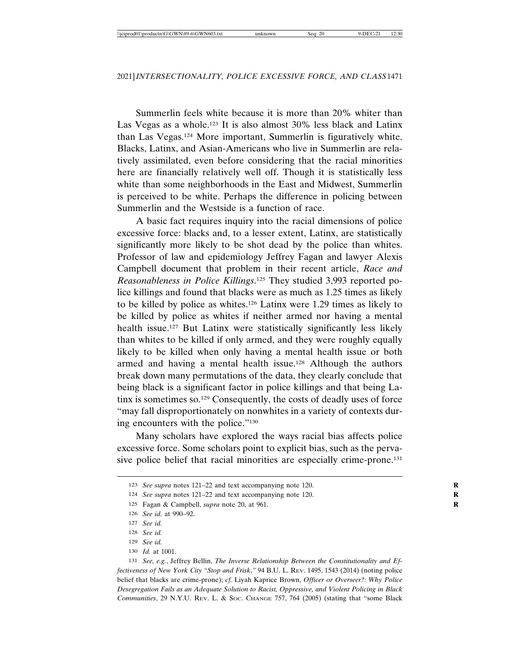Summerlin feels white because it is more than 20% whiter than Las Vegas as a whole.123 It is also almost 30% less black and Latinx than Las Vegas.124 More important, Summerlin is figuratively white. Blacks, Latinx, and Asian-Americans who live in Summerlin are relatively assimilated, even before considering that the racial minorities here are financially relatively well off. Though it is statistically less white than some neighborhoods in the East and Midwest, Summerlin is perceived to be white. Perhaps the difference in policing between Summerlin and the Westside is a function of race.

A basic fact requires inquiry into the racial dimensions of police excessive force: blacks and, to a lesser extent, Latinx, are statistically significantly more likely to be shot dead by the police than whites. Professor of law and epidemiology Jeffrey Fagan and lawyer Alexis Campbell document that problem in their recent article, *Race and Reasonableness in Police Killings*. 125 They studied 3,993 reported police killings and found that blacks were as much as 1.25 times as likely to be killed by police as whites.126 Latinx were 1.29 times as likely to be killed by police as whites if neither armed nor having a mental health issue.<sup>127</sup> But Latinx were statistically significantly less likely than whites to be killed if only armed, and they were roughly equally likely to be killed when only having a mental health issue or both armed and having a mental health issue.<sup>128</sup> Although the authors break down many permutations of the data, they clearly conclude that being black is a significant factor in police killings and that being Latinx is sometimes so.129 Consequently, the costs of deadly uses of force "may fall disproportionately on nonwhites in a variety of contexts during encounters with the police."130

Many scholars have explored the ways racial bias affects police excessive force. Some scholars point to explicit bias, such as the pervasive police belief that racial minorities are especially crime-prone.131

<sup>123</sup> *See supra* notes 121–22 and text accompanying note 120.

<sup>124</sup> *See supra* notes 121–22 and text accompanying note 120.

<sup>125</sup> Fagan & Campbell, *supra* note 20, at 961.

<sup>126</sup> *See id.* at 990–92.

<sup>127</sup> *See id.*

<sup>128</sup> *See id.*

<sup>129</sup> *See id.*

<sup>130</sup> *Id.* at 1001.

<sup>131</sup> *See, e.g.*, Jeffrey Bellin, *The Inverse Relationship Between the Constitutionality and Effectiveness of New York City "Stop and Frisk*,*"* 94 B.U. L. REV. 1495, 1543 (2014) (noting police belief that blacks are crime-prone); *cf.* Liyah Kaprice Brown, *Officer or Overseer?: Why Police Desegregation Fails as an Adequate Solution to Racist, Oppressive, and Violent Policing in Black Communities*, 29 N.Y.U. REV. L. & SOC. CHANGE 757, 764 (2005) (stating that "some Black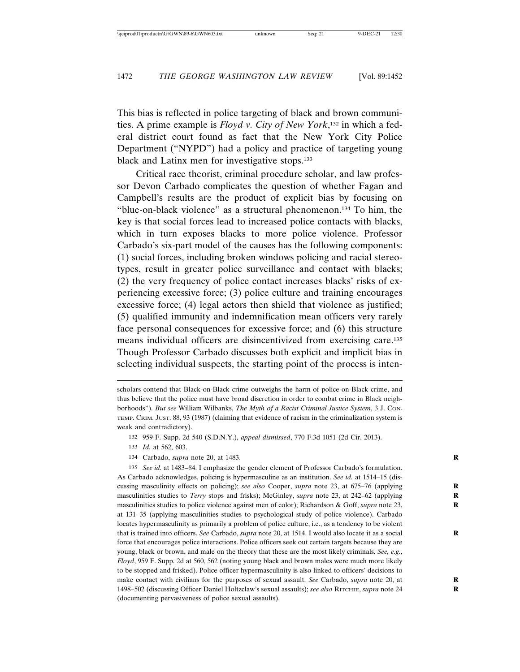This bias is reflected in police targeting of black and brown communities. A prime example is *Floyd v. City of New York*, 132 in which a federal district court found as fact that the New York City Police Department ("NYPD") had a policy and practice of targeting young black and Latinx men for investigative stops.133

Critical race theorist, criminal procedure scholar, and law professor Devon Carbado complicates the question of whether Fagan and Campbell's results are the product of explicit bias by focusing on "blue-on-black violence" as a structural phenomenon.134 To him, the key is that social forces lead to increased police contacts with blacks, which in turn exposes blacks to more police violence. Professor Carbado's six-part model of the causes has the following components: (1) social forces, including broken windows policing and racial stereotypes, result in greater police surveillance and contact with blacks; (2) the very frequency of police contact increases blacks' risks of experiencing excessive force; (3) police culture and training encourages excessive force; (4) legal actors then shield that violence as justified; (5) qualified immunity and indemnification mean officers very rarely face personal consequences for excessive force; and (6) this structure means individual officers are disincentivized from exercising care.135 Though Professor Carbado discusses both explicit and implicit bias in selecting individual suspects, the starting point of the process is inten-

134 Carbado, *supra* note 20, at 1483. **R**

135 *See id.* at 1483–84. I emphasize the gender element of Professor Carbado's formulation. As Carbado acknowledges, policing is hypermasculine as an institution. *See id.* at 1514–15 (discussing masculinity effects on policing); *see also* Cooper, *supra* note 23, at 675–76 (applying masculinities studies to *Terry* stops and frisks); McGinley, *supra* note 23, at 242–62 (applying **R** masculinities studies to police violence against men of color); Richardson & Goff, *supra* note 23, at 131–35 (applying masculinities studies to psychological study of police violence). Carbado locates hypermasculinity as primarily a problem of police culture, i.e., as a tendency to be violent that is trained into officers. *See* Carbado, *supra* note 20, at 1514. I would also locate it as a social **R** force that encourages police interactions. Police officers seek out certain targets because they are young, black or brown, and male on the theory that these are the most likely criminals. *See, e.g.*, *Floyd*, 959 F. Supp. 2d at 560, 562 (noting young black and brown males were much more likely to be stopped and frisked). Police officer hypermasculinity is also linked to officers' decisions to make contact with civilians for the purposes of sexual assault. *See* Carbado, *supra* note 20, at **R** 1498–502 (discussing Officer Daniel Holtzclaw's sexual assaults); *see also* RITCHIE, *supra* note 24 (documenting pervasiveness of police sexual assaults).

scholars contend that Black-on-Black crime outweighs the harm of police-on-Black crime, and thus believe that the police must have broad discretion in order to combat crime in Black neighborhoods"). *But see* William Wilbanks, *The Myth of a Racist Criminal Justice System*, 3 J. CON-TEMP. CRIM. JUST. 88, 93 (1987) (claiming that evidence of racism in the criminalization system is weak and contradictory).

<sup>132</sup> 959 F. Supp. 2d 540 (S.D.N.Y.), *appeal dismissed*, 770 F.3d 1051 (2d Cir. 2013).

<sup>133</sup> *Id.* at 562, 603.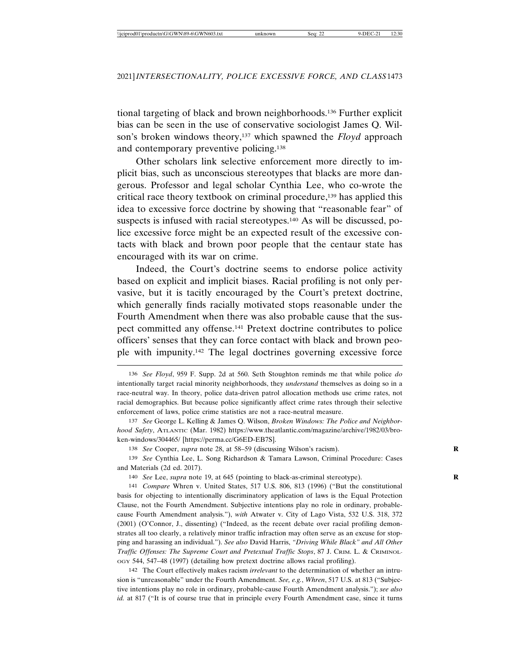tional targeting of black and brown neighborhoods.136 Further explicit bias can be seen in the use of conservative sociologist James Q. Wilson's broken windows theory,137 which spawned the *Floyd* approach and contemporary preventive policing.138

Other scholars link selective enforcement more directly to implicit bias, such as unconscious stereotypes that blacks are more dangerous. Professor and legal scholar Cynthia Lee, who co-wrote the critical race theory textbook on criminal procedure,139 has applied this idea to excessive force doctrine by showing that "reasonable fear" of suspects is infused with racial stereotypes.<sup>140</sup> As will be discussed, police excessive force might be an expected result of the excessive contacts with black and brown poor people that the centaur state has encouraged with its war on crime.

Indeed, the Court's doctrine seems to endorse police activity based on explicit and implicit biases. Racial profiling is not only pervasive, but it is tacitly encouraged by the Court's pretext doctrine, which generally finds racially motivated stops reasonable under the Fourth Amendment when there was also probable cause that the suspect committed any offense.141 Pretext doctrine contributes to police officers' senses that they can force contact with black and brown people with impunity.142 The legal doctrines governing excessive force

137 *See* George L. Kelling & James Q. Wilson, *Broken Windows: The Police and Neighborhood Safety*, ATLANTIC (Mar. 1982) https://www.theatlantic.com/magazine/archive/1982/03/broken-windows/304465/ [https://perma.cc/G6ED-EB7S].

138 *See* Cooper, *supra* note 28, at 58–59 (discussing Wilson's racism). **R**

139 *See* Cynthia Lee, L. Song Richardson & Tamara Lawson, Criminal Procedure: Cases and Materials (2d ed. 2017).

140 *See* Lee, *supra* note 19, at 645 (pointing to black-as-criminal stereotype). **R**

141 *Compare* Whren v. United States, 517 U.S. 806, 813 (1996) ("But the constitutional basis for objecting to intentionally discriminatory application of laws is the Equal Protection Clause, not the Fourth Amendment. Subjective intentions play no role in ordinary, probablecause Fourth Amendment analysis."), *with* Atwater v. City of Lago Vista, 532 U.S. 318, 372 (2001) (O'Connor, J., dissenting) ("Indeed, as the recent debate over racial profiling demonstrates all too clearly, a relatively minor traffic infraction may often serve as an excuse for stopping and harassing an individual."). *See also* David Harris, *"Driving While Black" and All Other Traffic Offenses: The Supreme Court and Pretextual Traffic Stops*, 87 J. CRIM. L. & CRIMINOL-OGY 544, 547–48 (1997) (detailing how pretext doctrine allows racial profiling).

142 The Court effectively makes racism *irrelevant* to the determination of whether an intrusion is "unreasonable" under the Fourth Amendment. *See, e.g.*, *Whren*, 517 U.S. at 813 ("Subjective intentions play no role in ordinary, probable-cause Fourth Amendment analysis."); *see also id.* at 817 ("It is of course true that in principle every Fourth Amendment case, since it turns

<sup>136</sup> *See Floyd*, 959 F. Supp. 2d at 560. Seth Stoughton reminds me that while police *do* intentionally target racial minority neighborhoods, they *understand* themselves as doing so in a race-neutral way. In theory, police data-driven patrol allocation methods use crime rates, not racial demographics. But because police significantly affect crime rates through their selective enforcement of laws, police crime statistics are not a race-neutral measure.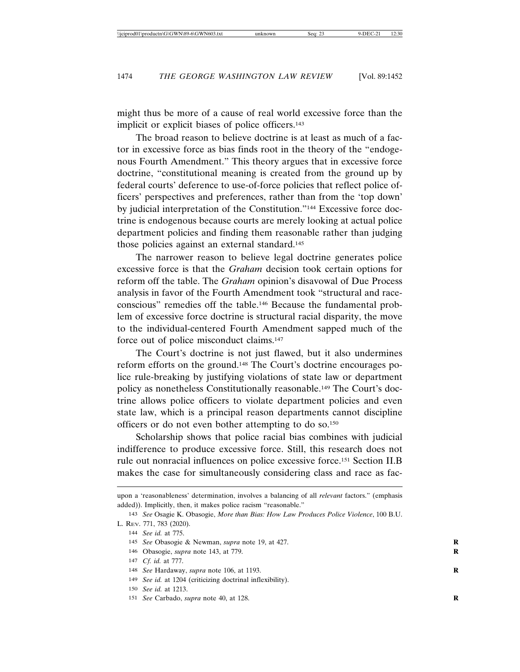might thus be more of a cause of real world excessive force than the implicit or explicit biases of police officers.<sup>143</sup>

The broad reason to believe doctrine is at least as much of a factor in excessive force as bias finds root in the theory of the "endogenous Fourth Amendment." This theory argues that in excessive force doctrine, "constitutional meaning is created from the ground up by federal courts' deference to use-of-force policies that reflect police officers' perspectives and preferences, rather than from the 'top down' by judicial interpretation of the Constitution."144 Excessive force doctrine is endogenous because courts are merely looking at actual police department policies and finding them reasonable rather than judging those policies against an external standard.<sup>145</sup>

The narrower reason to believe legal doctrine generates police excessive force is that the *Graham* decision took certain options for reform off the table. The *Graham* opinion's disavowal of Due Process analysis in favor of the Fourth Amendment took "structural and raceconscious" remedies off the table.146 Because the fundamental problem of excessive force doctrine is structural racial disparity, the move to the individual-centered Fourth Amendment sapped much of the force out of police misconduct claims.147

The Court's doctrine is not just flawed, but it also undermines reform efforts on the ground.148 The Court's doctrine encourages police rule-breaking by justifying violations of state law or department policy as nonetheless Constitutionally reasonable.149 The Court's doctrine allows police officers to violate department policies and even state law, which is a principal reason departments cannot discipline officers or do not even bother attempting to do so.150

Scholarship shows that police racial bias combines with judicial indifference to produce excessive force. Still, this research does not rule out nonracial influences on police excessive force.151 Section II.B makes the case for simultaneously considering class and race as fac-

149 *See id.* at 1204 (criticizing doctrinal inflexibility).

151 *See* Carbado, *supra* note 40, at 128. **R**

upon a 'reasonableness' determination, involves a balancing of all *relevant* factors." (emphasis added)). Implicitly, then, it makes police racism "reasonable."

<sup>143</sup> *See* Osagie K. Obasogie, *More than Bias: How Law Produces Police Violence*, 100 B.U. L. REV. 771, 783 (2020).

<sup>144</sup> *See id.* at 775.

<sup>145</sup> *See* Obasogie & Newman, *supra* note 19, at 427. **R**

<sup>146</sup> Obasogie, *supra* note 143, at 779. **R**

<sup>147</sup> *Cf. id.* at 777.

<sup>148</sup> *See* Hardaway, *supra* note 106, at 1193. **R**

<sup>150</sup> *See id.* at 1213.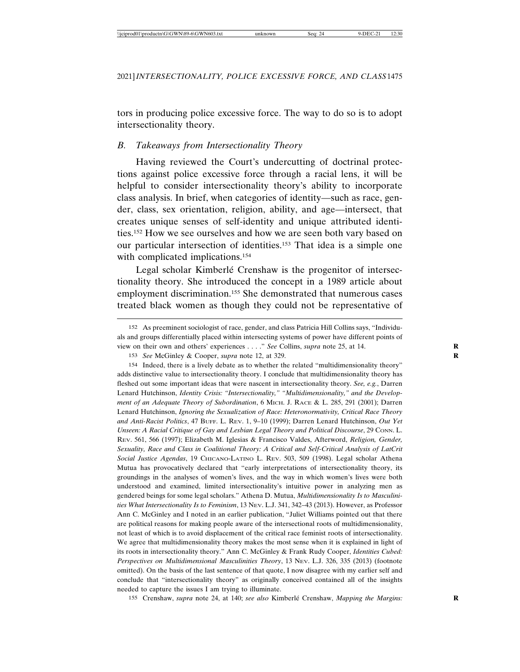tors in producing police excessive force. The way to do so is to adopt intersectionality theory.

#### *B. Takeaways from Intersectionality Theory*

Having reviewed the Court's undercutting of doctrinal protections against police excessive force through a racial lens, it will be helpful to consider intersectionality theory's ability to incorporate class analysis. In brief, when categories of identity—such as race, gender, class, sex orientation, religion, ability, and age—intersect, that creates unique senses of self-identity and unique attributed identities.152 How we see ourselves and how we are seen both vary based on our particular intersection of identities.153 That idea is a simple one with complicated implications.<sup>154</sup>

Legal scholar Kimberlé Crenshaw is the progenitor of intersectionality theory. She introduced the concept in a 1989 article about employment discrimination.155 She demonstrated that numerous cases treated black women as though they could not be representative of

154 Indeed, there is a lively debate as to whether the related "multidimensionality theory" adds distinctive value to intersectionality theory. I conclude that multidimensionality theory has fleshed out some important ideas that were nascent in intersectionality theory. *See, e.g.*, Darren Lenard Hutchinson, *Identity Crisis: "Intersectionality," "Multidimensionality," and the Development of an Adequate Theory of Subordination*, 6 MICH. J. RACE & L. 285, 291 (2001); Darren Lenard Hutchinson, *Ignoring the Sexualization of Race: Heteronormativity, Critical Race Theory and Anti-Racist Politics*, 47 BUFF. L. REV. 1, 9–10 (1999); Darren Lenard Hutchinson, *Out Yet Unseen: A Racial Critique of Gay and Lesbian Legal Theory and Political Discourse*, 29 CONN. L. REV. 561, 566 (1997); Elizabeth M. Iglesias & Francisco Valdes, Afterword, *Religion, Gender, Sexuality, Race and Class in Coalitional Theory: A Critical and Self-Critical Analysis of LatCrit Social Justice Agendas*, 19 CHICANO-LATINO L. REV. 503, 509 (1998). Legal scholar Athena Mutua has provocatively declared that "early interpretations of intersectionality theory, its groundings in the analyses of women's lives, and the way in which women's lives were both understood and examined, limited intersectionality's intuitive power in analyzing men as gendered beings for some legal scholars." Athena D. Mutua, *Multidimensionality Is to Masculinities What Intersectionality Is to Feminism*, 13 NEV. L.J. 341, 342–43 (2013). However, as Professor Ann C. McGinley and I noted in an earlier publication, "Juliet Williams pointed out that there are political reasons for making people aware of the intersectional roots of multidimensionality, not least of which is to avoid displacement of the critical race feminist roots of intersectionality. We agree that multidimensionality theory makes the most sense when it is explained in light of its roots in intersectionality theory." Ann C. McGinley & Frank Rudy Cooper, *Identities Cubed: Perspectives on Multidimensional Masculinities Theory*, 13 NEV. L.J. 326, 335 (2013) (footnote omitted). On the basis of the last sentence of that quote, I now disagree with my earlier self and conclude that "intersectionality theory" as originally conceived contained all of the insights needed to capture the issues I am trying to illuminate.

155 Crenshaw, *supra* note 24, at 140; *see also* Kimberlé Crenshaw, *Mapping the Margins:* 

<sup>152</sup> As preeminent sociologist of race, gender, and class Patricia Hill Collins says, "Individuals and groups differentially placed within intersecting systems of power have different points of view on their own and others' experiences . . . ." *See* Collins, *supra* note 25, at 14. **R**

<sup>153</sup> *See* McGinley & Cooper, *supra* note 12, at 329.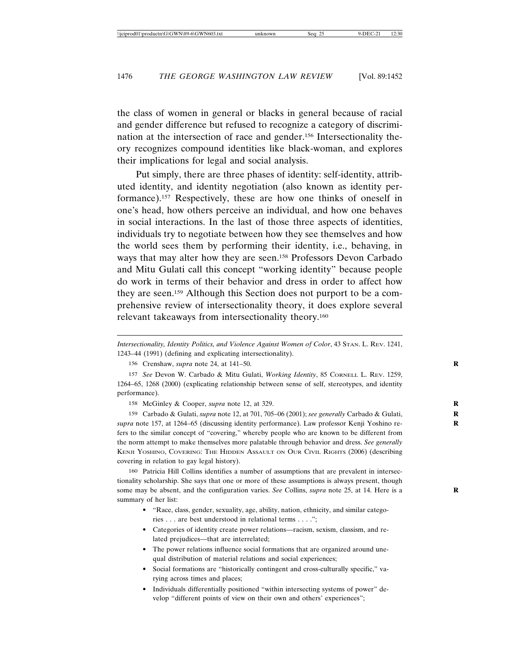the class of women in general or blacks in general because of racial and gender difference but refused to recognize a category of discrimination at the intersection of race and gender.156 Intersectionality theory recognizes compound identities like black-woman, and explores their implications for legal and social analysis.

Put simply, there are three phases of identity: self-identity, attributed identity, and identity negotiation (also known as identity performance).157 Respectively, these are how one thinks of oneself in one's head, how others perceive an individual, and how one behaves in social interactions. In the last of those three aspects of identities, individuals try to negotiate between how they see themselves and how the world sees them by performing their identity, i.e., behaving, in ways that may alter how they are seen.158 Professors Devon Carbado and Mitu Gulati call this concept "working identity" because people do work in terms of their behavior and dress in order to affect how they are seen.159 Although this Section does not purport to be a comprehensive review of intersectionality theory, it does explore several relevant takeaways from intersectionality theory.160

*Intersectionality, Identity Politics, and Violence Against Women of Color*, 43 STAN. L. REV. 1241, 1243–44 (1991) (defining and explicating intersectionality).

158 McGinley & Cooper, *supra* note 12, at 329.

159 Carbado & Gulati, *supra* note 12, at 701, 705–06 (2001); *see generally* Carbado & Gulati, **R** *supra* note 157, at 1264–65 (discussing identity performance). Law professor Kenji Yoshino re- **R** fers to the similar concept of "covering," whereby people who are known to be different from the norm attempt to make themselves more palatable through behavior and dress. *See generally* KENJI YOSHINO, COVERING: THE HIDDEN ASSAULT ON OUR CIVIL RIGHTS (2006) (describing covering in relation to gay legal history).

160 Patricia Hill Collins identifies a number of assumptions that are prevalent in intersectionality scholarship. She says that one or more of these assumptions is always present, though some may be absent, and the configuration varies. *See* Collins, *supra* note 25, at 14. Here is a **R** summary of her list:

- "Race, class, gender, sexuality, age, ability, nation, ethnicity, and similar categories . . . are best understood in relational terms . . . .";
- Categories of identity create power relations—racism, sexism, classism, and related prejudices—that are interrelated;
- The power relations influence social formations that are organized around unequal distribution of material relations and social experiences;
- Social formations are "historically contingent and cross-culturally specific," varying across times and places;
- Individuals differentially positioned "within intersecting systems of power" develop "different points of view on their own and others' experiences";

<sup>156</sup> Crenshaw, *supra* note 24, at 141–50. **R**

<sup>157</sup> *See* Devon W. Carbado & Mitu Gulati, *Working Identity*, 85 CORNELL L. REV. 1259, 1264–65, 1268 (2000) (explicating relationship between sense of self, stereotypes, and identity performance).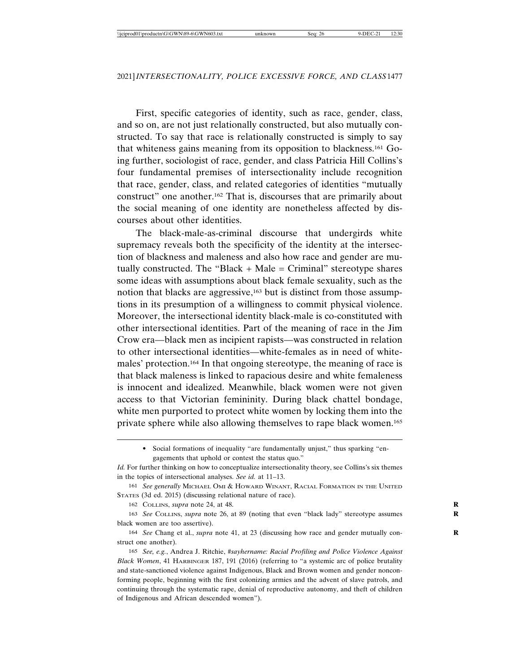First, specific categories of identity, such as race, gender, class, and so on, are not just relationally constructed, but also mutually constructed. To say that race is relationally constructed is simply to say that whiteness gains meaning from its opposition to blackness.161 Going further, sociologist of race, gender, and class Patricia Hill Collins's four fundamental premises of intersectionality include recognition that race, gender, class, and related categories of identities "mutually construct" one another.162 That is, discourses that are primarily about the social meaning of one identity are nonetheless affected by discourses about other identities.

The black-male-as-criminal discourse that undergirds white supremacy reveals both the specificity of the identity at the intersection of blackness and maleness and also how race and gender are mutually constructed. The "Black  $+$  Male  $=$  Criminal" stereotype shares some ideas with assumptions about black female sexuality, such as the notion that blacks are aggressive,<sup>163</sup> but is distinct from those assumptions in its presumption of a willingness to commit physical violence. Moreover, the intersectional identity black-male is co-constituted with other intersectional identities. Part of the meaning of race in the Jim Crow era—black men as incipient rapists—was constructed in relation to other intersectional identities—white-females as in need of whitemales' protection.164 In that ongoing stereotype, the meaning of race is that black maleness is linked to rapacious desire and white femaleness is innocent and idealized. Meanwhile, black women were not given access to that Victorian femininity. During black chattel bondage, white men purported to protect white women by locking them into the private sphere while also allowing themselves to rape black women.165

162 COLLINS, *supra* note 24, at 48.

163 *See* COLLINS, *supra* note 26, at 89 (noting that even "black lady" stereotype assumes **R** black women are too assertive).

164 *See* Chang et al., *supra* note 41, at 23 (discussing how race and gender mutually con- **R** struct one another).

165 *See, e.g.*, Andrea J. Ritchie, *#sayhername: Racial Profiling and Police Violence Against Black Women*, 41 HARBINGER 187, 191 (2016) (referring to "a systemic arc of police brutality and state-sanctioned violence against Indigenous, Black and Brown women and gender nonconforming people, beginning with the first colonizing armies and the advent of slave patrols, and continuing through the systematic rape, denial of reproductive autonomy, and theft of children of Indigenous and African descended women").

<sup>•</sup> Social formations of inequality "are fundamentally unjust," thus sparking "engagements that uphold or contest the status quo."

*Id.* For further thinking on how to conceptualize intersectionality theory, see Collins's six themes in the topics of intersectional analyses. *See id.* at 11–13.

<sup>161</sup> *See generally* MICHAEL OMI & HOWARD WINANT, RACIAL FORMATION IN THE UNITED STATES (3d ed. 2015) (discussing relational nature of race).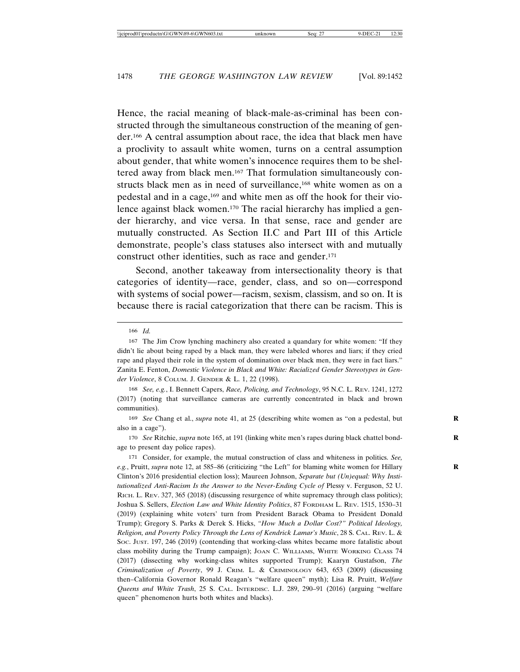Hence, the racial meaning of black-male-as-criminal has been constructed through the simultaneous construction of the meaning of gender.166 A central assumption about race, the idea that black men have a proclivity to assault white women, turns on a central assumption about gender, that white women's innocence requires them to be sheltered away from black men.167 That formulation simultaneously constructs black men as in need of surveillance,<sup>168</sup> white women as on a pedestal and in a cage,169 and white men as off the hook for their violence against black women.170 The racial hierarchy has implied a gender hierarchy, and vice versa. In that sense, race and gender are mutually constructed. As Section II.C and Part III of this Article demonstrate, people's class statuses also intersect with and mutually construct other identities, such as race and gender.<sup>171</sup>

Second, another takeaway from intersectionality theory is that categories of identity—race, gender, class, and so on—correspond with systems of social power—racism, sexism, classism, and so on. It is because there is racial categorization that there can be racism. This is

166 *Id.*

168 *See, e.g.*, I. Bennett Capers, *Race, Policing, and Technology*, 95 N.C. L. REV. 1241, 1272 (2017) (noting that surveillance cameras are currently concentrated in black and brown communities).

169 *See* Chang et al., *supra* note 41, at 25 (describing white women as "on a pedestal, but **R** also in a cage").

170 *See* Ritchie, *supra* note 165, at 191 (linking white men's rapes during black chattel bond- **R** age to present day police rapes).

171 Consider, for example, the mutual construction of class and whiteness in politics. *See, e.g.*, Pruitt, *supra* note 12, at 585–86 (criticizing "the Left" for blaming white women for Hillary **R** Clinton's 2016 presidential election loss); Maureen Johnson, *Separate but (Un)equal: Why Institutionalized Anti-Racism Is the Answer to the Never-Ending Cycle of* Plessy v. Ferguson, 52 U. RICH. L. REV. 327, 365 (2018) (discussing resurgence of white supremacy through class politics); Joshua S. Sellers, *Election Law and White Identity Politics*, 87 FORDHAM L. REV. 1515, 1530–31 (2019) (explaining white voters' turn from President Barack Obama to President Donald Trump); Gregory S. Parks & Derek S. Hicks, *"How Much a Dollar Cost?" Political Ideology, Religion, and Poverty Policy Through the Lens of Kendrick Lamar's Music*, 28 S. CAL. REV. L. & SOC. JUST. 197, 246 (2019) (contending that working-class whites became more fatalistic about class mobility during the Trump campaign); JOAN C. WILLIAMS, WHITE WORKING CLASS 74 (2017) (dissecting why working-class whites supported Trump); Kaaryn Gustafson, *The Criminalization of Poverty*, 99 J. CRIM. L. & CRIMINOLOGY 643, 653 (2009) (discussing then–California Governor Ronald Reagan's "welfare queen" myth); Lisa R. Pruitt, *Welfare Queens and White Trash*, 25 S. CAL. INTERDISC. L.J. 289, 290–91 (2016) (arguing "welfare queen" phenomenon hurts both whites and blacks).

<sup>167</sup> The Jim Crow lynching machinery also created a quandary for white women: "If they didn't lie about being raped by a black man, they were labeled whores and liars; if they cried rape and played their role in the system of domination over black men, they were in fact liars." Zanita E. Fenton, *Domestic Violence in Black and White: Racialized Gender Stereotypes in Gender Violence*, 8 COLUM. J. GENDER & L. 1, 22 (1998).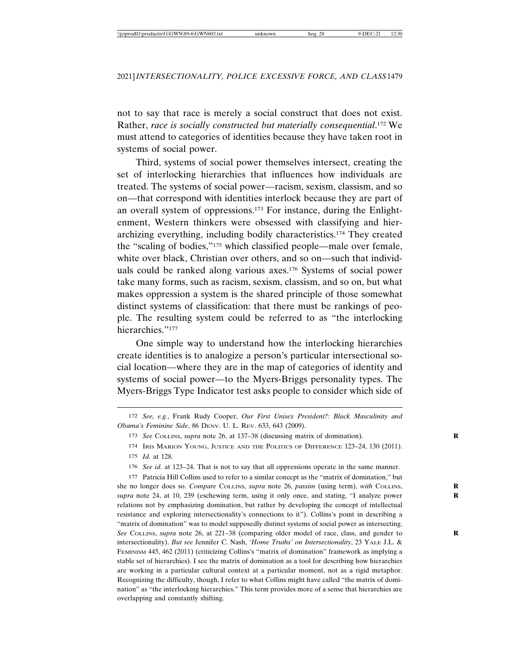not to say that race is merely a social construct that does not exist. Rather, *race is socially constructed but materially consequential*. 172 We must attend to categories of identities because they have taken root in systems of social power.

Third, systems of social power themselves intersect, creating the set of interlocking hierarchies that influences how individuals are treated. The systems of social power—racism, sexism, classism, and so on—that correspond with identities interlock because they are part of an overall system of oppressions.173 For instance, during the Enlightenment, Western thinkers were obsessed with classifying and hierarchizing everything, including bodily characteristics.174 They created the "scaling of bodies,"175 which classified people—male over female, white over black, Christian over others, and so on—such that individuals could be ranked along various axes.176 Systems of social power take many forms, such as racism, sexism, classism, and so on, but what makes oppression a system is the shared principle of those somewhat distinct systems of classification: that there must be rankings of people. The resulting system could be referred to as "the interlocking hierarchies."177

One simple way to understand how the interlocking hierarchies create identities is to analogize a person's particular intersectional social location—where they are in the map of categories of identity and systems of social power—to the Myers-Briggs personality types. The Myers-Briggs Type Indicator test asks people to consider which side of

172 *See, e.g.*, Frank Rudy Cooper, *Our First Unisex President?: Black Masculinity and Obama's Feminine Side*, 86 DENV. U. L. REV. 633, 643 (2009).

176 *See id.* at 123–24. That is not to say that all oppressions operate in the same manner.

177 Patricia Hill Collins used to refer to a similar concept as the "matrix of domination," but she no longer does so. *Compare* COLLINS, *supra* note 26, *passim* (using term), *with* COLLINS, *supra* note 24, at 10, 239 (eschewing term, using it only once, and stating, "I analyze power **R** relations not by emphasizing domination, but rather by developing the concept of intellectual resistance and exploring intersectionality's connections to it"). Collins's point in describing a "matrix of domination" was to model supposedly distinct systems of social power as intersecting. *See* COLLINS, *supra* note 26, at 221–38 (comparing older model of race, class, and gender to **R** intersectionality). *But see* Jennifer C. Nash, *'Home Truths' on Intersectionality*, 23 YALE J.L. & FEMINISM 445, 462 (2011) (criticizing Collins's "matrix of domination" framework as implying a stable set of hierarchies). I see the matrix of domination as a tool for describing how hierarchies are working in a particular cultural context at a particular moment, not as a rigid metaphor. Recognizing the difficulty, though, I refer to what Collins might have called "the matrix of domination" as "the interlocking hierarchies." This term provides more of a sense that hierarchies are overlapping and constantly shifting.

<sup>173</sup> *See* COLLINS, *supra* note 26, at 137–38 (discussing matrix of domination). **R**

<sup>174</sup> IRIS MARION YOUNG, JUSTICE AND THE POLITICS OF DIFFERENCE 123–24, 130 (2011). 175 *Id.* at 128.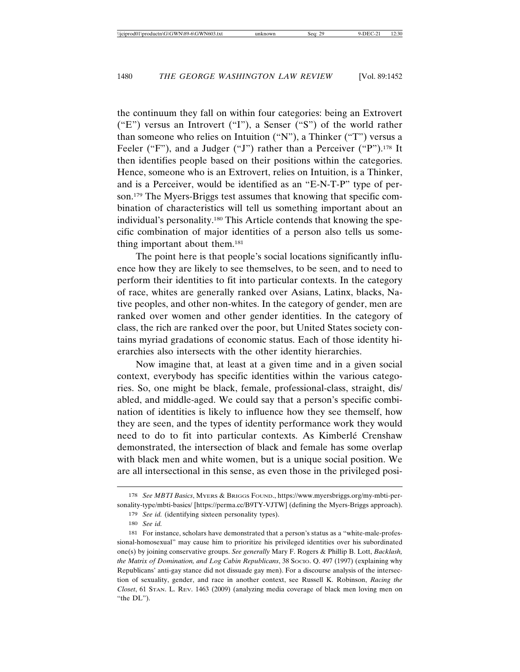the continuum they fall on within four categories: being an Extrovert ("E") versus an Introvert ("I"), a Senser ("S") of the world rather than someone who relies on Intuition ("N"), a Thinker ("T") versus a Feeler ("F"), and a Judger ("J") rather than a Perceiver ("P").<sup>178</sup> It then identifies people based on their positions within the categories. Hence, someone who is an Extrovert, relies on Intuition, is a Thinker, and is a Perceiver, would be identified as an "E-N-T-P" type of person.179 The Myers-Briggs test assumes that knowing that specific combination of characteristics will tell us something important about an individual's personality.180 This Article contends that knowing the specific combination of major identities of a person also tells us something important about them.181

The point here is that people's social locations significantly influence how they are likely to see themselves, to be seen, and to need to perform their identities to fit into particular contexts. In the category of race, whites are generally ranked over Asians, Latinx, blacks, Native peoples, and other non-whites. In the category of gender, men are ranked over women and other gender identities. In the category of class, the rich are ranked over the poor, but United States society contains myriad gradations of economic status. Each of those identity hierarchies also intersects with the other identity hierarchies.

Now imagine that, at least at a given time and in a given social context, everybody has specific identities within the various categories. So, one might be black, female, professional-class, straight, dis/ abled, and middle-aged. We could say that a person's specific combination of identities is likely to influence how they see themself, how they are seen, and the types of identity performance work they would need to do to fit into particular contexts. As Kimberlé Crenshaw demonstrated, the intersection of black and female has some overlap with black men and white women, but is a unique social position. We are all intersectional in this sense, as even those in the privileged posi-

<sup>178</sup> *See MBTI Basics*, MYERS & BRIGGS FOUND., https://www.myersbriggs.org/my-mbti-personality-type/mbti-basics/ [https://perma.cc/B9TY-VJTW] (defining the Myers-Briggs approach).

<sup>179</sup> *See id.* (identifying sixteen personality types).

<sup>180</sup> *See id.*

<sup>181</sup> For instance, scholars have demonstrated that a person's status as a "white-male-professional-homosexual" may cause him to prioritize his privileged identities over his subordinated one(s) by joining conservative groups. *See generally* Mary F. Rogers & Phillip B. Lott, *Backlash, the Matrix of Domination, and Log Cabin Republicans*, 38 Socio. Q. 497 (1997) (explaining why Republicans' anti-gay stance did not dissuade gay men). For a discourse analysis of the intersection of sexuality, gender, and race in another context, see Russell K. Robinson, *Racing the Closet*, 61 STAN. L. REV. 1463 (2009) (analyzing media coverage of black men loving men on "the DL").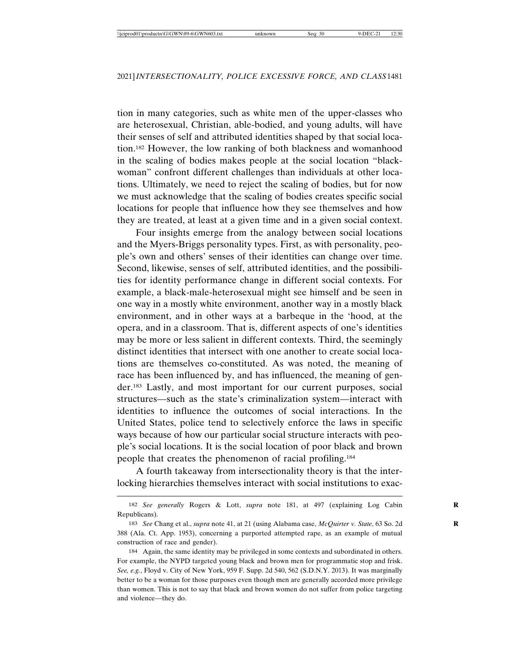tion in many categories, such as white men of the upper-classes who are heterosexual, Christian, able-bodied, and young adults, will have their senses of self and attributed identities shaped by that social location.182 However, the low ranking of both blackness and womanhood in the scaling of bodies makes people at the social location "blackwoman" confront different challenges than individuals at other locations. Ultimately, we need to reject the scaling of bodies, but for now we must acknowledge that the scaling of bodies creates specific social locations for people that influence how they see themselves and how they are treated, at least at a given time and in a given social context.

Four insights emerge from the analogy between social locations and the Myers-Briggs personality types. First, as with personality, people's own and others' senses of their identities can change over time. Second, likewise, senses of self, attributed identities, and the possibilities for identity performance change in different social contexts. For example, a black-male-heterosexual might see himself and be seen in one way in a mostly white environment, another way in a mostly black environment, and in other ways at a barbeque in the 'hood, at the opera, and in a classroom. That is, different aspects of one's identities may be more or less salient in different contexts. Third, the seemingly distinct identities that intersect with one another to create social locations are themselves co-constituted. As was noted, the meaning of race has been influenced by, and has influenced, the meaning of gender.183 Lastly, and most important for our current purposes, social structures—such as the state's criminalization system—interact with identities to influence the outcomes of social interactions. In the United States, police tend to selectively enforce the laws in specific ways because of how our particular social structure interacts with people's social locations. It is the social location of poor black and brown people that creates the phenomenon of racial profiling.184

A fourth takeaway from intersectionality theory is that the interlocking hierarchies themselves interact with social institutions to exac-

<sup>182</sup> *See generally* Rogers & Lott, *supra* note 181, at 497 (explaining Log Cabin **R** Republicans).

<sup>183</sup> *See* Chang et al., *supra* note 41, at 21 (using Alabama case, *McQuirter v. State*, 63 So. 2d **R** 388 (Ala. Ct. App. 1953), concerning a purported attempted rape, as an example of mutual construction of race and gender).

<sup>184</sup> Again, the same identity may be privileged in some contexts and subordinated in others. For example, the NYPD targeted young black and brown men for programmatic stop and frisk. *See, e.g.*, Floyd v. City of New York, 959 F. Supp. 2d 540, 562 (S.D.N.Y. 2013). It was marginally better to be a woman for those purposes even though men are generally accorded more privilege than women. This is not to say that black and brown women do not suffer from police targeting and violence—they do.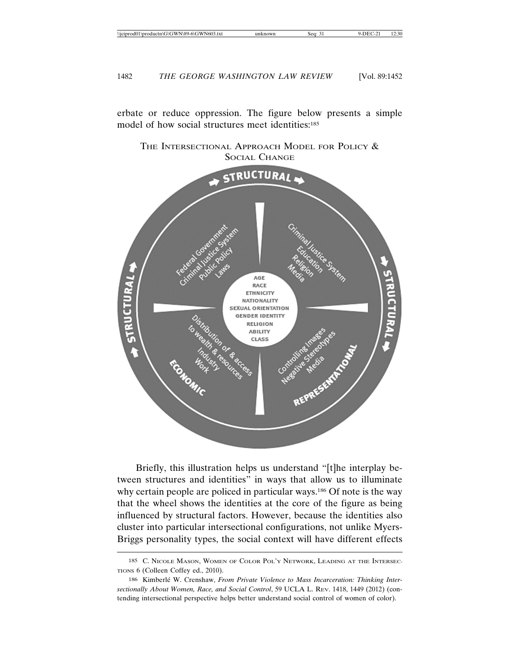erbate or reduce oppression. The figure below presents a simple model of how social structures meet identities:<sup>185</sup>

THE INTERSECTIONAL APPROACH MODEL FOR POLICY & SOCIAL CHANGE



Briefly, this illustration helps us understand "[t]he interplay between structures and identities" in ways that allow us to illuminate why certain people are policed in particular ways.<sup>186</sup> Of note is the way that the wheel shows the identities at the core of the figure as being influenced by structural factors. However, because the identities also cluster into particular intersectional configurations, not unlike Myers-Briggs personality types, the social context will have different effects

<sup>185</sup> C. NICOLE MASON, WOMEN OF COLOR POL'Y NETWORK, LEADING AT THE INTERSEC-TIONS 6 (Colleen Coffey ed., 2010).

<sup>186</sup> Kimberlé W. Crenshaw, *From Private Violence to Mass Incarceration: Thinking Intersectionally About Women, Race, and Social Control*, 59 UCLA L. REV. 1418, 1449 (2012) (contending intersectional perspective helps better understand social control of women of color).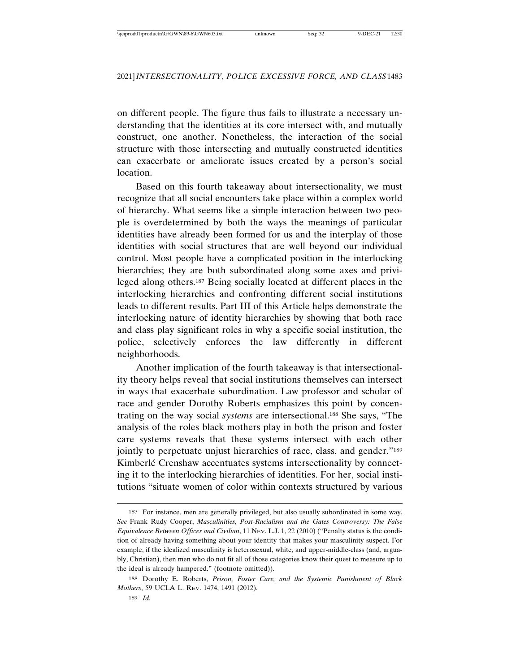on different people. The figure thus fails to illustrate a necessary understanding that the identities at its core intersect with, and mutually construct, one another. Nonetheless, the interaction of the social structure with those intersecting and mutually constructed identities can exacerbate or ameliorate issues created by a person's social location.

Based on this fourth takeaway about intersectionality, we must recognize that all social encounters take place within a complex world of hierarchy. What seems like a simple interaction between two people is overdetermined by both the ways the meanings of particular identities have already been formed for us and the interplay of those identities with social structures that are well beyond our individual control. Most people have a complicated position in the interlocking hierarchies; they are both subordinated along some axes and privileged along others.187 Being socially located at different places in the interlocking hierarchies and confronting different social institutions leads to different results. Part III of this Article helps demonstrate the interlocking nature of identity hierarchies by showing that both race and class play significant roles in why a specific social institution, the police, selectively enforces the law differently in different neighborhoods.

Another implication of the fourth takeaway is that intersectionality theory helps reveal that social institutions themselves can intersect in ways that exacerbate subordination. Law professor and scholar of race and gender Dorothy Roberts emphasizes this point by concentrating on the way social *systems* are intersectional.188 She says, "The analysis of the roles black mothers play in both the prison and foster care systems reveals that these systems intersect with each other jointly to perpetuate unjust hierarchies of race, class, and gender."189 Kimberlé Crenshaw accentuates systems intersectionality by connecting it to the interlocking hierarchies of identities. For her, social institutions "situate women of color within contexts structured by various

<sup>187</sup> For instance, men are generally privileged, but also usually subordinated in some way. *See* Frank Rudy Cooper, *Masculinities, Post-Racialism and the Gates Controversy: The False Equivalence Between Officer and Civilian*, 11 NEV. L.J. 1, 22 (2010) ("Penalty status is the condition of already having something about your identity that makes your masculinity suspect. For example, if the idealized masculinity is heterosexual, white, and upper-middle-class (and, arguably, Christian), then men who do not fit all of those categories know their quest to measure up to the ideal is already hampered." (footnote omitted)).

<sup>188</sup> Dorothy E. Roberts, *Prison, Foster Care, and the Systemic Punishment of Black Mothers*, 59 UCLA L. REV. 1474, 1491 (2012).

<sup>189</sup> *Id.*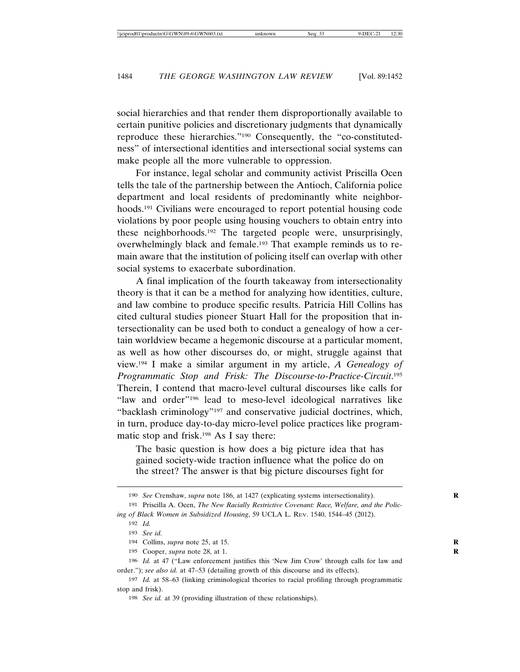social hierarchies and that render them disproportionally available to certain punitive policies and discretionary judgments that dynamically reproduce these hierarchies."190 Consequently, the "co-constitutedness" of intersectional identities and intersectional social systems can make people all the more vulnerable to oppression.

For instance, legal scholar and community activist Priscilla Ocen tells the tale of the partnership between the Antioch, California police department and local residents of predominantly white neighborhoods.191 Civilians were encouraged to report potential housing code violations by poor people using housing vouchers to obtain entry into these neighborhoods.192 The targeted people were, unsurprisingly, overwhelmingly black and female.193 That example reminds us to remain aware that the institution of policing itself can overlap with other social systems to exacerbate subordination.

A final implication of the fourth takeaway from intersectionality theory is that it can be a method for analyzing how identities, culture, and law combine to produce specific results. Patricia Hill Collins has cited cultural studies pioneer Stuart Hall for the proposition that intersectionality can be used both to conduct a genealogy of how a certain worldview became a hegemonic discourse at a particular moment, as well as how other discourses do, or might, struggle against that view.194 I make a similar argument in my article, *A Genealogy of Programmatic Stop and Frisk: The Discourse-to-Practice-Circuit*. 195 Therein, I contend that macro-level cultural discourses like calls for "law and order"196 lead to meso-level ideological narratives like "backlash criminology"197 and conservative judicial doctrines, which, in turn, produce day-to-day micro-level police practices like programmatic stop and frisk.198 As I say there:

The basic question is how does a big picture idea that has gained society-wide traction influence what the police do on the street? The answer is that big picture discourses fight for

<sup>190</sup> *See* Crenshaw, *supra* note 186, at 1427 (explicating systems intersectionality).

<sup>191</sup> Priscilla A. Ocen, *The New Racially Restrictive Covenant: Race, Welfare, and the Policing of Black Women in Subsidized Housing*, 59 UCLA L. REV. 1540, 1544–45 (2012).

<sup>192</sup> *Id.*

<sup>193</sup> *See id.*

<sup>194</sup> Collins, *supra* note 25, at 15. **R**

<sup>195</sup> Cooper, *supra* note 28, at 1. **R**

<sup>196</sup> *Id.* at 47 ("Law enforcement justifies this 'New Jim Crow' through calls for law and order."); *see also id.* at 47–53 (detailing growth of this discourse and its effects).

<sup>197</sup> *Id.* at 58–63 (linking criminological theories to racial profiling through programmatic stop and frisk).

<sup>198</sup> *See id.* at 39 (providing illustration of these relationships).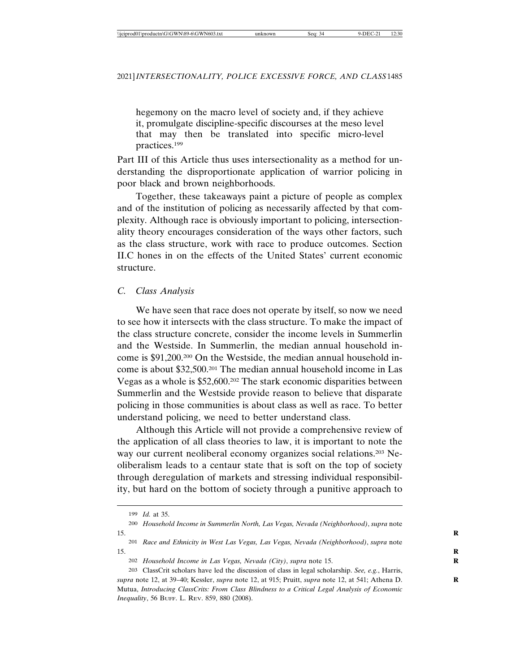hegemony on the macro level of society and, if they achieve it, promulgate discipline-specific discourses at the meso level that may then be translated into specific micro-level practices.199

Part III of this Article thus uses intersectionality as a method for understanding the disproportionate application of warrior policing in poor black and brown neighborhoods.

Together, these takeaways paint a picture of people as complex and of the institution of policing as necessarily affected by that complexity. Although race is obviously important to policing, intersectionality theory encourages consideration of the ways other factors, such as the class structure, work with race to produce outcomes. Section II.C hones in on the effects of the United States' current economic structure.

# *C. Class Analysis*

We have seen that race does not operate by itself, so now we need to see how it intersects with the class structure. To make the impact of the class structure concrete, consider the income levels in Summerlin and the Westside. In Summerlin, the median annual household income is \$91,200.200 On the Westside, the median annual household income is about \$32,500.201 The median annual household income in Las Vegas as a whole is \$52,600.202 The stark economic disparities between Summerlin and the Westside provide reason to believe that disparate policing in those communities is about class as well as race. To better understand policing, we need to better understand class.

Although this Article will not provide a comprehensive review of the application of all class theories to law, it is important to note the way our current neoliberal economy organizes social relations.<sup>203</sup> Neoliberalism leads to a centaur state that is soft on the top of society through deregulation of markets and stressing individual responsibility, but hard on the bottom of society through a punitive approach to

<sup>199</sup> *Id.* at 35.

<sup>200</sup> *Household Income in Summerlin North, Las Vegas, Nevada (Neighborhood)*, *supra* note 15. **R**

<sup>201</sup> *Race and Ethnicity in West Las Vegas, Las Vegas, Nevada (Neighborhood)*, *supra* note 15. **R**

<sup>202</sup> *Household Income in Las Vegas, Nevada (City)*, *supra* note 15. **R**

<sup>203</sup> ClassCrit scholars have led the discussion of class in legal scholarship. *See, e.g.*, Harris, *supra* note 12, at 39–40; Kessler, *supra* note 12, at 915; Pruitt, *supra* note 12, at 541; Athena D. **R** Mutua, *Introducing ClassCrits: From Class Blindness to a Critical Legal Analysis of Economic Inequality*, 56 BUFF. L. REV. 859, 880 (2008).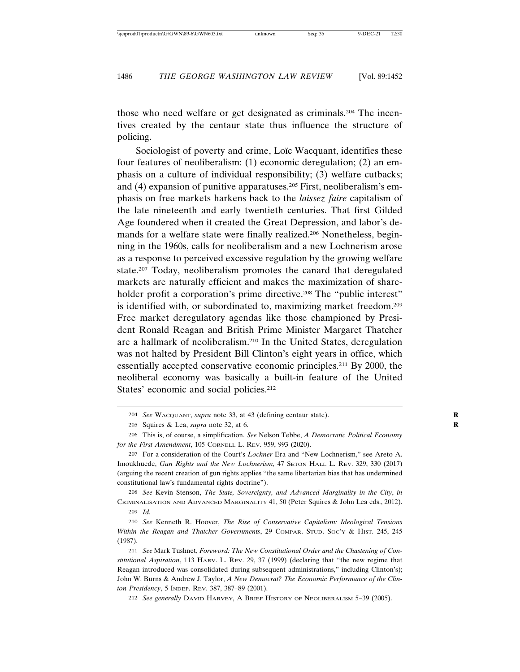those who need welfare or get designated as criminals.204 The incentives created by the centaur state thus influence the structure of policing.

Sociologist of poverty and crime, Loïc Wacquant, identifies these four features of neoliberalism: (1) economic deregulation; (2) an emphasis on a culture of individual responsibility; (3) welfare cutbacks; and (4) expansion of punitive apparatuses.205 First, neoliberalism's emphasis on free markets harkens back to the *laissez faire* capitalism of the late nineteenth and early twentieth centuries. That first Gilded Age foundered when it created the Great Depression, and labor's demands for a welfare state were finally realized.206 Nonetheless, beginning in the 1960s, calls for neoliberalism and a new Lochnerism arose as a response to perceived excessive regulation by the growing welfare state.207 Today, neoliberalism promotes the canard that deregulated markets are naturally efficient and makes the maximization of shareholder profit a corporation's prime directive.<sup>208</sup> The "public interest" is identified with, or subordinated to, maximizing market freedom.209 Free market deregulatory agendas like those championed by President Ronald Reagan and British Prime Minister Margaret Thatcher are a hallmark of neoliberalism.210 In the United States, deregulation was not halted by President Bill Clinton's eight years in office, which essentially accepted conservative economic principles.211 By 2000, the neoliberal economy was basically a built-in feature of the United States' economic and social policies.<sup>212</sup>

208 *See* Kevin Stenson, *The State, Sovereignty, and Advanced Marginality in the City*, *in* CRIMINALISATION AND ADVANCED MARGINALITY 41, 50 (Peter Squires & John Lea eds., 2012).

212 *See generally* DAVID HARVEY, A BRIEF HISTORY OF NEOLIBERALISM 5–39 (2005).

<sup>204</sup> *See* WACQUANT, *supra* note 33, at 43 (defining centaur state). **R**

<sup>205</sup> Squires & Lea, *supra* note 32, at 6. **R**

<sup>206</sup> This is, of course, a simplification. *See* Nelson Tebbe, *A Democratic Political Economy for the First Amendment*, 105 CORNELL L. REV. 959, 993 (2020).

<sup>207</sup> For a consideration of the Court's *Lochner* Era and "New Lochnerism," see Areto A. Imoukhuede, *Gun Rights and the New Lochnerism,* 47 SETON HALL L. REV. 329, 330 (2017) (arguing the recent creation of gun rights applies "the same libertarian bias that has undermined constitutional law's fundamental rights doctrine").

<sup>209</sup> *Id.*

<sup>210</sup> *See* Kenneth R. Hoover, *The Rise of Conservative Capitalism: Ideological Tensions Within the Reagan and Thatcher Governments*, 29 COMPAR. STUD. SOC'Y & HIST. 245, 245 (1987).

<sup>211</sup> *See* Mark Tushnet, *Foreword: The New Constitutional Order and the Chastening of Constitutional Aspiration*, 113 HARV. L. REV. 29, 37 (1999) (declaring that "the new regime that Reagan introduced was consolidated during subsequent administrations," including Clinton's); John W. Burns & Andrew J. Taylor, *A New Democrat? The Economic Performance of the Clinton Presidency*, 5 INDEP. REV. 387, 387–89 (2001).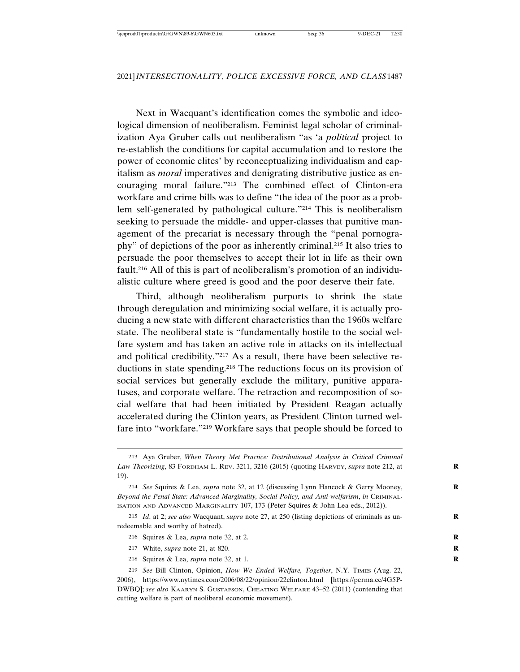Next in Wacquant's identification comes the symbolic and ideological dimension of neoliberalism. Feminist legal scholar of criminalization Aya Gruber calls out neoliberalism "as 'a *political* project to re-establish the conditions for capital accumulation and to restore the power of economic elites' by reconceptualizing individualism and capitalism as *moral* imperatives and denigrating distributive justice as encouraging moral failure."213 The combined effect of Clinton-era workfare and crime bills was to define "the idea of the poor as a problem self-generated by pathological culture."214 This is neoliberalism seeking to persuade the middle- and upper-classes that punitive management of the precariat is necessary through the "penal pornography" of depictions of the poor as inherently criminal.215 It also tries to persuade the poor themselves to accept their lot in life as their own fault.216 All of this is part of neoliberalism's promotion of an individualistic culture where greed is good and the poor deserve their fate.

Third, although neoliberalism purports to shrink the state through deregulation and minimizing social welfare, it is actually producing a new state with different characteristics than the 1960s welfare state. The neoliberal state is "fundamentally hostile to the social welfare system and has taken an active role in attacks on its intellectual and political credibility."217 As a result, there have been selective reductions in state spending.218 The reductions focus on its provision of social services but generally exclude the military, punitive apparatuses, and corporate welfare. The retraction and recomposition of social welfare that had been initiated by President Reagan actually accelerated during the Clinton years, as President Clinton turned welfare into "workfare."219 Workfare says that people should be forced to

- 216 Squires & Lea, *supra* note 32, at 2. **R**
- 217 White, *supra* note 21, at 820. **R**
- 218 Squires & Lea, *supra* note 32, at 1. **R**

<sup>213</sup> Aya Gruber, *When Theory Met Practice: Distributional Analysis in Critical Criminal Law Theorizing*, 83 FORDHAM L. REV. 3211, 3216 (2015) (quoting HARVEY, *supra* note 212, at **R** 19).

<sup>214</sup> *See* Squires & Lea, *supra* note 32, at 12 (discussing Lynn Hancock & Gerry Mooney, **R** *Beyond the Penal State: Advanced Marginality, Social Policy, and Anti-welfarism*, *in* CRIMINAL-ISATION AND ADVANCED MARGINALITY 107, 173 (Peter Squires & John Lea eds., 2012)).

<sup>215</sup> *Id*. at 2; *see also* Wacquant, *supra* note 27, at 250 (listing depictions of criminals as un- **R** redeemable and worthy of hatred).

<sup>219</sup> *See* Bill Clinton, Opinion, *How We Ended Welfare, Together*, N.Y. TIMES (Aug. 22, 2006), https://www.nytimes.com/2006/08/22/opinion/22clinton.html [https://perma.cc/4G5P-DWBQ]; *see also* KAARYN S. GUSTAFSON, CHEATING WELFARE 43–52 (2011) (contending that cutting welfare is part of neoliberal economic movement).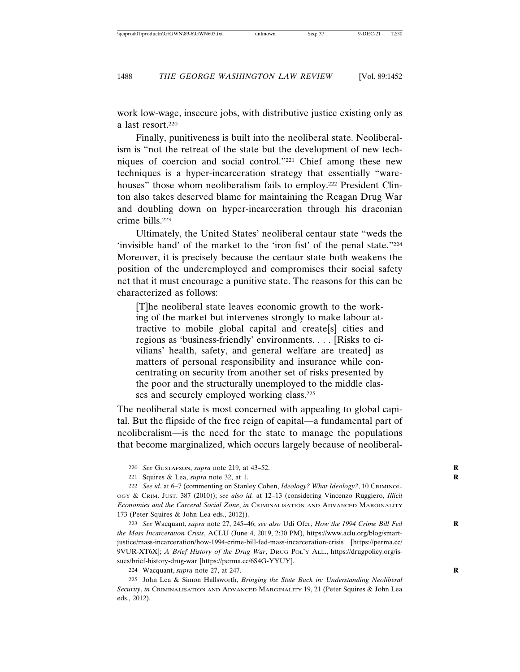work low-wage, insecure jobs, with distributive justice existing only as a last resort.220

Finally, punitiveness is built into the neoliberal state. Neoliberalism is "not the retreat of the state but the development of new techniques of coercion and social control."221 Chief among these new techniques is a hyper-incarceration strategy that essentially "warehouses" those whom neoliberalism fails to employ.<sup>222</sup> President Clinton also takes deserved blame for maintaining the Reagan Drug War and doubling down on hyper-incarceration through his draconian crime bills.223

Ultimately, the United States' neoliberal centaur state "weds the 'invisible hand' of the market to the 'iron fist' of the penal state."224 Moreover, it is precisely because the centaur state both weakens the position of the underemployed and compromises their social safety net that it must encourage a punitive state. The reasons for this can be characterized as follows:

[T]he neoliberal state leaves economic growth to the working of the market but intervenes strongly to make labour attractive to mobile global capital and create[s] cities and regions as 'business-friendly' environments. . . . [Risks to civilians' health, safety, and general welfare are treated] as matters of personal responsibility and insurance while concentrating on security from another set of risks presented by the poor and the structurally unemployed to the middle classes and securely employed working class.225

The neoliberal state is most concerned with appealing to global capital. But the flipside of the free reign of capital—a fundamental part of neoliberalism—is the need for the state to manage the populations that become marginalized, which occurs largely because of neoliberal-

223 *See* Wacquant, *supra* note 27, 245–46; *see also* Udi Ofer, *How the 1994 Crime Bill Fed* **R** *the Mass Incarceration Crisis*, ACLU (June 4, 2019, 2:30 PM), https://www.aclu.org/blog/smartjustice/mass-incarceration/how-1994-crime-bill-fed-mass-incarceration-crisis [https://perma.cc/ 9VUR-XT6X]; *A Brief History of the Drug War*, DRUG POL'Y ALL., https://drugpolicy.org/issues/brief-history-drug-war [https://perma.cc/6S4G-YYUY].

225 John Lea & Simon Hallsworth, *Bringing the State Back in: Understanding Neoliberal Security*, *in* CRIMINALISATION AND ADVANCED MARGINALITY 19, 21 (Peter Squires & John Lea eds., 2012).

<sup>220</sup> *See* GUSTAFSON, *supra* note 219, at 43–52. **R**

<sup>221</sup> Squires & Lea, *supra* note 32, at 1. **R**

<sup>222</sup> *See id*. at 6–7 (commenting on Stanley Cohen, *Ideology? What Ideology?*, 10 CRIMINOL-OGY & CRIM. JUST. 387 (2010)); *see also id.* at 12–13 (considering Vincenzo Ruggiero, *Illicit Economies and the Carceral Social Zone*, *in* CRIMINALISATION AND ADVANCED MARGINALITY 173 (Peter Squires & John Lea eds., 2012)).

<sup>224</sup> Wacquant, *supra* note 27, at 247. **R**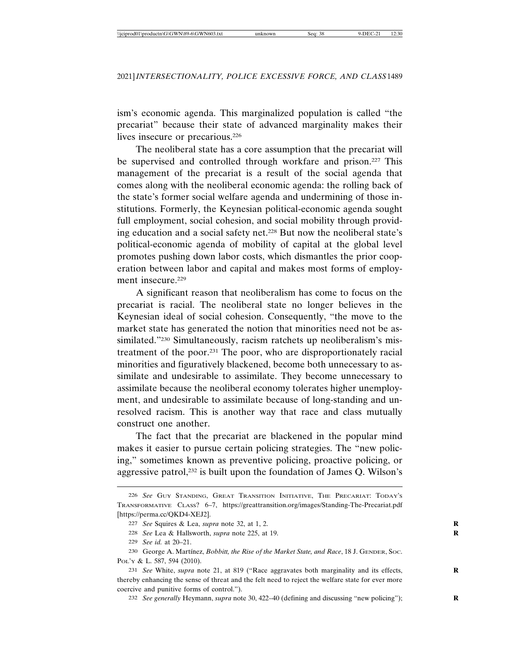ism's economic agenda. This marginalized population is called "the precariat" because their state of advanced marginality makes their lives insecure or precarious.226

The neoliberal state has a core assumption that the precariat will be supervised and controlled through workfare and prison.<sup>227</sup> This management of the precariat is a result of the social agenda that comes along with the neoliberal economic agenda: the rolling back of the state's former social welfare agenda and undermining of those institutions. Formerly, the Keynesian political-economic agenda sought full employment, social cohesion, and social mobility through providing education and a social safety net.228 But now the neoliberal state's political-economic agenda of mobility of capital at the global level promotes pushing down labor costs, which dismantles the prior cooperation between labor and capital and makes most forms of employment insecure.<sup>229</sup>

A significant reason that neoliberalism has come to focus on the precariat is racial. The neoliberal state no longer believes in the Keynesian ideal of social cohesion. Consequently, "the move to the market state has generated the notion that minorities need not be assimilated."230 Simultaneously, racism ratchets up neoliberalism's mistreatment of the poor.231 The poor, who are disproportionately racial minorities and figuratively blackened, become both unnecessary to assimilate and undesirable to assimilate. They become unnecessary to assimilate because the neoliberal economy tolerates higher unemployment, and undesirable to assimilate because of long-standing and unresolved racism. This is another way that race and class mutually construct one another.

The fact that the precariat are blackened in the popular mind makes it easier to pursue certain policing strategies. The "new policing," sometimes known as preventive policing, proactive policing, or aggressive patrol,232 is built upon the foundation of James Q. Wilson's

232 *See generally* Heymann, *supra* note 30, 422–40 (defining and discussing "new policing"); **R**

<sup>226</sup> *See* GUY STANDING, GREAT TRANSITION INITIATIVE, THE PRECARIAT: TODAY'S TRANSFORMATIVE CLASS? 6–7, https://greattransition.org/images/Standing-The-Precariat.pdf [https://perma.cc/QKD4-XEJ2].

<sup>227</sup> *See* Squires & Lea, *supra* note 32, at 1, 2. **R**

<sup>228</sup> *See* Lea & Hallsworth, *supra* note 225, at 19. **R**

<sup>229</sup> *See id.* at 20–21.

<sup>230</sup> George A. Mart´ınez, *Bobbitt, the Rise of the Market State, and Race*, 18 J. GENDER, SOC. POL'Y & L. 587, 594 (2010).

<sup>231</sup> *See* White, *supra* note 21, at 819 ("Race aggravates both marginality and its effects, **R** thereby enhancing the sense of threat and the felt need to reject the welfare state for ever more coercive and punitive forms of control.").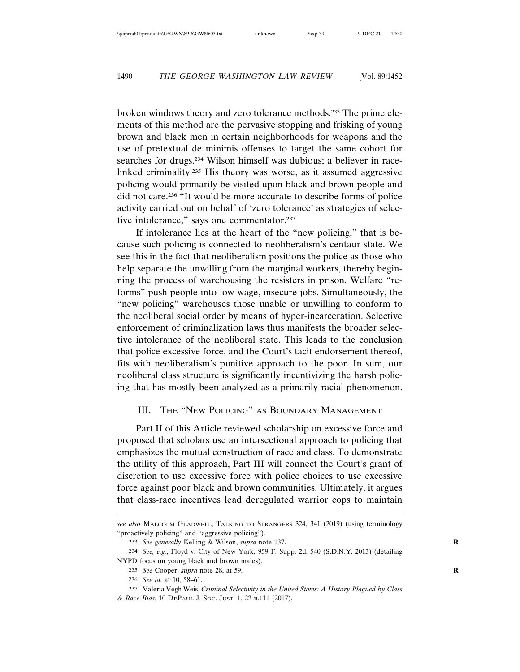broken windows theory and zero tolerance methods.233 The prime elements of this method are the pervasive stopping and frisking of young brown and black men in certain neighborhoods for weapons and the use of pretextual de minimis offenses to target the same cohort for searches for drugs.234 Wilson himself was dubious; a believer in racelinked criminality.235 His theory was worse, as it assumed aggressive policing would primarily be visited upon black and brown people and did not care.236 "It would be more accurate to describe forms of police activity carried out on behalf of 'zero tolerance' as strategies of selective intolerance," says one commentator.<sup>237</sup>

If intolerance lies at the heart of the "new policing," that is because such policing is connected to neoliberalism's centaur state. We see this in the fact that neoliberalism positions the police as those who help separate the unwilling from the marginal workers, thereby beginning the process of warehousing the resisters in prison. Welfare "reforms" push people into low-wage, insecure jobs. Simultaneously, the "new policing" warehouses those unable or unwilling to conform to the neoliberal social order by means of hyper-incarceration. Selective enforcement of criminalization laws thus manifests the broader selective intolerance of the neoliberal state. This leads to the conclusion that police excessive force, and the Court's tacit endorsement thereof, fits with neoliberalism's punitive approach to the poor. In sum, our neoliberal class structure is significantly incentivizing the harsh policing that has mostly been analyzed as a primarily racial phenomenon.

#### III. THE "NEW POLICING" AS BOUNDARY MANAGEMENT

Part II of this Article reviewed scholarship on excessive force and proposed that scholars use an intersectional approach to policing that emphasizes the mutual construction of race and class. To demonstrate the utility of this approach, Part III will connect the Court's grant of discretion to use excessive force with police choices to use excessive force against poor black and brown communities. Ultimately, it argues that class-race incentives lead deregulated warrior cops to maintain

*see also* MALCOLM GLADWELL, TALKING TO STRANGERS 324, 341 (2019) (using terminology "proactively policing" and "aggressive policing").

<sup>233</sup> *See generally* Kelling & Wilson, *supra* note 137. **R**

<sup>234</sup> *See, e.g.*, Floyd v. City of New York, 959 F. Supp. 2d. 540 (S.D.N.Y. 2013) (detailing NYPD focus on young black and brown males).

<sup>235</sup> *See* Cooper, *supra* note 28, at 59. **R**

<sup>236</sup> *See id.* at 10, 58–61.

<sup>237</sup> Valeria Vegh Weis, *Criminal Selectivity in the United States: A History Plagued by Class & Race Bias*, 10 DEPAUL J. SOC. JUST. 1, 22 n.111 (2017).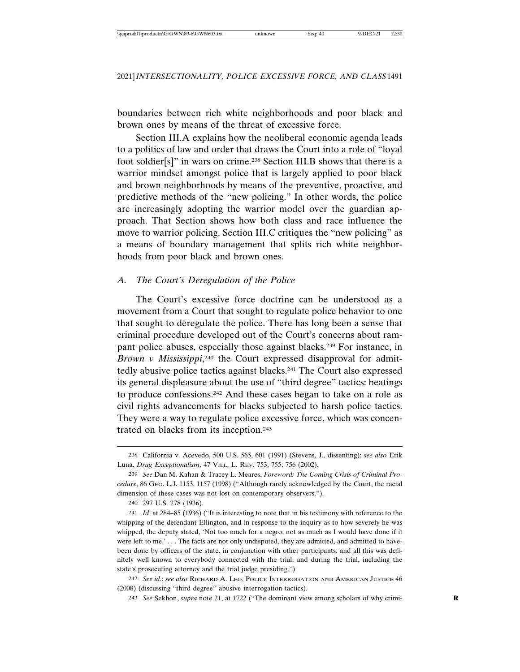boundaries between rich white neighborhoods and poor black and brown ones by means of the threat of excessive force.

Section III.A explains how the neoliberal economic agenda leads to a politics of law and order that draws the Court into a role of "loyal foot soldier[s]" in wars on crime.238 Section III.B shows that there is a warrior mindset amongst police that is largely applied to poor black and brown neighborhoods by means of the preventive, proactive, and predictive methods of the "new policing." In other words, the police are increasingly adopting the warrior model over the guardian approach. That Section shows how both class and race influence the move to warrior policing. Section III.C critiques the "new policing" as a means of boundary management that splits rich white neighborhoods from poor black and brown ones.

# *A. The Court's Deregulation of the Police*

The Court's excessive force doctrine can be understood as a movement from a Court that sought to regulate police behavior to one that sought to deregulate the police. There has long been a sense that criminal procedure developed out of the Court's concerns about rampant police abuses, especially those against blacks.239 For instance, in *Brown v Mississippi*, 240 the Court expressed disapproval for admittedly abusive police tactics against blacks.241 The Court also expressed its general displeasure about the use of "third degree" tactics: beatings to produce confessions.242 And these cases began to take on a role as civil rights advancements for blacks subjected to harsh police tactics. They were a way to regulate police excessive force, which was concentrated on blacks from its inception.243

<sup>238</sup> California v. Acevedo, 500 U.S. 565, 601 (1991) (Stevens, J., dissenting); *see also* Erik Luna, *Drug Exceptionalism*, 47 VILL. L. REV. 753, 755, 756 (2002).

<sup>239</sup> *See* Dan M. Kahan & Tracey L. Meares, *Foreword: The Coming Crisis of Criminal Procedure*, 86 GEO. L.J. 1153, 1157 (1998) ("Although rarely acknowledged by the Court, the racial dimension of these cases was not lost on contemporary observers.").

<sup>240</sup> 297 U.S. 278 (1936).

<sup>241</sup> *Id*. at 284–85 (1936) ("It is interesting to note that in his testimony with reference to the whipping of the defendant Ellington, and in response to the inquiry as to how severely he was whipped, the deputy stated, 'Not too much for a negro; not as much as I would have done if it were left to me.' . . . The facts are not only undisputed, they are admitted, and admitted to havebeen done by officers of the state, in conjunction with other participants, and all this was definitely well known to everybody connected with the trial, and during the trial, including the state's prosecuting attorney and the trial judge presiding.").

<sup>242</sup> *See id.*; *see also* RICHARD A. LEO, POLICE INTERROGATION AND AMERICAN JUSTICE 46 (2008) (discussing "third degree" abusive interrogation tactics).

<sup>243</sup> *See* Sekhon, *supra* note 21, at 1722 ("The dominant view among scholars of why crimi- **R**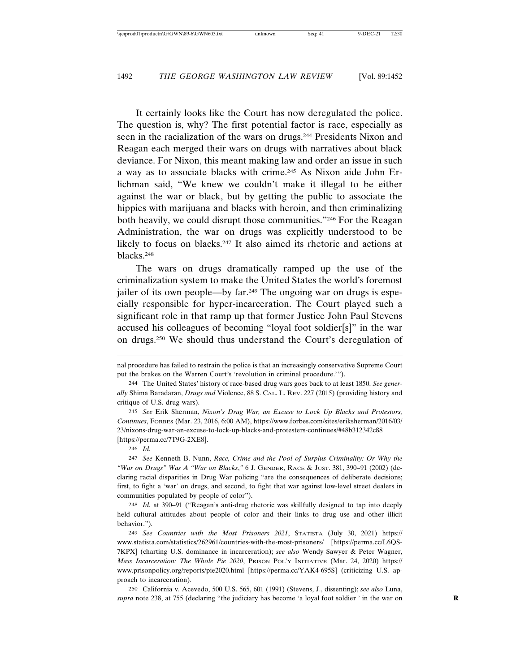It certainly looks like the Court has now deregulated the police. The question is, why? The first potential factor is race, especially as seen in the racialization of the wars on drugs.244 Presidents Nixon and Reagan each merged their wars on drugs with narratives about black deviance. For Nixon, this meant making law and order an issue in such a way as to associate blacks with crime.245 As Nixon aide John Erlichman said, "We knew we couldn't make it illegal to be either against the war or black, but by getting the public to associate the hippies with marijuana and blacks with heroin, and then criminalizing both heavily, we could disrupt those communities."246 For the Reagan Administration, the war on drugs was explicitly understood to be likely to focus on blacks.<sup>247</sup> It also aimed its rhetoric and actions at blacks.248

The wars on drugs dramatically ramped up the use of the criminalization system to make the United States the world's foremost jailer of its own people—by far.249 The ongoing war on drugs is especially responsible for hyper-incarceration. The Court played such a significant role in that ramp up that former Justice John Paul Stevens accused his colleagues of becoming "loyal foot soldier[s]" in the war on drugs.250 We should thus understand the Court's deregulation of

246 *Id.*

248 *Id.* at 390–91 ("Reagan's anti-drug rhetoric was skillfully designed to tap into deeply held cultural attitudes about people of color and their links to drug use and other illicit behavior.").

249 *See Countries with the Most Prisoners 2021*, STATISTA (July 30, 2021) https:// www.statista.com/statistics/262961/countries-with-the-most-prisoners/ [https://perma.cc/L6QS-7KPX] (charting U.S. dominance in incarceration); *see also* Wendy Sawyer & Peter Wagner, *Mass Incarceration: The Whole Pie 2020*, PRISON POL'Y INITIATIVE (Mar. 24, 2020) https:// www.prisonpolicy.org/reports/pie2020.html [https://perma.cc/YAK4-695S] (criticizing U.S. approach to incarceration).

250 California v. Acevedo, 500 U.S. 565, 601 (1991) (Stevens, J., dissenting); *see also* Luna, *supra* note 238, at 755 (declaring "the judiciary has become 'a loyal foot soldier ' in the war on **R**

nal procedure has failed to restrain the police is that an increasingly conservative Supreme Court put the brakes on the Warren Court's 'revolution in criminal procedure.'").

<sup>244</sup> The United States' history of race-based drug wars goes back to at least 1850. *See generally* Shima Baradaran, *Drugs and* Violence, 88 S. CAL. L. REV. 227 (2015) (providing history and critique of U.S. drug wars).

<sup>245</sup> *See* Erik Sherman, *Nixon's Drug War, an Excuse to Lock Up Blacks and Protestors, Continues*, FORBES (Mar. 23, 2016, 6:00 AM), https://www.forbes.com/sites/eriksherman/2016/03/ 23/nixons-drug-war-an-excuse-to-lock-up-blacks-and-protesters-continues/#48b312342c88 [https://perma.cc/7T9G-2XE8].

<sup>247</sup> *See* Kenneth B. Nunn, *Race, Crime and the Pool of Surplus Criminality: Or Why the "War on Drugs" Was A "War on Blacks*,*"* 6 J. GENDER, RACE & JUST. 381, 390–91 (2002) (declaring racial disparities in Drug War policing "are the consequences of deliberate decisions; first, to fight a 'war' on drugs, and second, to fight that war against low-level street dealers in communities populated by people of color").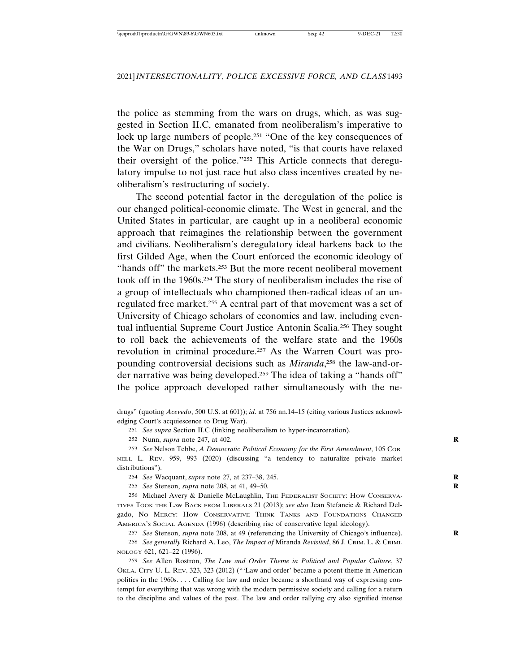the police as stemming from the wars on drugs, which, as was suggested in Section II.C, emanated from neoliberalism's imperative to lock up large numbers of people.251 "One of the key consequences of the War on Drugs," scholars have noted, "is that courts have relaxed their oversight of the police."252 This Article connects that deregulatory impulse to not just race but also class incentives created by neoliberalism's restructuring of society.

The second potential factor in the deregulation of the police is our changed political-economic climate. The West in general, and the United States in particular, are caught up in a neoliberal economic approach that reimagines the relationship between the government and civilians. Neoliberalism's deregulatory ideal harkens back to the first Gilded Age, when the Court enforced the economic ideology of "hands off" the markets.<sup>253</sup> But the more recent neoliberal movement took off in the 1960s.254 The story of neoliberalism includes the rise of a group of intellectuals who championed then-radical ideas of an unregulated free market.255 A central part of that movement was a set of University of Chicago scholars of economics and law, including eventual influential Supreme Court Justice Antonin Scalia.256 They sought to roll back the achievements of the welfare state and the 1960s revolution in criminal procedure.257 As the Warren Court was propounding controversial decisions such as *Miranda*, 258 the law-and-order narrative was being developed.259 The idea of taking a "hands off" the police approach developed rather simultaneously with the ne-

254 *See* Wacquant, *supra* note 27, at 237–38, 245. **R**

255 *See* Stenson, *supra* note 208, at 41, 49–50. **R**

256 Michael Avery & Danielle McLaughlin, THE FEDERALIST SOCIETY: HOW CONSERVA-TIVES TOOK THE LAW BACK FROM LIBERALS 21 (2013); *see also* Jean Stefancic & Richard Delgado, NO MERCY: HOW CONSERVATIVE THINK TANKS AND FOUNDATIONS CHANGED AMERICA'S SOCIAL AGENDA (1996) (describing rise of conservative legal ideology).

257 *See* Stenson, *supra* note 208, at 49 (referencing the University of Chicago's influence). **R**

258 *See generally* Richard A. Leo, *The Impact of* Miranda *Revisited*, 86 J. CRIM. L. & CRIMI-NOLOGY 621, 621–22 (1996).

259 *See* Allen Rostron, *The Law and Order Theme in Political and Popular Culture*, 37 OKLA. CITY U. L. REV. 323, 323 (2012) ("'Law and order' became a potent theme in American politics in the 1960s. . . . Calling for law and order became a shorthand way of expressing contempt for everything that was wrong with the modern permissive society and calling for a return to the discipline and values of the past. The law and order rallying cry also signified intense

drugs" (quoting *Acevedo*, 500 U.S. at 601)); *id*. at 756 nn.14–15 (citing various Justices acknowledging Court's acquiescence to Drug War).

<sup>251</sup> *See supra* Section II.C (linking neoliberalism to hyper-incarceration).

<sup>252</sup> Nunn, *supra* note 247, at 402. **R**

<sup>253</sup> *See* Nelson Tebbe, *A Democratic Political Economy for the First Amendment*, 105 COR-NELL L. REV. 959, 993 (2020) (discussing "a tendency to naturalize private market distributions").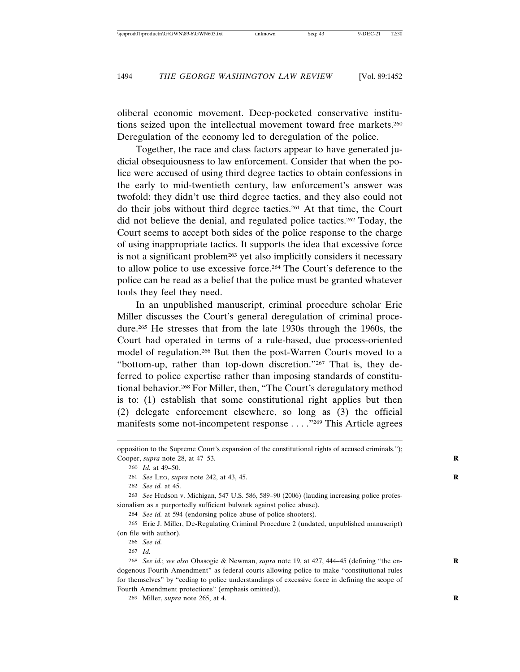oliberal economic movement. Deep-pocketed conservative institutions seized upon the intellectual movement toward free markets.260 Deregulation of the economy led to deregulation of the police.

Together, the race and class factors appear to have generated judicial obsequiousness to law enforcement. Consider that when the police were accused of using third degree tactics to obtain confessions in the early to mid-twentieth century, law enforcement's answer was twofold: they didn't use third degree tactics, and they also could not do their jobs without third degree tactics.261 At that time, the Court did not believe the denial, and regulated police tactics.262 Today, the Court seems to accept both sides of the police response to the charge of using inappropriate tactics. It supports the idea that excessive force is not a significant problem<sup>263</sup> yet also implicitly considers it necessary to allow police to use excessive force.264 The Court's deference to the police can be read as a belief that the police must be granted whatever tools they feel they need.

In an unpublished manuscript, criminal procedure scholar Eric Miller discusses the Court's general deregulation of criminal procedure.265 He stresses that from the late 1930s through the 1960s, the Court had operated in terms of a rule-based, due process-oriented model of regulation.266 But then the post-Warren Courts moved to a "bottom-up, rather than top-down discretion."267 That is, they deferred to police expertise rather than imposing standards of constitutional behavior.268 For Miller, then, "The Court's deregulatory method is to: (1) establish that some constitutional right applies but then (2) delegate enforcement elsewhere, so long as (3) the official manifests some not-incompetent response . . . ."269 This Article agrees

261 *See* LEO, *supra* note 242, at 43, 45. **R**

262 *See id.* at 45.

263 *See* Hudson v. Michigan, 547 U.S. 586, 589–90 (2006) (lauding increasing police professionalism as a purportedly sufficient bulwark against police abuse).

264 *See id.* at 594 (endorsing police abuse of police shooters).

265 Eric J. Miller, De-Regulating Criminal Procedure 2 (undated, unpublished manuscript) (on file with author).

266 *See id.*

267 *Id.*

268 *See id.*; *see also* Obasogie & Newman, *supra* note 19, at 427, 444–45 (defining "the en- **R** dogenous Fourth Amendment" as federal courts allowing police to make "constitutional rules for themselves" by "ceding to police understandings of excessive force in defining the scope of Fourth Amendment protections" (emphasis omitted)).

269 Miller, *supra* note 265, at 4. **R**

opposition to the Supreme Court's expansion of the constitutional rights of accused criminals."); Cooper, *supra* note 28, at 47–53. **R**

<sup>260</sup> *Id.* at 49–50.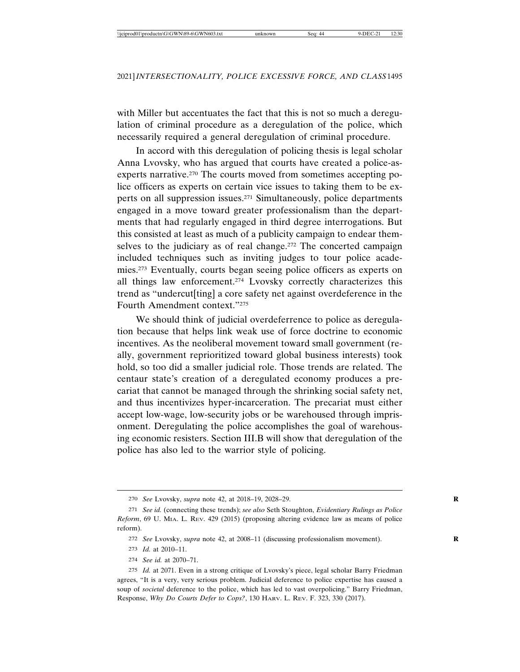with Miller but accentuates the fact that this is not so much a deregulation of criminal procedure as a deregulation of the police, which necessarily required a general deregulation of criminal procedure.

In accord with this deregulation of policing thesis is legal scholar Anna Lvovsky, who has argued that courts have created a police-asexperts narrative.<sup>270</sup> The courts moved from sometimes accepting police officers as experts on certain vice issues to taking them to be experts on all suppression issues.271 Simultaneously, police departments engaged in a move toward greater professionalism than the departments that had regularly engaged in third degree interrogations. But this consisted at least as much of a publicity campaign to endear themselves to the judiciary as of real change.<sup>272</sup> The concerted campaign included techniques such as inviting judges to tour police academies.273 Eventually, courts began seeing police officers as experts on all things law enforcement.274 Lvovsky correctly characterizes this trend as "undercut[ting] a core safety net against overdeference in the Fourth Amendment context."275

We should think of judicial overdeferrence to police as deregulation because that helps link weak use of force doctrine to economic incentives. As the neoliberal movement toward small government (really, government reprioritized toward global business interests) took hold, so too did a smaller judicial role. Those trends are related. The centaur state's creation of a deregulated economy produces a precariat that cannot be managed through the shrinking social safety net, and thus incentivizes hyper-incarceration. The precariat must either accept low-wage, low-security jobs or be warehoused through imprisonment. Deregulating the police accomplishes the goal of warehousing economic resisters. Section III.B will show that deregulation of the police has also led to the warrior style of policing.

274 *See id.* at 2070–71.

<sup>270</sup> *See* Lvovsky, *supra* note 42, at 2018–19, 2028–29. **R**

<sup>271</sup> *See id.* (connecting these trends); *see also* Seth Stoughton, *Evidentiary Rulings as Police Reform*, 69 U. MIA. L. REV. 429 (2015) (proposing altering evidence law as means of police reform).

<sup>272</sup> *See* Lvovsky, *supra* note 42, at 2008–11 (discussing professionalism movement). **R**

<sup>273</sup> *Id.* at 2010–11.

<sup>275</sup> *Id.* at 2071. Even in a strong critique of Lvovsky's piece, legal scholar Barry Friedman agrees, "It is a very, very serious problem. Judicial deference to police expertise has caused a soup of *societal* deference to the police, which has led to vast overpolicing." Barry Friedman, Response, *Why Do Courts Defer to Cops?*, 130 HARV. L. REV. F. 323, 330 (2017).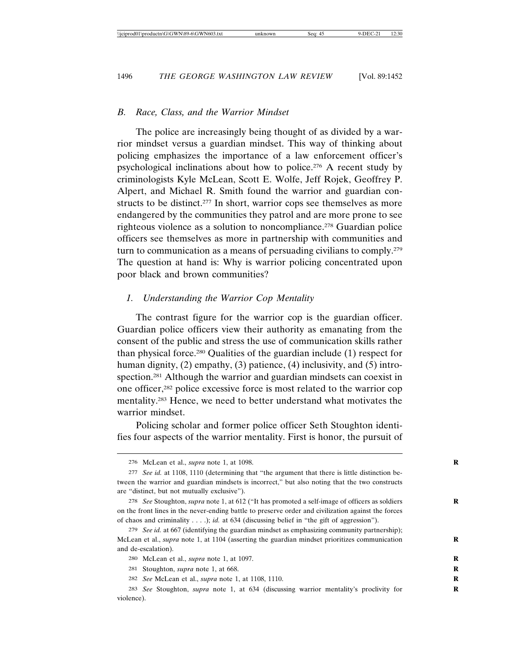#### *B. Race, Class, and the Warrior Mindset*

The police are increasingly being thought of as divided by a warrior mindset versus a guardian mindset. This way of thinking about policing emphasizes the importance of a law enforcement officer's psychological inclinations about how to police.276 A recent study by criminologists Kyle McLean, Scott E. Wolfe, Jeff Rojek, Geoffrey P. Alpert, and Michael R. Smith found the warrior and guardian constructs to be distinct.<sup>277</sup> In short, warrior cops see themselves as more endangered by the communities they patrol and are more prone to see righteous violence as a solution to noncompliance.278 Guardian police officers see themselves as more in partnership with communities and turn to communication as a means of persuading civilians to comply.279 The question at hand is: Why is warrior policing concentrated upon poor black and brown communities?

#### *1. Understanding the Warrior Cop Mentality*

The contrast figure for the warrior cop is the guardian officer. Guardian police officers view their authority as emanating from the consent of the public and stress the use of communication skills rather than physical force.280 Qualities of the guardian include (1) respect for human dignity, (2) empathy, (3) patience, (4) inclusivity, and (5) introspection.281 Although the warrior and guardian mindsets can coexist in one officer,282 police excessive force is most related to the warrior cop mentality.283 Hence, we need to better understand what motivates the warrior mindset.

Policing scholar and former police officer Seth Stoughton identifies four aspects of the warrior mentality. First is honor, the pursuit of

<sup>276</sup> McLean et al., *supra* note 1, at 1098. **R**

<sup>277</sup> *See id.* at 1108, 1110 (determining that "the argument that there is little distinction between the warrior and guardian mindsets is incorrect," but also noting that the two constructs are "distinct, but not mutually exclusive").

<sup>278</sup> *See* Stoughton, *supra* note 1, at 612 ("It has promoted a self-image of officers as soldiers **R** on the front lines in the never-ending battle to preserve order and civilization against the forces of chaos and criminality . . . .); *id.* at 634 (discussing belief in "the gift of aggression").

<sup>279</sup> *See id.* at 667 (identifying the guardian mindset as emphasizing community partnership); McLean et al., *supra* note 1, at 1104 (asserting the guardian mindset prioritizes communication **R** and de-escalation).

<sup>280</sup> McLean et al., *supra* note 1, at 1097. **R**

<sup>281</sup> Stoughton, *supra* note 1, at 668.

<sup>282</sup> *See* McLean et al., *supra* note 1, at 1108, 1110. **R**

<sup>283</sup> *See* Stoughton, *supra* note 1, at 634 (discussing warrior mentality's proclivity for **R** violence).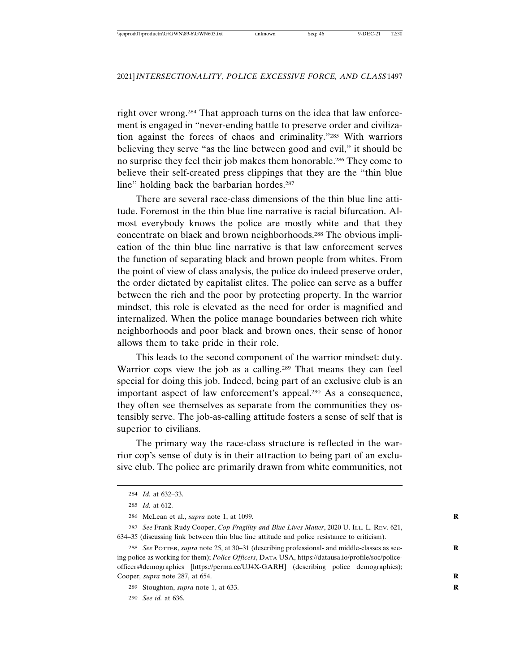right over wrong.284 That approach turns on the idea that law enforcement is engaged in "never-ending battle to preserve order and civilization against the forces of chaos and criminality."285 With warriors believing they serve "as the line between good and evil," it should be no surprise they feel their job makes them honorable.286 They come to believe their self-created press clippings that they are the "thin blue line" holding back the barbarian hordes.<sup>287</sup>

There are several race-class dimensions of the thin blue line attitude. Foremost in the thin blue line narrative is racial bifurcation. Almost everybody knows the police are mostly white and that they concentrate on black and brown neighborhoods.288 The obvious implication of the thin blue line narrative is that law enforcement serves the function of separating black and brown people from whites. From the point of view of class analysis, the police do indeed preserve order, the order dictated by capitalist elites. The police can serve as a buffer between the rich and the poor by protecting property. In the warrior mindset, this role is elevated as the need for order is magnified and internalized. When the police manage boundaries between rich white neighborhoods and poor black and brown ones, their sense of honor allows them to take pride in their role.

This leads to the second component of the warrior mindset: duty. Warrior cops view the job as a calling.<sup>289</sup> That means they can feel special for doing this job. Indeed, being part of an exclusive club is an important aspect of law enforcement's appeal.290 As a consequence, they often see themselves as separate from the communities they ostensibly serve. The job-as-calling attitude fosters a sense of self that is superior to civilians.

The primary way the race-class structure is reflected in the warrior cop's sense of duty is in their attraction to being part of an exclusive club. The police are primarily drawn from white communities, not

290 *See id.* at 636.

<sup>284</sup> *Id.* at 632–33.

<sup>285</sup> *Id.* at 612.

<sup>286</sup> McLean et al., *supra* note 1, at 1099. **R**

<sup>287</sup> *See* Frank Rudy Cooper, *Cop Fragility and Blue Lives Matter*, 2020 U. ILL. L. REV. 621, 634–35 (discussing link between thin blue line attitude and police resistance to criticism).

<sup>288</sup> *See* POTTER, *supra* note 25, at 30–31 (describing professional- and middle-classes as see- **R** ing police as working for them); *Police Officers*, DATA USA, https://datausa.io/profile/soc/policeofficers#demographics [https://perma.cc/UJ4X-GARH] (describing police demographics); Cooper*, supra* note 287, at 654. **R**

<sup>289</sup> Stoughton, *supra* note 1, at 633. **R**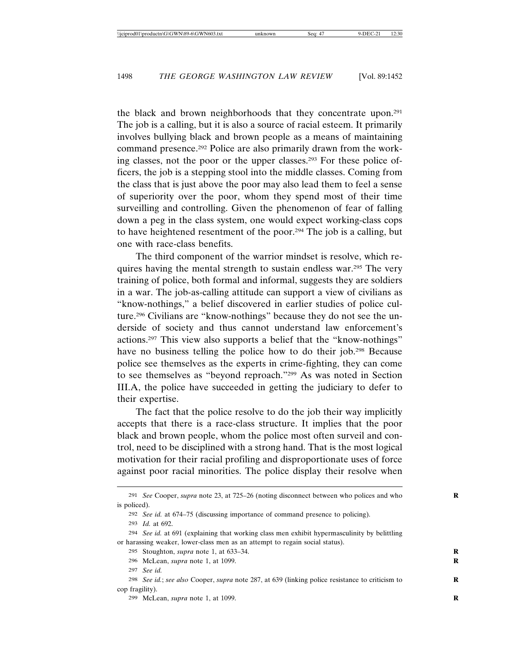the black and brown neighborhoods that they concentrate upon.291 The job is a calling, but it is also a source of racial esteem. It primarily involves bullying black and brown people as a means of maintaining command presence.292 Police are also primarily drawn from the working classes, not the poor or the upper classes.293 For these police officers, the job is a stepping stool into the middle classes. Coming from the class that is just above the poor may also lead them to feel a sense of superiority over the poor, whom they spend most of their time surveilling and controlling. Given the phenomenon of fear of falling down a peg in the class system, one would expect working-class cops to have heightened resentment of the poor.294 The job is a calling, but one with race-class benefits.

The third component of the warrior mindset is resolve, which requires having the mental strength to sustain endless war.295 The very training of police, both formal and informal, suggests they are soldiers in a war. The job-as-calling attitude can support a view of civilians as "know-nothings," a belief discovered in earlier studies of police culture.296 Civilians are "know-nothings" because they do not see the underside of society and thus cannot understand law enforcement's actions.297 This view also supports a belief that the "know-nothings" have no business telling the police how to do their job.<sup>298</sup> Because police see themselves as the experts in crime-fighting, they can come to see themselves as "beyond reproach."299 As was noted in Section III.A, the police have succeeded in getting the judiciary to defer to their expertise.

The fact that the police resolve to do the job their way implicitly accepts that there is a race-class structure. It implies that the poor black and brown people, whom the police most often surveil and control, need to be disciplined with a strong hand. That is the most logical motivation for their racial profiling and disproportionate uses of force against poor racial minorities. The police display their resolve when

<sup>291</sup> *See* Cooper, *supra* note 23, at 725–26 (noting disconnect between who polices and who **R** is policed).

<sup>292</sup> *See id.* at 674–75 (discussing importance of command presence to policing).

<sup>293</sup> *Id.* at 692.

<sup>294</sup> *See id.* at 691 (explaining that working class men exhibit hypermasculinity by belittling or harassing weaker, lower-class men as an attempt to regain social status).

<sup>295</sup> Stoughton, *supra* note 1, at 633–34. **R**

<sup>296</sup> McLean, *supra* note 1, at 1099. **R**

<sup>297</sup> *See id.*

<sup>298</sup> *See id.*; *see also* Cooper, *supra* note 287, at 639 (linking police resistance to criticism to **R** cop fragility).

<sup>299</sup> McLean, *supra* note 1, at 1099. **R**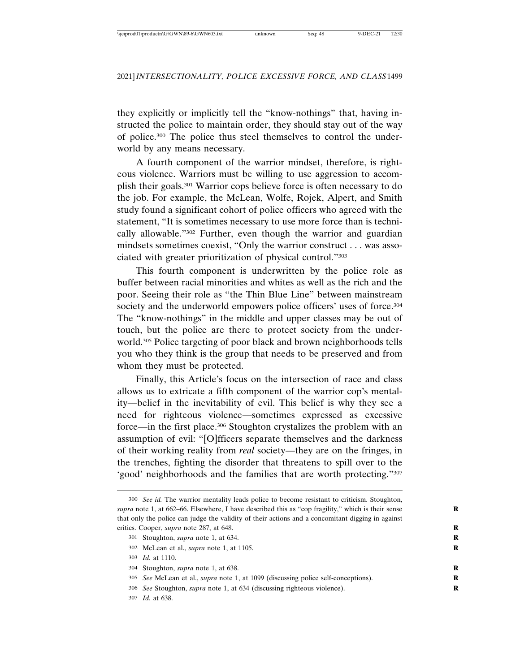they explicitly or implicitly tell the "know-nothings" that, having instructed the police to maintain order, they should stay out of the way of police.300 The police thus steel themselves to control the underworld by any means necessary.

A fourth component of the warrior mindset, therefore, is righteous violence. Warriors must be willing to use aggression to accomplish their goals.301 Warrior cops believe force is often necessary to do the job. For example, the McLean, Wolfe, Rojek, Alpert, and Smith study found a significant cohort of police officers who agreed with the statement, "It is sometimes necessary to use more force than is technically allowable."302 Further, even though the warrior and guardian mindsets sometimes coexist, "Only the warrior construct . . . was associated with greater prioritization of physical control."303

This fourth component is underwritten by the police role as buffer between racial minorities and whites as well as the rich and the poor. Seeing their role as "the Thin Blue Line" between mainstream society and the underworld empowers police officers' uses of force.<sup>304</sup> The "know-nothings" in the middle and upper classes may be out of touch, but the police are there to protect society from the underworld.305 Police targeting of poor black and brown neighborhoods tells you who they think is the group that needs to be preserved and from whom they must be protected.

Finally, this Article's focus on the intersection of race and class allows us to extricate a fifth component of the warrior cop's mentality—belief in the inevitability of evil. This belief is why they see a need for righteous violence—sometimes expressed as excessive force—in the first place.306 Stoughton crystalizes the problem with an assumption of evil: "[O]fficers separate themselves and the darkness of their working reality from *real* society—they are on the fringes, in the trenches, fighting the disorder that threatens to spill over to the 'good' neighborhoods and the families that are worth protecting."307

302 McLean et al., *supra* note 1, at 1105. **R**

- 306 *See* Stoughton, *supra* note 1, at 634 (discussing righteous violence). **R**
- 307 *Id.* at 638.

<sup>300</sup> *See id.* The warrior mentality leads police to become resistant to criticism. Stoughton, *supra* note 1, at 662–66. Elsewhere, I have described this as "cop fragility," which is their sense **R** that only the police can judge the validity of their actions and a concomitant digging in against critics. Cooper, *supra* note 287, at 648. **R**

<sup>301</sup> Stoughton, *supra* note 1, at 634. **R**

<sup>303</sup> *Id.* at 1110.

<sup>304</sup> Stoughton, *supra* note 1, at 638. **R**

<sup>305</sup> *See* McLean et al., *supra* note 1, at 1099 (discussing police self-conceptions). **R**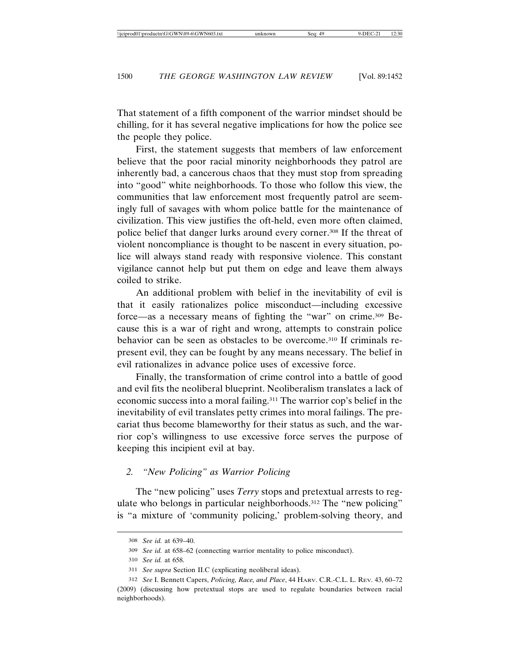First, the statement suggests that members of law enforcement believe that the poor racial minority neighborhoods they patrol are inherently bad, a cancerous chaos that they must stop from spreading into "good" white neighborhoods. To those who follow this view, the communities that law enforcement most frequently patrol are seemingly full of savages with whom police battle for the maintenance of civilization. This view justifies the oft-held, even more often claimed, police belief that danger lurks around every corner.308 If the threat of violent noncompliance is thought to be nascent in every situation, police will always stand ready with responsive violence. This constant vigilance cannot help but put them on edge and leave them always coiled to strike.

An additional problem with belief in the inevitability of evil is that it easily rationalizes police misconduct—including excessive force—as a necessary means of fighting the "war" on crime.309 Because this is a war of right and wrong, attempts to constrain police behavior can be seen as obstacles to be overcome.310 If criminals represent evil, they can be fought by any means necessary. The belief in evil rationalizes in advance police uses of excessive force.

Finally, the transformation of crime control into a battle of good and evil fits the neoliberal blueprint. Neoliberalism translates a lack of economic success into a moral failing.311 The warrior cop's belief in the inevitability of evil translates petty crimes into moral failings. The precariat thus become blameworthy for their status as such, and the warrior cop's willingness to use excessive force serves the purpose of keeping this incipient evil at bay.

#### *2. "New Policing" as Warrior Policing*

The "new policing" uses *Terry* stops and pretextual arrests to regulate who belongs in particular neighborhoods.312 The "new policing" is "a mixture of 'community policing,' problem-solving theory, and

<sup>308</sup> *See id.* at 639–40.

<sup>309</sup> *See id.* at 658–62 (connecting warrior mentality to police misconduct).

<sup>310</sup> *See id.* at 658.

<sup>311</sup> *See supra* Section II.C (explicating neoliberal ideas).

<sup>312</sup> *See* I. Bennett Capers, *Policing, Race, and Place*, 44 HARV. C.R.-C.L. L. REV. 43, 60–72 (2009) (discussing how pretextual stops are used to regulate boundaries between racial neighborhoods).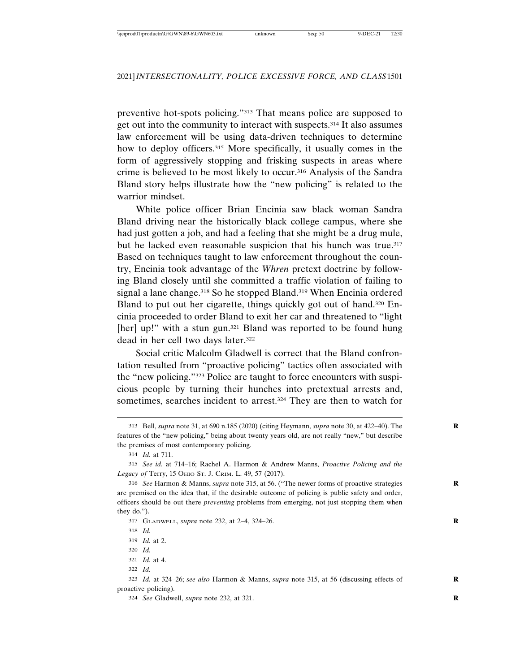preventive hot-spots policing."313 That means police are supposed to get out into the community to interact with suspects.314 It also assumes law enforcement will be using data-driven techniques to determine how to deploy officers.<sup>315</sup> More specifically, it usually comes in the form of aggressively stopping and frisking suspects in areas where crime is believed to be most likely to occur.316 Analysis of the Sandra Bland story helps illustrate how the "new policing" is related to the warrior mindset.

White police officer Brian Encinia saw black woman Sandra Bland driving near the historically black college campus, where she had just gotten a job, and had a feeling that she might be a drug mule, but he lacked even reasonable suspicion that his hunch was true.<sup>317</sup> Based on techniques taught to law enforcement throughout the country, Encinia took advantage of the *Whren* pretext doctrine by following Bland closely until she committed a traffic violation of failing to signal a lane change.<sup>318</sup> So he stopped Bland.<sup>319</sup> When Encinia ordered Bland to put out her cigarette, things quickly got out of hand.320 Encinia proceeded to order Bland to exit her car and threatened to "light [her] up!" with a stun gun.<sup>321</sup> Bland was reported to be found hung dead in her cell two days later.322

Social critic Malcolm Gladwell is correct that the Bland confrontation resulted from "proactive policing" tactics often associated with the "new policing."323 Police are taught to force encounters with suspicious people by turning their hunches into pretextual arrests and, sometimes, searches incident to arrest.<sup>324</sup> They are then to watch for

<sup>313</sup> Bell, *supra* note 31, at 690 n.185 (2020) (citing Heymann, *supra* note 30, at 422–40). The **R** features of the "new policing," being about twenty years old, are not really "new," but describe the premises of most contemporary policing.

<sup>314</sup> *Id.* at 711.

<sup>315</sup> *See id.* at 714–16; Rachel A. Harmon & Andrew Manns, *Proactive Policing and the Legacy of* Terry, 15 OHIO ST. J. CRIM. L. 49, 57 (2017).

<sup>316</sup> *See* Harmon & Manns, *supra* note 315, at 56. ("The newer forms of proactive strategies **R** are premised on the idea that, if the desirable outcome of policing is public safety and order, officers should be out there *preventing* problems from emerging, not just stopping them when they do.").

<sup>317</sup> GLADWELL, *supra* note 232, at 2–4, 324–26. **R**

<sup>318</sup> *Id.*

<sup>319</sup> *Id.* at 2.

<sup>320</sup> *Id.*

<sup>321</sup> *Id.* at 4.

<sup>322</sup> *Id.*

<sup>323</sup> *Id.* at 324–26; *see also* Harmon & Manns, *supra* note 315, at 56 (discussing effects of **R** proactive policing).

<sup>324</sup> *See* Gladwell, *supra* note 232, at 321. **R**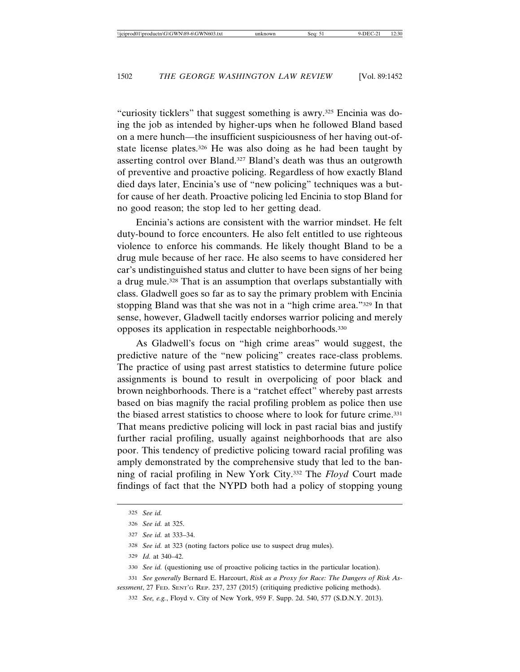"curiosity ticklers" that suggest something is awry.325 Encinia was doing the job as intended by higher-ups when he followed Bland based on a mere hunch—the insufficient suspiciousness of her having out-ofstate license plates.<sup>326</sup> He was also doing as he had been taught by asserting control over Bland.327 Bland's death was thus an outgrowth of preventive and proactive policing. Regardless of how exactly Bland died days later, Encinia's use of "new policing" techniques was a butfor cause of her death. Proactive policing led Encinia to stop Bland for no good reason; the stop led to her getting dead.

Encinia's actions are consistent with the warrior mindset. He felt duty-bound to force encounters. He also felt entitled to use righteous violence to enforce his commands. He likely thought Bland to be a drug mule because of her race. He also seems to have considered her car's undistinguished status and clutter to have been signs of her being a drug mule.<sup>328</sup> That is an assumption that overlaps substantially with class. Gladwell goes so far as to say the primary problem with Encinia stopping Bland was that she was not in a "high crime area."329 In that sense, however, Gladwell tacitly endorses warrior policing and merely opposes its application in respectable neighborhoods.330

As Gladwell's focus on "high crime areas" would suggest, the predictive nature of the "new policing" creates race-class problems. The practice of using past arrest statistics to determine future police assignments is bound to result in overpolicing of poor black and brown neighborhoods. There is a "ratchet effect" whereby past arrests based on bias magnify the racial profiling problem as police then use the biased arrest statistics to choose where to look for future crime.331 That means predictive policing will lock in past racial bias and justify further racial profiling, usually against neighborhoods that are also poor. This tendency of predictive policing toward racial profiling was amply demonstrated by the comprehensive study that led to the banning of racial profiling in New York City.332 The *Floyd* Court made findings of fact that the NYPD both had a policy of stopping young

<sup>325</sup> *See id.*

<sup>326</sup> *See id.* at 325.

<sup>327</sup> *See id.* at 333–34.

<sup>328</sup> *See id.* at 323 (noting factors police use to suspect drug mules).

<sup>329</sup> *Id.* at 340–42.

<sup>330</sup> *See id.* (questioning use of proactive policing tactics in the particular location).

<sup>331</sup> *See generally* Bernard E. Harcourt, *Risk as a Proxy for Race: The Dangers of Risk Assessment*, 27 FED. SENT'G REP. 237, 237 (2015) (critiquing predictive policing methods).

<sup>332</sup> *See, e.g.*, Floyd v. City of New York, 959 F. Supp. 2d. 540, 577 (S.D.N.Y. 2013).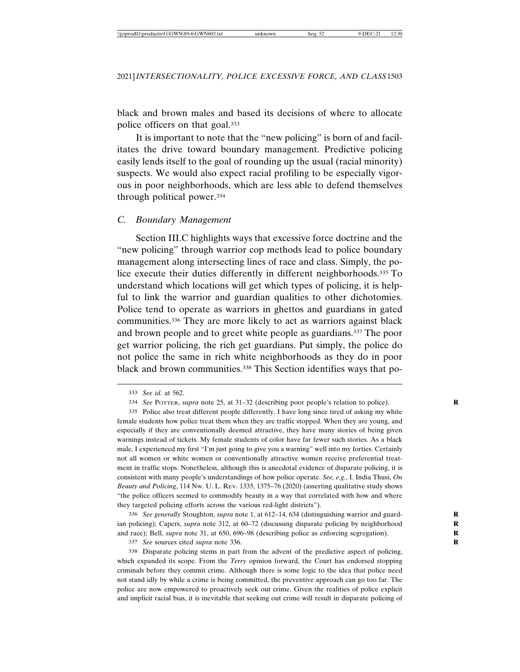black and brown males and based its decisions of where to allocate police officers on that goal.333

It is important to note that the "new policing" is born of and facilitates the drive toward boundary management. Predictive policing easily lends itself to the goal of rounding up the usual (racial minority) suspects. We would also expect racial profiling to be especially vigorous in poor neighborhoods, which are less able to defend themselves through political power.334

#### *C. Boundary Management*

Section III.C highlights ways that excessive force doctrine and the "new policing" through warrior cop methods lead to police boundary management along intersecting lines of race and class. Simply, the police execute their duties differently in different neighborhoods.<sup>335</sup> To understand which locations will get which types of policing, it is helpful to link the warrior and guardian qualities to other dichotomies. Police tend to operate as warriors in ghettos and guardians in gated communities.336 They are more likely to act as warriors against black and brown people and to greet white people as guardians.337 The poor get warrior policing, the rich get guardians. Put simply, the police do not police the same in rich white neighborhoods as they do in poor black and brown communities.338 This Section identifies ways that po-

336 *See generally* Stoughton, *supra* note 1, at 612–14, 634 (distinguishing warrior and guard- **R** ian policing); Capers, *supra* note 312, at 60–72 (discussing disparate policing by neighborhood and race); Bell, *supra* note 31, at 650, 696-98 (describing police as enforcing segregation).

337 *See* sources cited *supra* note 336. **R**

338 Disparate policing stems in part from the advent of the predictive aspect of policing, which expanded its scope. From the *Terry* opinion forward, the Court has endorsed stopping criminals before they commit crime. Although there is some logic to the idea that police need not stand idly by while a crime is being committed, the preventive approach can go too far. The police are now empowered to proactively seek out crime. Given the realities of police explicit and implicit racial bias, it is inevitable that seeking out crime will result in disparate policing of

<sup>333</sup> *See id.* at 562.

<sup>334</sup> *See* POTTER, *supra* note 25, at 31–32 (describing poor people's relation to police). **R**

<sup>335</sup> Police also treat different people differently. I have long since tired of asking my white female students how police treat them when they are traffic stopped. When they are young, and especially if they are conventionally deemed attractive, they have many stories of being given warnings instead of tickets. My female students of color have far fewer such stories. As a black male, I experienced my first "I'm just going to give you a warning" well into my forties. Certainly not all women or white women or conventionally attractive women receive preferential treatment in traffic stops. Nonetheless, although this is anecdotal evidence of disparate policing, it is consistent with many people's understandings of how police operate. *See, e.g.*, I. India Thusi, *On Beauty and Policing*, 114 NW. U. L. REV. 1335, 1375–76 (2020) (asserting qualitative study shows "the police officers seemed to commodify beauty in a way that correlated with how and where they targeted policing efforts across the various red-light districts").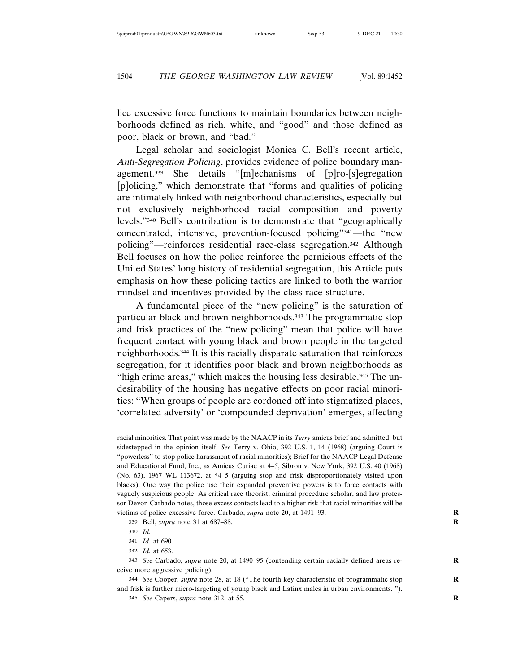lice excessive force functions to maintain boundaries between neighborhoods defined as rich, white, and "good" and those defined as poor, black or brown, and "bad."

Legal scholar and sociologist Monica C. Bell's recent article, *Anti-Segregation Policing*, provides evidence of police boundary management.339 She details "[m]echanisms of [p]ro-[s]egregation [p]olicing," which demonstrate that "forms and qualities of policing are intimately linked with neighborhood characteristics, especially but not exclusively neighborhood racial composition and poverty levels."340 Bell's contribution is to demonstrate that "geographically concentrated, intensive, prevention-focused policing"341—the "new policing"—reinforces residential race-class segregation.<sup>342</sup> Although Bell focuses on how the police reinforce the pernicious effects of the United States' long history of residential segregation, this Article puts emphasis on how these policing tactics are linked to both the warrior mindset and incentives provided by the class-race structure.

A fundamental piece of the "new policing" is the saturation of particular black and brown neighborhoods.<sup>343</sup> The programmatic stop and frisk practices of the "new policing" mean that police will have frequent contact with young black and brown people in the targeted neighborhoods.344 It is this racially disparate saturation that reinforces segregation, for it identifies poor black and brown neighborhoods as "high crime areas," which makes the housing less desirable.<sup>345</sup> The undesirability of the housing has negative effects on poor racial minorities: "When groups of people are cordoned off into stigmatized places, 'correlated adversity' or 'compounded deprivation' emerges, affecting

339 Bell, *supra* note 31 at 687–88. **R**

racial minorities. That point was made by the NAACP in its *Terry* amicus brief and admitted, but sidestepped in the opinion itself. *See* Terry v. Ohio, 392 U.S. 1, 14 (1968) (arguing Court is "powerless" to stop police harassment of racial minorities); Brief for the NAACP Legal Defense and Educational Fund, Inc., as Amicus Curiae at 4–5, Sibron v. New York, 392 U.S. 40 (1968) (No. 63), 1967 WL 113672, at \*4–5 (arguing stop and frisk disproportionately visited upon blacks). One way the police use their expanded preventive powers is to force contacts with vaguely suspicious people. As critical race theorist, criminal procedure scholar, and law professor Devon Carbado notes, those excess contacts lead to a higher risk that racial minorities will be victims of police excessive force. Carbado, *supra* note 20, at 1491–93. **R**

<sup>340</sup> *Id.*

<sup>341</sup> *Id.* at 690.

<sup>342</sup> *Id.* at 653.

<sup>343</sup> *See* Carbado, *supra* note 20, at 1490–95 (contending certain racially defined areas re- **R** ceive more aggressive policing).

<sup>344</sup> *See* Cooper, *supra* note 28, at 18 ("The fourth key characteristic of programmatic stop **R** and frisk is further micro-targeting of young black and Latinx males in urban environments. ").

<sup>345</sup> *See* Capers, *supra* note 312, at 55. **R**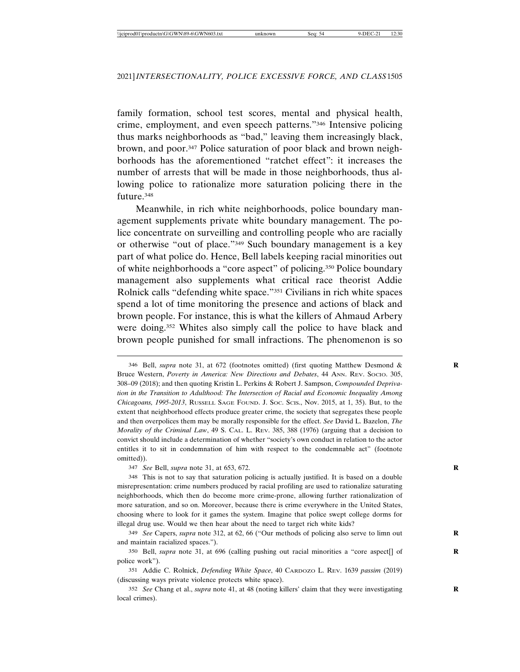family formation, school test scores, mental and physical health, crime, employment, and even speech patterns."346 Intensive policing thus marks neighborhoods as "bad," leaving them increasingly black, brown, and poor.347 Police saturation of poor black and brown neighborhoods has the aforementioned "ratchet effect": it increases the number of arrests that will be made in those neighborhoods, thus allowing police to rationalize more saturation policing there in the future.348

Meanwhile, in rich white neighborhoods, police boundary management supplements private white boundary management. The police concentrate on surveilling and controlling people who are racially or otherwise "out of place."349 Such boundary management is a key part of what police do. Hence, Bell labels keeping racial minorities out of white neighborhoods a "core aspect" of policing.350 Police boundary management also supplements what critical race theorist Addie Rolnick calls "defending white space."351 Civilians in rich white spaces spend a lot of time monitoring the presence and actions of black and brown people. For instance, this is what the killers of Ahmaud Arbery were doing.<sup>352</sup> Whites also simply call the police to have black and brown people punished for small infractions. The phenomenon is so

347 *See* Bell, *supra* note 31, at 653, 672. **R**

348 This is not to say that saturation policing is actually justified. It is based on a double misrepresentation: crime numbers produced by racial profiling are used to rationalize saturating neighborhoods, which then do become more crime-prone, allowing further rationalization of more saturation, and so on. Moreover, because there is crime everywhere in the United States, choosing where to look for it games the system. Imagine that police swept college dorms for illegal drug use. Would we then hear about the need to target rich white kids?

349 *See* Capers, *supra* note 312, at 62, 66 ("Our methods of policing also serve to limn out **R** and maintain racialized spaces.").

350 Bell, *supra* note 31, at 696 (calling pushing out racial minorities a "core aspect[] of **R** police work").

351 Addie C. Rolnick, *Defending White Space*, 40 CARDOZO L. REV. 1639 *passim* (2019) (discussing ways private violence protects white space).

352 *See* Chang et al., *supra* note 41, at 48 (noting killers' claim that they were investigating **R** local crimes).

<sup>346</sup> Bell, *supra* note 31, at 672 (footnotes omitted) (first quoting Matthew Desmond & **R** Bruce Western, *Poverty in America: New Directions and Debates*, 44 ANN. REV. SOCIO. 305, 308–09 (2018); and then quoting Kristin L. Perkins & Robert J. Sampson, *Compounded Deprivation in the Transition to Adulthood: The Intersection of Racial and Economic Inequality Among Chicagoans, 1995-2013*, RUSSELL SAGE FOUND. J. SOC. SCIS., Nov. 2015, at 1, 35). But, to the extent that neighborhood effects produce greater crime, the society that segregates these people and then overpolices them may be morally responsible for the effect. *See* David L. Bazelon, *The Morality of the Criminal Law*, 49 S. CAL. L. REV. 385, 388 (1976) (arguing that a decision to convict should include a determination of whether "society's own conduct in relation to the actor entitles it to sit in condemnation of him with respect to the condemnable act" (footnote omitted)).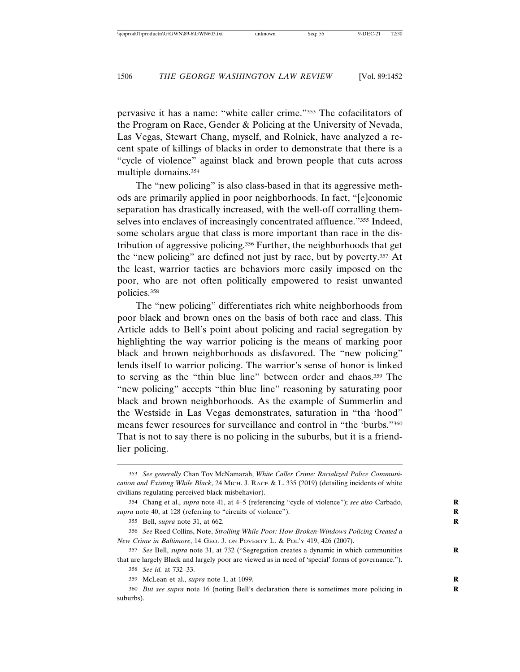pervasive it has a name: "white caller crime."353 The cofacilitators of the Program on Race, Gender & Policing at the University of Nevada, Las Vegas, Stewart Chang, myself, and Rolnick, have analyzed a recent spate of killings of blacks in order to demonstrate that there is a "cycle of violence" against black and brown people that cuts across multiple domains.354

The "new policing" is also class-based in that its aggressive methods are primarily applied in poor neighborhoods. In fact, "[e]conomic separation has drastically increased, with the well-off corralling themselves into enclaves of increasingly concentrated affluence."355 Indeed, some scholars argue that class is more important than race in the distribution of aggressive policing.356 Further, the neighborhoods that get the "new policing" are defined not just by race, but by poverty.357 At the least, warrior tactics are behaviors more easily imposed on the poor, who are not often politically empowered to resist unwanted policies.358

The "new policing" differentiates rich white neighborhoods from poor black and brown ones on the basis of both race and class. This Article adds to Bell's point about policing and racial segregation by highlighting the way warrior policing is the means of marking poor black and brown neighborhoods as disfavored. The "new policing" lends itself to warrior policing. The warrior's sense of honor is linked to serving as the "thin blue line" between order and chaos.359 The "new policing" accepts "thin blue line" reasoning by saturating poor black and brown neighborhoods. As the example of Summerlin and the Westside in Las Vegas demonstrates, saturation in "tha 'hood" means fewer resources for surveillance and control in "the 'burbs."360 That is not to say there is no policing in the suburbs, but it is a friendlier policing.

<sup>353</sup> *See generally* Chan Tov McNamarah, *White Caller Crime: Racialized Police Communication and Existing While Black*, 24 MICH. J. RACE & L. 335 (2019) (detailing incidents of white civilians regulating perceived black misbehavior).

<sup>354</sup> Chang et al., *supra* note 41, at 4–5 (referencing "cycle of violence"); *see also* Carbado, **R** *supra* note 40, at 128 (referring to "circuits of violence").

<sup>355</sup> Bell, *supra* note 31, at 662. **R**

<sup>356</sup> *See* Reed Collins, Note, *Strolling While Poor: How Broken-Windows Policing Created a New Crime in Baltimore*, 14 GEO. J. ON POVERTY L. & POL'Y 419, 426 (2007).

<sup>357</sup> *See* Bell, *supra* note 31, at 732 ("Segregation creates a dynamic in which communities **R** that are largely Black and largely poor are viewed as in need of 'special' forms of governance.").

<sup>358</sup> *See id.* at 732–33.

<sup>359</sup> McLean et al., *supra* note 1, at 1099. **R**

<sup>360</sup> *But see supra* note 16 (noting Bell's declaration there is sometimes more policing in **R** suburbs).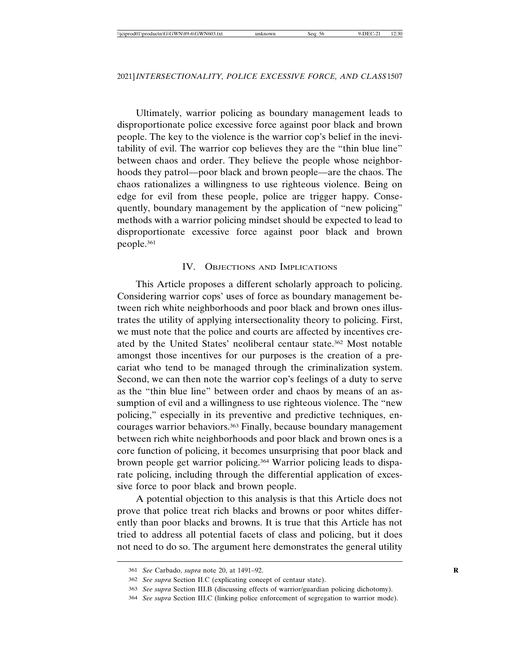Ultimately, warrior policing as boundary management leads to disproportionate police excessive force against poor black and brown people. The key to the violence is the warrior cop's belief in the inevitability of evil. The warrior cop believes they are the "thin blue line" between chaos and order. They believe the people whose neighborhoods they patrol—poor black and brown people—are the chaos. The chaos rationalizes a willingness to use righteous violence. Being on edge for evil from these people, police are trigger happy. Consequently, boundary management by the application of "new policing" methods with a warrior policing mindset should be expected to lead to disproportionate excessive force against poor black and brown people.361

#### IV. OBJECTIONS AND IMPLICATIONS

This Article proposes a different scholarly approach to policing. Considering warrior cops' uses of force as boundary management between rich white neighborhoods and poor black and brown ones illustrates the utility of applying intersectionality theory to policing. First, we must note that the police and courts are affected by incentives created by the United States' neoliberal centaur state.362 Most notable amongst those incentives for our purposes is the creation of a precariat who tend to be managed through the criminalization system. Second, we can then note the warrior cop's feelings of a duty to serve as the "thin blue line" between order and chaos by means of an assumption of evil and a willingness to use righteous violence. The "new policing," especially in its preventive and predictive techniques, encourages warrior behaviors.<sup>363</sup> Finally, because boundary management between rich white neighborhoods and poor black and brown ones is a core function of policing, it becomes unsurprising that poor black and brown people get warrior policing.364 Warrior policing leads to disparate policing, including through the differential application of excessive force to poor black and brown people.

A potential objection to this analysis is that this Article does not prove that police treat rich blacks and browns or poor whites differently than poor blacks and browns. It is true that this Article has not tried to address all potential facets of class and policing, but it does not need to do so. The argument here demonstrates the general utility

<sup>361</sup> *See* Carbado, *supra* note 20, at 1491–92. **R**

<sup>362</sup> *See supra* Section II.C (explicating concept of centaur state).

<sup>363</sup> *See supra* Section III.B (discussing effects of warrior/guardian policing dichotomy).

<sup>364</sup> *See supra* Section III.C (linking police enforcement of segregation to warrior mode).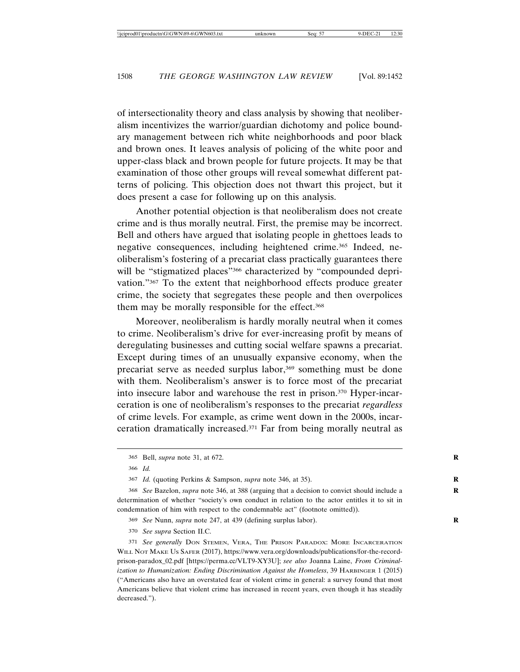of intersectionality theory and class analysis by showing that neoliberalism incentivizes the warrior/guardian dichotomy and police boundary management between rich white neighborhoods and poor black and brown ones. It leaves analysis of policing of the white poor and upper-class black and brown people for future projects. It may be that examination of those other groups will reveal somewhat different patterns of policing. This objection does not thwart this project, but it does present a case for following up on this analysis.

Another potential objection is that neoliberalism does not create crime and is thus morally neutral. First, the premise may be incorrect. Bell and others have argued that isolating people in ghettoes leads to negative consequences, including heightened crime.<sup>365</sup> Indeed, neoliberalism's fostering of a precariat class practically guarantees there will be "stigmatized places"<sup>366</sup> characterized by "compounded deprivation."367 To the extent that neighborhood effects produce greater crime, the society that segregates these people and then overpolices them may be morally responsible for the effect.<sup>368</sup>

Moreover, neoliberalism is hardly morally neutral when it comes to crime. Neoliberalism's drive for ever-increasing profit by means of deregulating businesses and cutting social welfare spawns a precariat. Except during times of an unusually expansive economy, when the precariat serve as needed surplus labor,369 something must be done with them. Neoliberalism's answer is to force most of the precariat into insecure labor and warehouse the rest in prison.370 Hyper-incarceration is one of neoliberalism's responses to the precariat *regardless* of crime levels. For example, as crime went down in the 2000s, incarceration dramatically increased.371 Far from being morally neutral as

366 *Id.*

369 *See* Nunn, *supra* note 247, at 439 (defining surplus labor). **R**

370 *See supra* Section II.C.

371 *See generally* DON STEMEN, VERA, THE PRISON PARADOX: MORE INCARCERATION WILL NOT MAKE US SAFER (2017), https://www.vera.org/downloads/publications/for-the-recordprison-paradox\_02.pdf [https://perma.cc/VLT9-XY3U]; *see also* Joanna Laine, *From Criminalization to Humanization: Ending Discrimination Against the Homeless*, 39 HARBINGER 1 (2015) ("Americans also have an overstated fear of violent crime in general: a survey found that most Americans believe that violent crime has increased in recent years, even though it has steadily decreased.").

<sup>365</sup> Bell, *supra* note 31, at 672. **R**

<sup>367</sup> *Id.* (quoting Perkins & Sampson, *supra* note 346, at 35). **R**

<sup>368</sup> *See* Bazelon, *supra* note 346, at 388 (arguing that a decision to convict should include a **R** determination of whether "society's own conduct in relation to the actor entitles it to sit in condemnation of him with respect to the condemnable act" (footnote omitted)).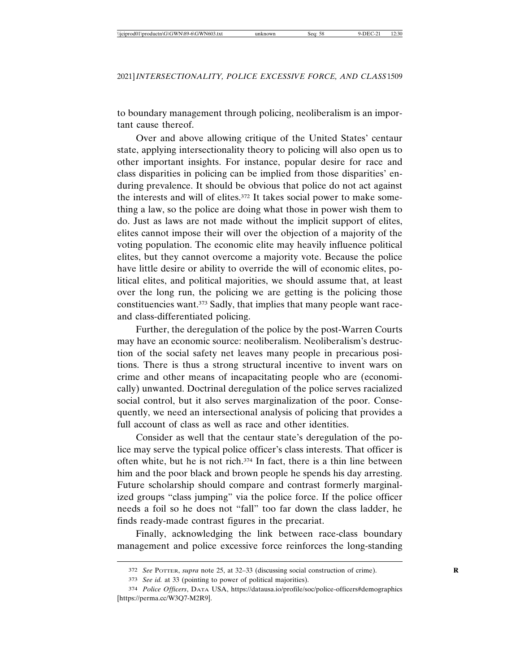to boundary management through policing, neoliberalism is an important cause thereof.

Over and above allowing critique of the United States' centaur state, applying intersectionality theory to policing will also open us to other important insights. For instance, popular desire for race and class disparities in policing can be implied from those disparities' enduring prevalence. It should be obvious that police do not act against the interests and will of elites.372 It takes social power to make something a law, so the police are doing what those in power wish them to do. Just as laws are not made without the implicit support of elites, elites cannot impose their will over the objection of a majority of the voting population. The economic elite may heavily influence political elites, but they cannot overcome a majority vote. Because the police have little desire or ability to override the will of economic elites, political elites, and political majorities, we should assume that, at least over the long run, the policing we are getting is the policing those constituencies want.373 Sadly, that implies that many people want raceand class-differentiated policing.

Further, the deregulation of the police by the post-Warren Courts may have an economic source: neoliberalism. Neoliberalism's destruction of the social safety net leaves many people in precarious positions. There is thus a strong structural incentive to invent wars on crime and other means of incapacitating people who are (economically) unwanted. Doctrinal deregulation of the police serves racialized social control, but it also serves marginalization of the poor. Consequently, we need an intersectional analysis of policing that provides a full account of class as well as race and other identities.

Consider as well that the centaur state's deregulation of the police may serve the typical police officer's class interests. That officer is often white, but he is not rich.374 In fact, there is a thin line between him and the poor black and brown people he spends his day arresting. Future scholarship should compare and contrast formerly marginalized groups "class jumping" via the police force. If the police officer needs a foil so he does not "fall" too far down the class ladder, he finds ready-made contrast figures in the precariat.

Finally, acknowledging the link between race-class boundary management and police excessive force reinforces the long-standing

<sup>372</sup> *See* POTTER, *supra* note 25, at 32–33 (discussing social construction of crime). **R**

<sup>373</sup> *See id.* at 33 (pointing to power of political majorities).

<sup>374</sup> *Police Officers*, DATA USA, https://datausa.io/profile/soc/police-officers#demographics [https://perma.cc/W3Q7-M2R9].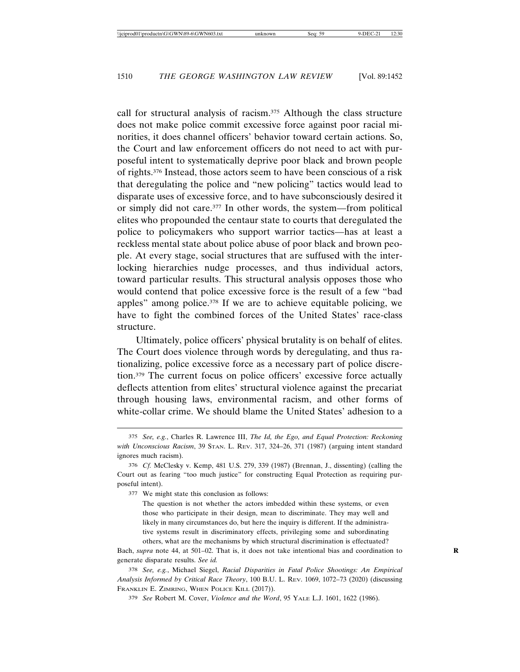call for structural analysis of racism.375 Although the class structure does not make police commit excessive force against poor racial minorities, it does channel officers' behavior toward certain actions. So, the Court and law enforcement officers do not need to act with purposeful intent to systematically deprive poor black and brown people of rights.376 Instead, those actors seem to have been conscious of a risk that deregulating the police and "new policing" tactics would lead to disparate uses of excessive force, and to have subconsciously desired it or simply did not care.377 In other words, the system—from political elites who propounded the centaur state to courts that deregulated the police to policymakers who support warrior tactics—has at least a reckless mental state about police abuse of poor black and brown people. At every stage, social structures that are suffused with the interlocking hierarchies nudge processes, and thus individual actors, toward particular results. This structural analysis opposes those who would contend that police excessive force is the result of a few "bad apples" among police.378 If we are to achieve equitable policing, we have to fight the combined forces of the United States' race-class structure.

Ultimately, police officers' physical brutality is on behalf of elites. The Court does violence through words by deregulating, and thus rationalizing, police excessive force as a necessary part of police discretion.379 The current focus on police officers' excessive force actually deflects attention from elites' structural violence against the precariat through housing laws, environmental racism, and other forms of white-collar crime. We should blame the United States' adhesion to a

377 We might state this conclusion as follows:

The question is not whether the actors imbedded within these systems, or even those who participate in their design, mean to discriminate. They may well and likely in many circumstances do, but here the inquiry is different. If the administrative systems result in discriminatory effects, privileging some and subordinating others, what are the mechanisms by which structural discrimination is effectuated?

Bach, *supra* note 44, at 501–02. That is, it does not take intentional bias and coordination to **R** generate disparate results. *See id.*

378 *See, e.g.*, Michael Siegel, *Racial Disparities in Fatal Police Shootings: An Empirical Analysis Informed by Critical Race Theory*, 100 B.U. L. REV. 1069, 1072–73 (2020) (discussing FRANKLIN E. ZIMRING, WHEN POLICE KILL (2017)).

379 *See* Robert M. Cover, *Violence and the Word*, 95 YALE L.J. 1601, 1622 (1986).

<sup>375</sup> *See, e.g.*, Charles R. Lawrence III, *The Id, the Ego, and Equal Protection: Reckoning with Unconscious Racism*, 39 STAN. L. REV. 317, 324–26, 371 (1987) (arguing intent standard ignores much racism).

<sup>376</sup> *Cf.* McClesky v. Kemp, 481 U.S. 279, 339 (1987) (Brennan, J., dissenting) (calling the Court out as fearing "too much justice" for constructing Equal Protection as requiring purposeful intent).